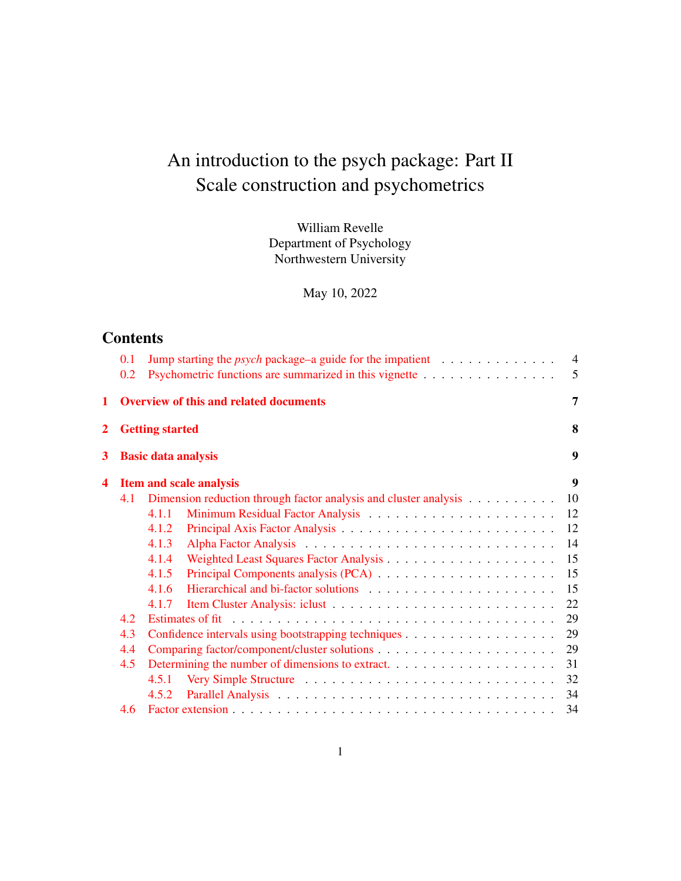# An introduction to the psych package: Part II Scale construction and psychometrics

William Revelle Department of Psychology Northwestern University

May 10, 2022

# **Contents**

|              | 0.1                            |                            | $\overline{4}$<br>Jump starting the <i>psych</i> package–a guide for the impatient $\dots \dots \dots \dots$ |                |  |
|--------------|--------------------------------|----------------------------|--------------------------------------------------------------------------------------------------------------|----------------|--|
|              | 0.2                            |                            | Psychometric functions are summarized in this vignette                                                       | 5              |  |
| 1            |                                |                            | <b>Overview of this and related documents</b>                                                                | $\overline{7}$ |  |
| $\mathbf{2}$ |                                | <b>Getting started</b>     |                                                                                                              | 8              |  |
| 3            |                                | <b>Basic data analysis</b> |                                                                                                              | 9              |  |
| 4            | <b>Item and scale analysis</b> |                            |                                                                                                              |                |  |
|              | 4.1                            |                            | 10<br>Dimension reduction through factor analysis and cluster analysis                                       |                |  |
|              |                                | 4.1.1                      | 12                                                                                                           |                |  |
|              |                                | 4.1.2                      | 12                                                                                                           |                |  |
|              |                                | 4.1.3                      | 14                                                                                                           |                |  |
|              |                                | 4.1.4                      | 15                                                                                                           |                |  |
|              |                                | 4.1.5                      | 15                                                                                                           |                |  |
|              |                                | 4.1.6                      | 15                                                                                                           |                |  |
|              |                                | 4.1.7                      | 22                                                                                                           |                |  |
| 4.2<br>4.3   |                                | 29                         |                                                                                                              |                |  |
|              |                                | 29                         |                                                                                                              |                |  |
|              | 4.4                            |                            | 29                                                                                                           |                |  |
| 4.5          |                                | 31                         |                                                                                                              |                |  |
|              |                                | 4.5.1                      | 32                                                                                                           |                |  |
|              |                                | 4.5.2                      | 34                                                                                                           |                |  |
|              | 4.6                            |                            | 34                                                                                                           |                |  |
|              |                                |                            |                                                                                                              |                |  |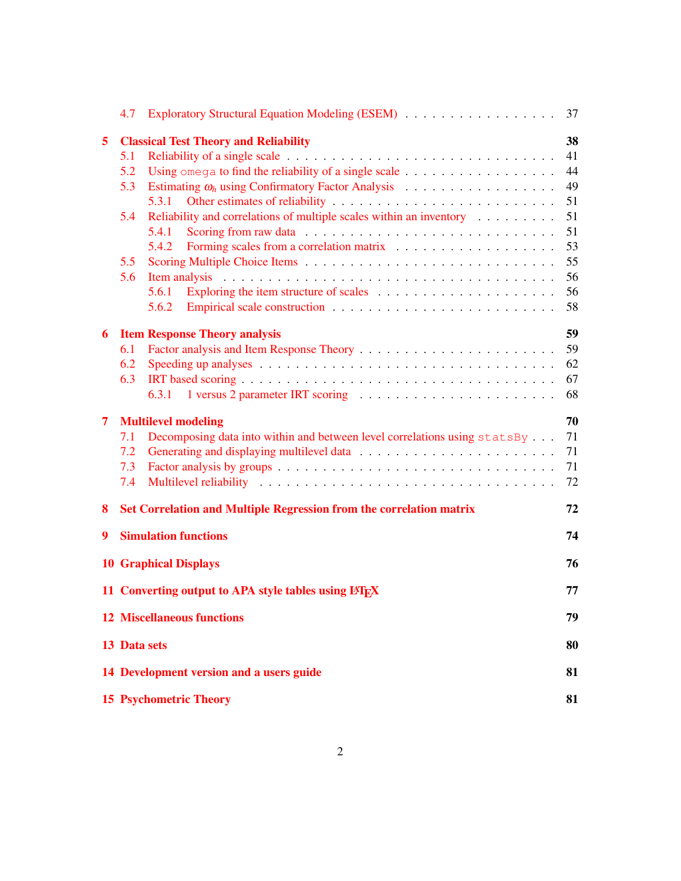|                                                          | 4.7                                                  |                                                                                                               | 37 |  |  |
|----------------------------------------------------------|------------------------------------------------------|---------------------------------------------------------------------------------------------------------------|----|--|--|
| 5                                                        | <b>Classical Test Theory and Reliability</b>         |                                                                                                               |    |  |  |
|                                                          | 5.1                                                  | Reliability of a single scale $\dots \dots \dots \dots \dots \dots \dots \dots \dots \dots \dots \dots \dots$ | 41 |  |  |
|                                                          | 5.2                                                  |                                                                                                               | 44 |  |  |
|                                                          | 5.3                                                  | Estimating $\omega_h$ using Confirmatory Factor Analysis                                                      | 49 |  |  |
|                                                          |                                                      | 5.3.1                                                                                                         | 51 |  |  |
|                                                          | 5.4                                                  | Reliability and correlations of multiple scales within an inventory $\dots \dots$                             | 51 |  |  |
|                                                          |                                                      | 5.4.1<br>Scoring from raw data $\ldots \ldots \ldots \ldots \ldots \ldots \ldots \ldots \ldots$               | 51 |  |  |
|                                                          |                                                      | 5.4.2                                                                                                         | 53 |  |  |
|                                                          | 5.5                                                  |                                                                                                               | 55 |  |  |
|                                                          | 5.6                                                  |                                                                                                               | 56 |  |  |
|                                                          |                                                      | 5.6.1                                                                                                         | 56 |  |  |
|                                                          |                                                      | 5.6.2                                                                                                         | 58 |  |  |
| 6                                                        |                                                      | <b>Item Response Theory analysis</b>                                                                          | 59 |  |  |
|                                                          | 6.1                                                  |                                                                                                               | 59 |  |  |
|                                                          | 6.2                                                  |                                                                                                               | 62 |  |  |
|                                                          | 6.3                                                  |                                                                                                               | 67 |  |  |
|                                                          |                                                      |                                                                                                               | 68 |  |  |
|                                                          |                                                      |                                                                                                               |    |  |  |
| 7                                                        | <b>Multilevel modeling</b>                           |                                                                                                               |    |  |  |
|                                                          | 7.1                                                  | Decomposing data into within and between level correlations using statsBy                                     | 71 |  |  |
|                                                          | 7.2                                                  |                                                                                                               | 71 |  |  |
|                                                          | 7.3                                                  |                                                                                                               | 71 |  |  |
|                                                          | 7.4                                                  |                                                                                                               | 72 |  |  |
| 8                                                        |                                                      | Set Correlation and Multiple Regression from the correlation matrix                                           | 72 |  |  |
| 9                                                        |                                                      | <b>Simulation functions</b>                                                                                   | 74 |  |  |
|                                                          |                                                      |                                                                                                               |    |  |  |
|                                                          |                                                      | <b>10 Graphical Displays</b>                                                                                  | 76 |  |  |
|                                                          | 11 Converting output to APA style tables using LATEX |                                                                                                               |    |  |  |
| <b>12 Miscellaneous functions</b>                        |                                                      |                                                                                                               |    |  |  |
| 13 Data sets<br>14 Development version and a users guide |                                                      |                                                                                                               |    |  |  |
|                                                          |                                                      |                                                                                                               |    |  |  |
|                                                          |                                                      | <b>15 Psychometric Theory</b>                                                                                 | 81 |  |  |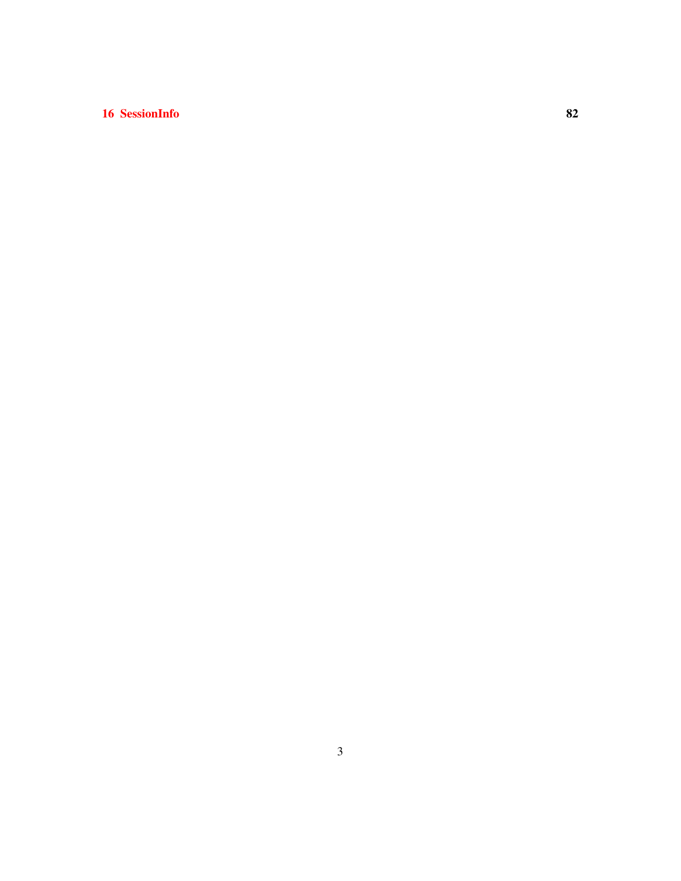# 16 SessionInfo 82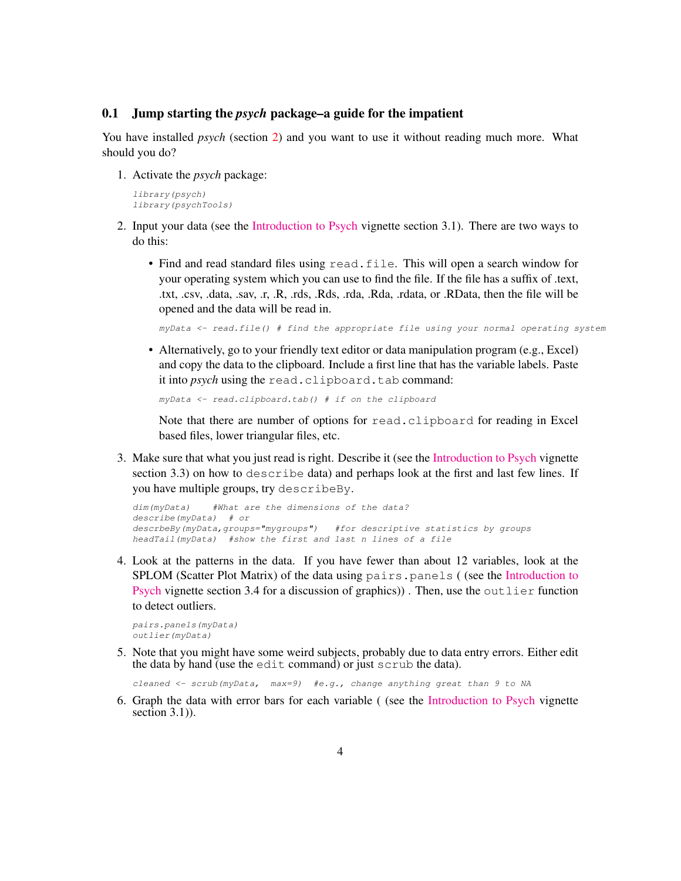#### 0.1 Jump starting the *psych* package–a guide for the impatient

You have installed *psych* (section 2) and you want to use it without reading much more. What should you do?

1. Activate the *psych* package:

*library(psych) library(psychTools)*

- 2. Input your data (see the [Introduction to Psych](https://personality-project.org/r/psych/intro.pdf) vignette section 3.1). There are two ways to do this:
	- Find and read standard files using read.file. This will open a search window for your operating system which you can use to find the file. If the file has a suffix of .text, .txt, .csv, .data, .sav, .r, .R, .rds, .Rds, .rda, .Rda, .rdata, or .RData, then the file will be opened and the data will be read in.

*myData <- read.file() # find the appropriate file using your normal operating system*

• Alternatively, go to your friendly text editor or data manipulation program (e.g., Excel) and copy the data to the clipboard. Include a first line that has the variable labels. Paste it into *psych* using the read.clipboard.tab command:

```
myData <- read.clipboard.tab() # if on the clipboard
```
Note that there are number of options for read.clipboard for reading in Excel based files, lower triangular files, etc.

3. Make sure that what you just read is right. Describe it (see the [Introduction to Psych](https://personality-project.org/r/psych/intro.pdf) vignette section 3.3) on how to describe data) and perhaps look at the first and last few lines. If you have multiple groups, try describeBy.

```
dim(myData) #What are the dimensions of the data?
describe(myData) # or
descrbeBy(myData,groups="mygroups") #for descriptive statistics by groups
headTail(myData) #show the first and last n lines of a file
```
4. Look at the patterns in the data. If you have fewer than about 12 variables, look at the SPLOM (Scatter Plot Matrix) of the data using pairs.panels ( (see the [Introduction to](https://personality-project.org/r/psych/intro.pdf) [Psych](https://personality-project.org/r/psych/intro.pdf) vignette section 3.4 for a discussion of graphics)). Then, use the outlier function to detect outliers.

*pairs.panels(myData) outlier(myData)*

5. Note that you might have some weird subjects, probably due to data entry errors. Either edit the data by hand (use the edit command) or just scrub the data).

*cleaned <- scrub(myData, max=9) #e.g., change anything great than 9 to NA*

6. Graph the data with error bars for each variable ( (see the [Introduction to Psych](https://personality-project.org/r/psych/intro.pdf) vignette section  $3.1$ ).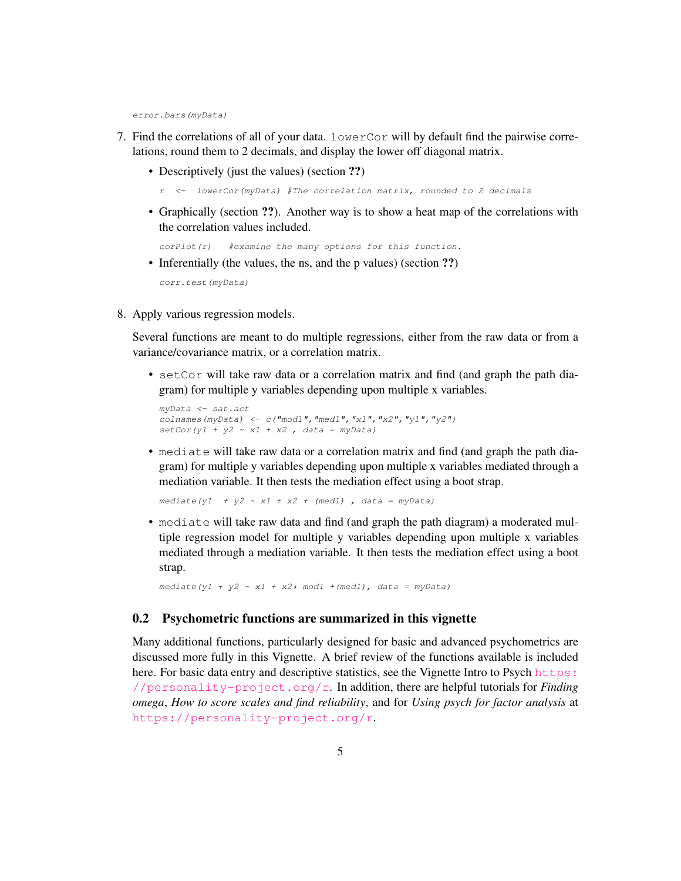*error.bars(myData)*

- 7. Find the correlations of all of your data. lowerCor will by default find the pairwise correlations, round them to 2 decimals, and display the lower off diagonal matrix.
	- Descriptively (just the values) (section ??)

```
r <- lowerCor(myData) #The correlation matrix, rounded to 2 decimals
```
• Graphically (section ??). Another way is to show a heat map of the correlations with the correlation values included.

```
corPlot(r) #examine the many options for this function.
```
- Inferentially (the values, the ns, and the p values) (section ??) *corr.test(myData)*
- 8. Apply various regression models.

Several functions are meant to do multiple regressions, either from the raw data or from a variance/covariance matrix, or a correlation matrix.

• setCor will take raw data or a correlation matrix and find (and graph the path diagram) for multiple y variables depending upon multiple x variables.

```
myData <- sat.act
colnames(myData) <- c("mod1","med1","x1","x2","y1","y2")
setCor(y1 + y2 ~ x1 + x2 , data = myData)
```
• mediate will take raw data or a correlation matrix and find (and graph the path diagram) for multiple y variables depending upon multiple x variables mediated through a mediation variable. It then tests the mediation effect using a boot strap.

*mediate(y1 + y2 ~ x1 + x2 + (med1) , data = myData)*

• mediate will take raw data and find (and graph the path diagram) a moderated multiple regression model for multiple y variables depending upon multiple x variables mediated through a mediation variable. It then tests the mediation effect using a boot strap.

*mediate(y1 + y2 ~ x1 + x2\* mod1 +(med1), data = myData)*

#### 0.2 Psychometric functions are summarized in this vignette

Many additional functions, particularly designed for basic and advanced psychometrics are discussed more fully in this Vignette. A brief review of the functions available is included here. For basic data entry and descriptive statistics, see the Vignette Intro to Psych [https:](https://personality-project.org/r) [//personality-project.org/r](https://personality-project.org/r). In addition, there are helpful tutorials for *Finding omega*, *How to score scales and find reliability*, and for *Using psych for factor analysis* at <https://personality-project.org/r>.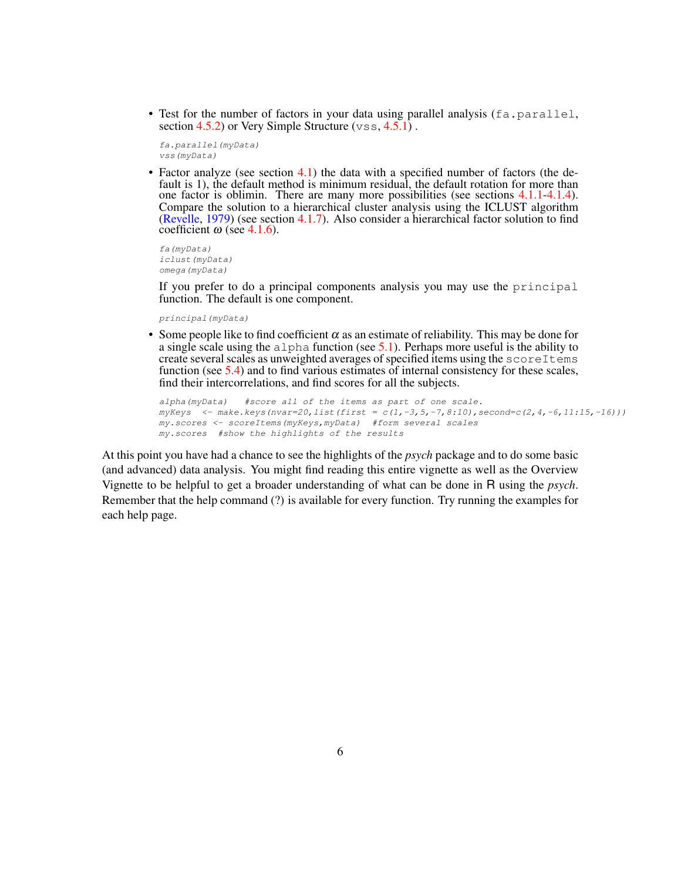• Test for the number of factors in your data using parallel analysis ( $fa$ ,  $parallel$ , section 4.5.2) or Very Simple Structure  $(\forall s\ s, 4.5.1)$ .

```
fa.parallel(myData)
vss(myData)
```
• Factor analyze (see section 4.1) the data with a specified number of factors (the default is 1), the default method is minimum residual, the default rotation for more than one factor is oblimin. There are many more possibilities (see sections 4.1.1-4.1.4). Compare the solution to a hierarchical cluster analysis using the ICLUST algorithm (Revelle, 1979) (see section 4.1.7). Also consider a hierarchical factor solution to find coefficient  $\omega$  (see 4.1.6).

*fa(myData) iclust(myData) omega(myData)*

If you prefer to do a principal components analysis you may use the principal function. The default is one component.

*principal(myData)*

• Some people like to find coefficient  $\alpha$  as an estimate of reliability. This may be done for a single scale using the  $a1pha$  function (see 5.1). Perhaps more useful is the ability to create several scales as unweighted averages of specified items using the scoreItems function (see 5.4) and to find various estimates of internal consistency for these scales, find their intercorrelations, and find scores for all the subjects.

```
alpha(myData) #score all of the items as part of one scale.
myKeys <- make.keys(nvar=20,list(first = c(1,-3,5,-7,8:10),second=c(2,4,-6,11:15,-16)))
my.scores <- scoreItems(myKeys,myData) #form several scales
my.scores #show the highlights of the results
```
At this point you have had a chance to see the highlights of the *psych* package and to do some basic (and advanced) data analysis. You might find reading this entire vignette as well as the Overview Vignette to be helpful to get a broader understanding of what can be done in R using the *psych*. Remember that the help command (?) is available for every function. Try running the examples for each help page.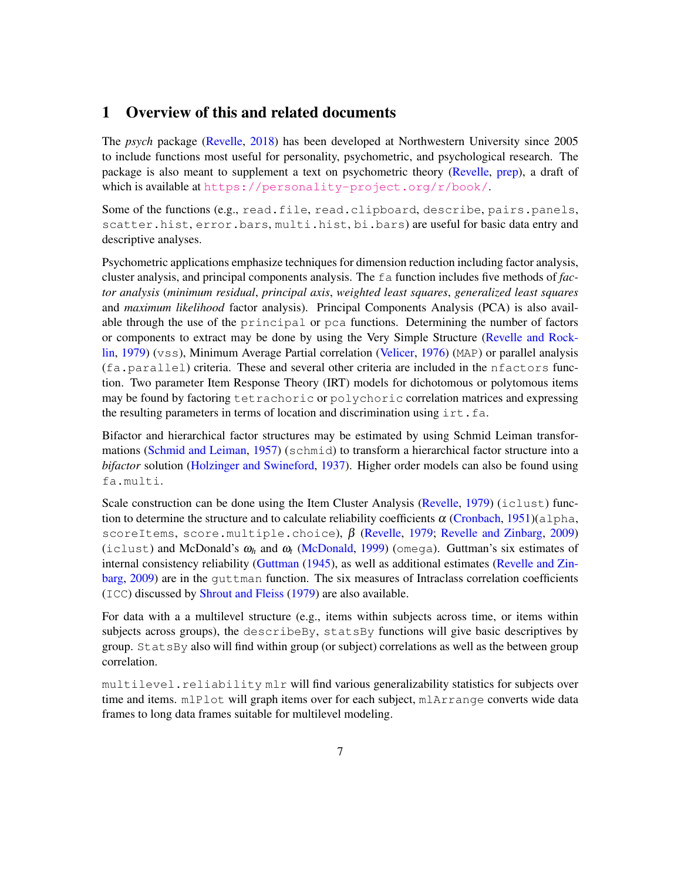# 1 Overview of this and related documents

The *psych* package (Revelle, 2018) has been developed at Northwestern University since 2005 to include functions most useful for personality, psychometric, and psychological research. The package is also meant to supplement a text on psychometric theory (Revelle, prep), a draft of which is available at <https://personality-project.org/r/book/>.

Some of the functions (e.g., read.file, read.clipboard, describe, pairs.panels, scatter.hist, error.bars, multi.hist, bi.bars) are useful for basic data entry and descriptive analyses.

Psychometric applications emphasize techniques for dimension reduction including factor analysis, cluster analysis, and principal components analysis. The fa function includes five methods of *factor analysis* (*minimum residual*, *principal axis*, *weighted least squares*, *generalized least squares* and *maximum likelihood* factor analysis). Principal Components Analysis (PCA) is also available through the use of the principal or pca functions. Determining the number of factors or components to extract may be done by using the Very Simple Structure (Revelle and Rocklin, 1979) (vss), Minimum Average Partial correlation (Velicer, 1976) (MAP) or parallel analysis (fa.parallel) criteria. These and several other criteria are included in the nfactors function. Two parameter Item Response Theory (IRT) models for dichotomous or polytomous items may be found by factoring tetrachoric or polychoric correlation matrices and expressing the resulting parameters in terms of location and discrimination using  $\text{int.fa}$ .

Bifactor and hierarchical factor structures may be estimated by using Schmid Leiman transformations (Schmid and Leiman, 1957) (schmid) to transform a hierarchical factor structure into a *bifactor* solution (Holzinger and Swineford, 1937). Higher order models can also be found using fa.multi.

Scale construction can be done using the Item Cluster Analysis (Revelle, 1979) (iclust) function to determine the structure and to calculate reliability coefficients  $\alpha$  (Cronbach, 1951)(alpha, scoreItems, score.multiple.choice),  $\beta$  (Revelle, 1979; Revelle and Zinbarg, 2009) (iclust) and McDonald's  $\omega_h$  and  $\omega_t$  (McDonald, 1999) (omega). Guttman's six estimates of internal consistency reliability (Guttman (1945), as well as additional estimates (Revelle and Zinbarg, 2009) are in the guttman function. The six measures of Intraclass correlation coefficients (ICC) discussed by Shrout and Fleiss (1979) are also available.

For data with a a multilevel structure (e.g., items within subjects across time, or items within subjects across groups), the describeBy, statsBy functions will give basic descriptives by group. StatsBy also will find within group (or subject) correlations as well as the between group correlation.

multilevel.reliability mlr will find various generalizability statistics for subjects over time and items. mlPlot will graph items over for each subject, mlArrange converts wide data frames to long data frames suitable for multilevel modeling.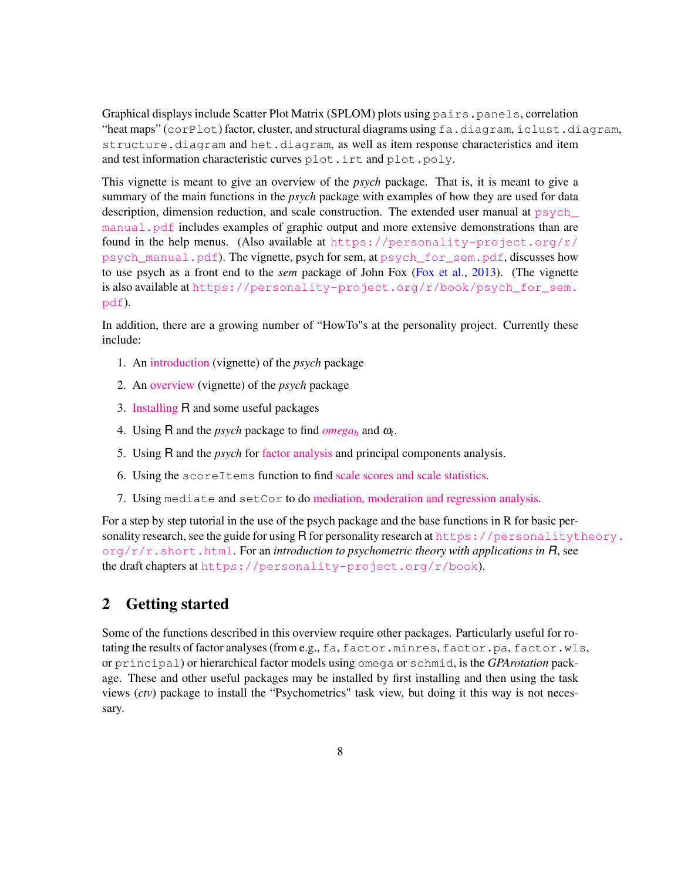Graphical displays include Scatter Plot Matrix (SPLOM) plots using pairs, panels, correlation "heat maps" (corPlot) factor, cluster, and structural diagrams using fa.diagram, iclust.diagram, structure.diagram and het.diagram, as well as item response characteristics and item and test information characteristic curves plot.irt and plot.poly.

This vignette is meant to give an overview of the *psych* package. That is, it is meant to give a summary of the main functions in the *psych* package with examples of how they are used for data description, dimension reduction, and scale construction. The extended user manual at  $p<sub>svch</sub>$ [manual.pdf](psych_manual.pdf) includes examples of graphic output and more extensive demonstrations than are found in the help menus. (Also available at [https://personality-project.org/r/](https://personality-project.org/r/psych_manual.pdf) [psych\\_manual.pdf](https://personality-project.org/r/psych_manual.pdf)). The vignette, psych for sem, at [psych\\_for\\_sem.pdf](psych_for_sem.pdf), discusses how to use psych as a front end to the *sem* package of John Fox (Fox et al., 2013). (The vignette is also available at [https://personality-project.org/r/book/psych\\_for\\_sem.]("https://personality-project.org/r/book/psych_for_sem.pdf") [pdf]("https://personality-project.org/r/book/psych_for_sem.pdf")).

In addition, there are a growing number of "HowTo"s at the personality project. Currently these include:

- 1. An [introduction](https://personality-project.org/r/psych/intro.pdf) (vignette) of the *psych* package
- 2. An [overview](https://personality-project.org/r/psych/overview.pdf) (vignette) of the *psych* package
- 3. [Installing](https://personality-project.org/r/psych/HowTo/getting_started.pdf) R and some useful packages
- 4. Using R and the *psych* package to find  $omega_h$  $omega_h$  and  $\omega_t$ .
- 5. Using R and the *psych* for [factor analysis](https://personality-project.org/r/psych/HowTo/factor.pdf) and principal components analysis.
- 6. Using the scoreItems function to find [scale scores and scale statistics.](https://personality-project.org/r/psych/HowTo/scoring.pdf)
- 7. Using mediate and setCor to do [mediation, moderation and regression analysis.](https://personality-project.org/r/psych/HowTo/mediation.pdf)

For a step by step tutorial in the use of the psych package and the base functions in R for basic personality research, see the guide for using R for personality research at [https://personalityt](https://personalitytheory.org/r/r.short.html)heory. [org/r/r.short.html](https://personalitytheory.org/r/r.short.html). For an *introduction to psychometric theory with applications in R*, see the draft chapters at <https://personality-project.org/r/book>).

# 2 Getting started

Some of the functions described in this overview require other packages. Particularly useful for rotating the results of factor analyses (from e.g., fa, factor.minres, factor.pa, factor.wls, or principal) or hierarchical factor models using omega or schmid, is the *GPArotation* package. These and other useful packages may be installed by first installing and then using the task views (*ctv*) package to install the "Psychometrics" task view, but doing it this way is not necessary.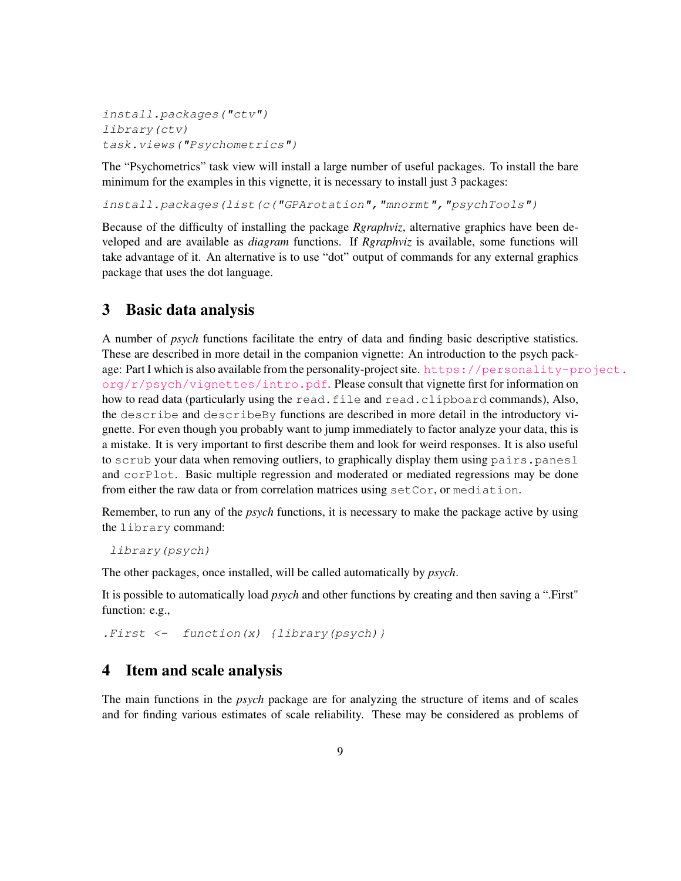```
install.packages("ctv")
library(ctv)
task.views("Psychometrics")
```
The "Psychometrics" task view will install a large number of useful packages. To install the bare minimum for the examples in this vignette, it is necessary to install just 3 packages:

*install.packages(list(c("GPArotation","mnormt","psychTools")*

Because of the difficulty of installing the package *Rgraphviz*, alternative graphics have been developed and are available as *diagram* functions. If *Rgraphviz* is available, some functions will take advantage of it. An alternative is to use "dot" output of commands for any external graphics package that uses the dot language.

### 3 Basic data analysis

A number of *psych* functions facilitate the entry of data and finding basic descriptive statistics. These are described in more detail in the companion vignette: An introduction to the psych package: Part I which is also available from the personality-project site. [https://personality-pr](https://personality-project.org/r/psych/vignettes/intro.pdf)oject.  $\frac{\sigma}{q}$ r/psych/vignettes/intro.pdf. Please consult that vignette first for information on how to read data (particularly using the read.file and read.clipboard commands), Also, the describe and describeBy functions are described in more detail in the introductory vignette. For even though you probably want to jump immediately to factor analyze your data, this is a mistake. It is very important to first describe them and look for weird responses. It is also useful to scrub your data when removing outliers, to graphically display them using pairs.panesl and corPlot. Basic multiple regression and moderated or mediated regressions may be done from either the raw data or from correlation matrices using setCor, or mediation.

Remember, to run any of the *psych* functions, it is necessary to make the package active by using the library command:

*library(psych)*

The other packages, once installed, will be called automatically by *psych*.

It is possible to automatically load *psych* and other functions by creating and then saving a ".First" function: e.g.,

*.First <- function(x) {library(psych)}*

# 4 Item and scale analysis

The main functions in the *psych* package are for analyzing the structure of items and of scales and for finding various estimates of scale reliability. These may be considered as problems of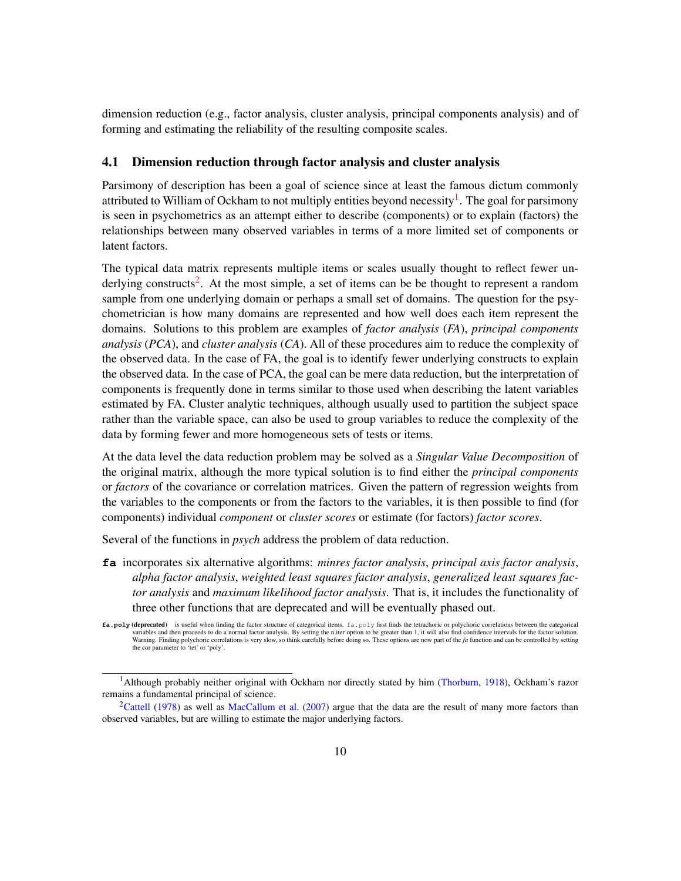dimension reduction (e.g., factor analysis, cluster analysis, principal components analysis) and of forming and estimating the reliability of the resulting composite scales.

#### 4.1 Dimension reduction through factor analysis and cluster analysis

Parsimony of description has been a goal of science since at least the famous dictum commonly attributed to William of Ockham to not multiply entities beyond necessity<sup>1</sup>. The goal for parsimony is seen in psychometrics as an attempt either to describe (components) or to explain (factors) the relationships between many observed variables in terms of a more limited set of components or latent factors.

The typical data matrix represents multiple items or scales usually thought to reflect fewer underlying constructs<sup>2</sup>. At the most simple, a set of items can be be thought to represent a random sample from one underlying domain or perhaps a small set of domains. The question for the psychometrician is how many domains are represented and how well does each item represent the domains. Solutions to this problem are examples of *factor analysis* (*FA*), *principal components analysis* (*PCA*), and *cluster analysis* (*CA*). All of these procedures aim to reduce the complexity of the observed data. In the case of FA, the goal is to identify fewer underlying constructs to explain the observed data. In the case of PCA, the goal can be mere data reduction, but the interpretation of components is frequently done in terms similar to those used when describing the latent variables estimated by FA. Cluster analytic techniques, although usually used to partition the subject space rather than the variable space, can also be used to group variables to reduce the complexity of the data by forming fewer and more homogeneous sets of tests or items.

At the data level the data reduction problem may be solved as a *Singular Value Decomposition* of the original matrix, although the more typical solution is to find either the *principal components* or *factors* of the covariance or correlation matrices. Given the pattern of regression weights from the variables to the components or from the factors to the variables, it is then possible to find (for components) individual *component* or *cluster scores* or estimate (for factors) *factor scores*.

Several of the functions in *psych* address the problem of data reduction.

**fa** incorporates six alternative algorithms: *minres factor analysis*, *principal axis factor analysis*, *alpha factor analysis*, *weighted least squares factor analysis*, *generalized least squares factor analysis* and *maximum likelihood factor analysis*. That is, it includes the functionality of three other functions that are deprecated and will be eventually phased out.

fa.poly (deprecated) is useful when finding the factor structure of categorical items. fa.poly first finds the tetrachoric or polychoric correlations between the categorical variables and then proceeds to do a normal factor analysis. By setting the n.iter option to be greater than 1, it will also find confidence intervals for the factor solution.<br>Warning. Finding polychoric correlations is ver the cor parameter to 'tet' or 'poly'.

<sup>&</sup>lt;sup>1</sup>Although probably neither original with Ockham nor directly stated by him (Thorburn, 1918), Ockham's razor remains a fundamental principal of science.

<sup>&</sup>lt;sup>2</sup>Cattell (1978) as well as MacCallum et al. (2007) argue that the data are the result of many more factors than observed variables, but are willing to estimate the major underlying factors.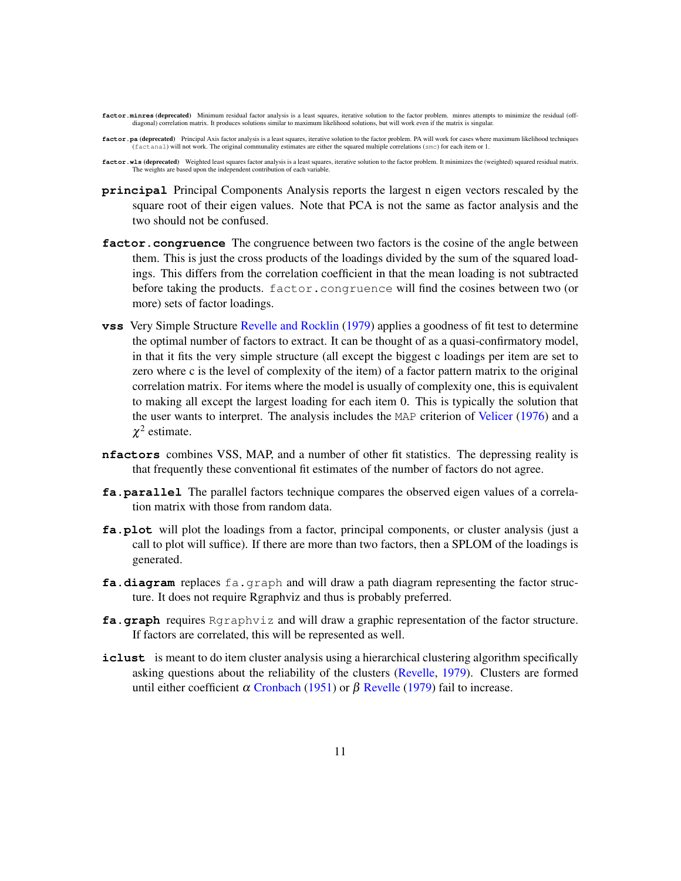**factor.minres (deprecated)** Minimum residual factor analysis is a least squares, iterative solution to the factor problem, minres attempts to minimize the residual (offdiagonal) correlation matrix. It produces solutions similar to maximum likelihood solutions, but will work even if the matrix is singular.

factor.pa (deprecated) Principal Axis factor analysis is a least squares, iterative solution to the factor problem. PA will work for cases where maximum likelihood techniques (factanal) will not work. The original communality estimates are either the squared multiple correlations (smc) for each item or 1.

factor.wls (deprecated) Weighted least squares factor analysis is a least squares, iterative solution to the factor problem. It minimizes the (weighted) squared residual matrix. The weights are based upon the independent contribution of each variable.

- **principal** Principal Components Analysis reports the largest n eigen vectors rescaled by the square root of their eigen values. Note that PCA is not the same as factor analysis and the two should not be confused.
- **factor.congruence** The congruence between two factors is the cosine of the angle between them. This is just the cross products of the loadings divided by the sum of the squared loadings. This differs from the correlation coefficient in that the mean loading is not subtracted before taking the products. factor.congruence will find the cosines between two (or more) sets of factor loadings.
- **vss** Very Simple Structure Revelle and Rocklin (1979) applies a goodness of fit test to determine the optimal number of factors to extract. It can be thought of as a quasi-confirmatory model, in that it fits the very simple structure (all except the biggest c loadings per item are set to zero where c is the level of complexity of the item) of a factor pattern matrix to the original correlation matrix. For items where the model is usually of complexity one, this is equivalent to making all except the largest loading for each item 0. This is typically the solution that the user wants to interpret. The analysis includes the MAP criterion of Velicer (1976) and a  $\chi^2$  estimate.
- **nfactors** combines VSS, MAP, and a number of other fit statistics. The depressing reality is that frequently these conventional fit estimates of the number of factors do not agree.
- **fa.parallel** The parallel factors technique compares the observed eigen values of a correlation matrix with those from random data.
- **fa.plot** will plot the loadings from a factor, principal components, or cluster analysis (just a call to plot will suffice). If there are more than two factors, then a SPLOM of the loadings is generated.
- **fa.diagram** replaces fa.graph and will draw a path diagram representing the factor structure. It does not require Rgraphviz and thus is probably preferred.
- **fa.graph** requires Rgraphviz and will draw a graphic representation of the factor structure. If factors are correlated, this will be represented as well.
- **iclust** is meant to do item cluster analysis using a hierarchical clustering algorithm specifically asking questions about the reliability of the clusters (Revelle, 1979). Clusters are formed until either coefficient  $\alpha$  Cronbach (1951) or  $\beta$  Revelle (1979) fail to increase.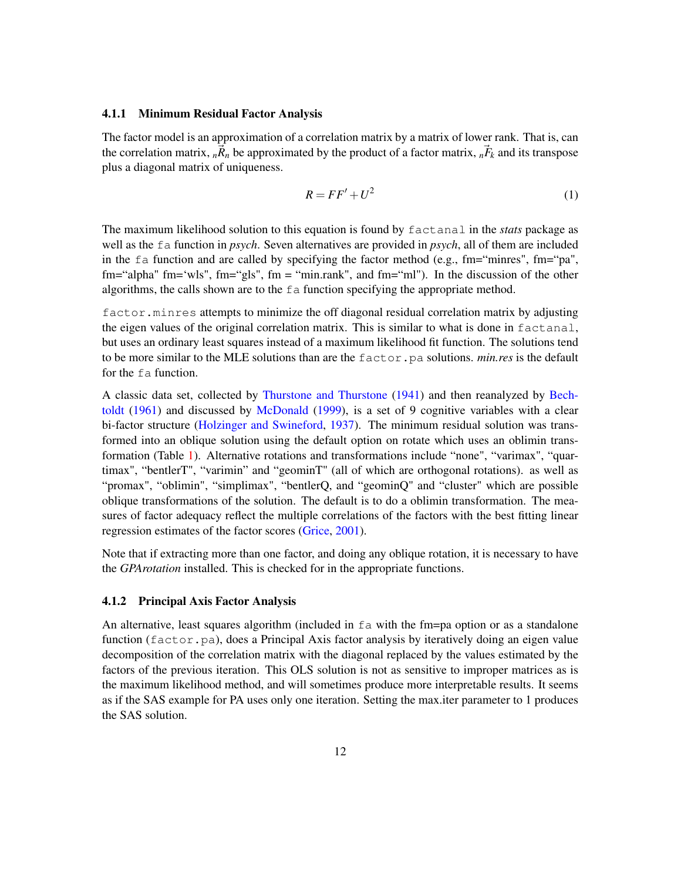#### 4.1.1 Minimum Residual Factor Analysis

The factor model is an approximation of a correlation matrix by a matrix of lower rank. That is, can the correlation matrix,  $_{n}\vec{R}_{n}$  be approximated by the product of a factor matrix,  $_{n}\vec{F}_{k}$  and its transpose plus a diagonal matrix of uniqueness.

$$
R = FF' + U^2 \tag{1}
$$

The maximum likelihood solution to this equation is found by factanal in the *stats* package as well as the fa function in *psych*. Seven alternatives are provided in *psych*, all of them are included in the fa function and are called by specifying the factor method (e.g., fm="minres", fm="pa", fm="alpha" fm='wls", fm="gls", fm = "min.rank", and fm="ml"). In the discussion of the other algorithms, the calls shown are to the  $f$  a function specifying the appropriate method.

factor.minres attempts to minimize the off diagonal residual correlation matrix by adjusting the eigen values of the original correlation matrix. This is similar to what is done in factanal, but uses an ordinary least squares instead of a maximum likelihood fit function. The solutions tend to be more similar to the MLE solutions than are the factor.pa solutions. *min.res* is the default for the fa function.

A classic data set, collected by Thurstone and Thurstone (1941) and then reanalyzed by Bechtoldt (1961) and discussed by McDonald (1999), is a set of 9 cognitive variables with a clear bi-factor structure (Holzinger and Swineford, 1937). The minimum residual solution was transformed into an oblique solution using the default option on rotate which uses an oblimin transformation (Table 1). Alternative rotations and transformations include "none", "varimax", "quartimax", "bentlerT", "varimin" and "geominT" (all of which are orthogonal rotations). as well as "promax", "oblimin", "simplimax", "bentlerQ, and "geominQ" and "cluster" which are possible oblique transformations of the solution. The default is to do a oblimin transformation. The measures of factor adequacy reflect the multiple correlations of the factors with the best fitting linear regression estimates of the factor scores (Grice, 2001).

Note that if extracting more than one factor, and doing any oblique rotation, it is necessary to have the *GPArotation* installed. This is checked for in the appropriate functions.

#### 4.1.2 Principal Axis Factor Analysis

An alternative, least squares algorithm (included in  $fa$  with the fm=pa option or as a standalone function (factor.pa), does a Principal Axis factor analysis by iteratively doing an eigen value decomposition of the correlation matrix with the diagonal replaced by the values estimated by the factors of the previous iteration. This OLS solution is not as sensitive to improper matrices as is the maximum likelihood method, and will sometimes produce more interpretable results. It seems as if the SAS example for PA uses only one iteration. Setting the max.iter parameter to 1 produces the SAS solution.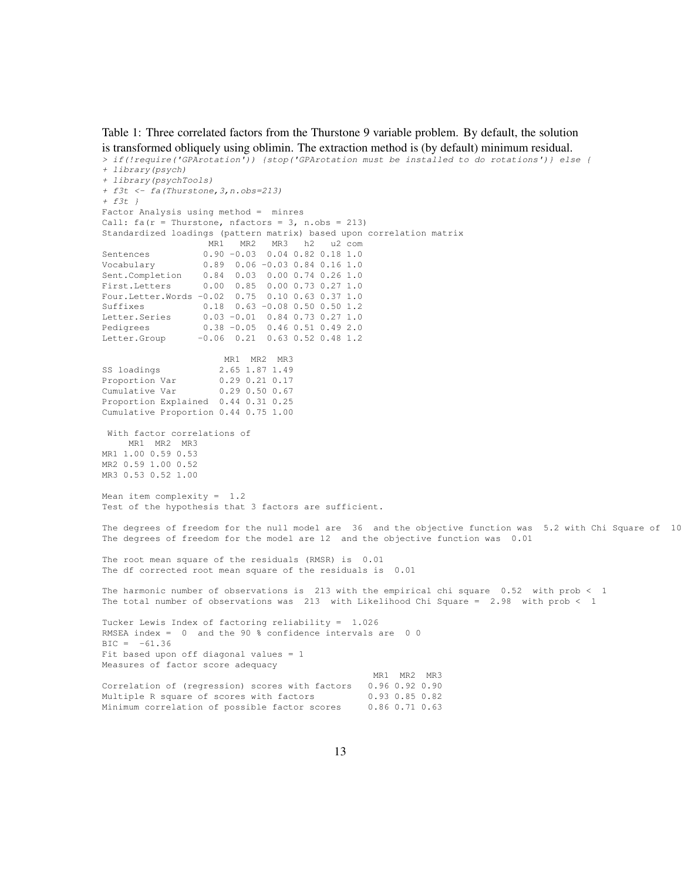Table 1: Three correlated factors from the Thurstone 9 variable problem. By default, the solution is transformed obliquely using oblimin. The extraction method is (by default) minimum residual.

```
> if(!require('GPArotation')) {stop('GPArotation must be installed to do rotations')} else {
+ library(psych)
+ library(psychTools)
+ f3t <- fa(Thurstone,3,n.obs=213)
+ f3t }
Factor Analysis using method = minres
Call: fa(r = Thurstone, nfactors = 3, n.obs = 213)Standardized loadings (pattern matrix) based upon correlation matrix
                 MR1 MR2 MR3 h2 u2 com
Sentences 0.90 -0.03 0.04 0.82 0.18 1.0
Vocabulary 0.89 0.06 -0.03 0.84 0.16 1.0
Sent.Completion 0.84 0.03 0.00 0.74 0.26 1.0
First.Letters 0.00 0.85 0.00 0.73 0.27 1.0
Four.Letter.Words -0.02 0.75 0.10 0.63 0.37 1.0
Suffixes 0.18 0.63 -0.08 0.50 0.50 1.2
Letter.Series 0.03 -0.01 0.84 0.73 0.27 1.0
Pedigrees 0.38 -0.05 0.46 0.51 0.49 2.0
Letter.Group -0.06 0.21 0.63 0.52 0.48 1.2
                     MR1 MR2 MR3
SS loadings 2.65 1.87 1.49
Proportion Var 0.29 0.21 0.17
Cumulative Var 0.29 0.50 0.67
Proportion Explained 0.44 0.31 0.25
Cumulative Proportion 0.44 0.75 1.00
With factor correlations of
    MR1 MR2 MR3
MR1 1.00 0.59 0.53
MR2 0.59 1.00 0.52
MR3 0.53 0.52 1.00
Mean item complexity = 1.2
Test of the hypothesis that 3 factors are sufficient.
The degrees of freedom for the null model are 36 and the objective function was 5.2 with Chi Square of 10
The degrees of freedom for the model are 12 and the objective function was 0.01
The root mean square of the residuals (RMSR) is 0.01
The df corrected root mean square of the residuals is 0.01
The harmonic number of observations is 213 with the empirical chi square 0.52 with prob < 1
The total number of observations was 213 with Likelihood Chi Square = 2.98 with prob < 1
Tucker Lewis Index of factoring reliability = 1.026
RMSEA index = 0 and the 90 % confidence intervals are 0 0
BIC = -61.36Fit based upon off diagonal values = 1Measures of factor score adequacy
                                               MR1 MR2 MR3
Correlation of (regression) scores with factors 0.96 0.92 0.90
Multiple R square of scores with factors 0.93 0.85 0.82
Minimum correlation of possible factor scores 0.86 0.71 0.63
```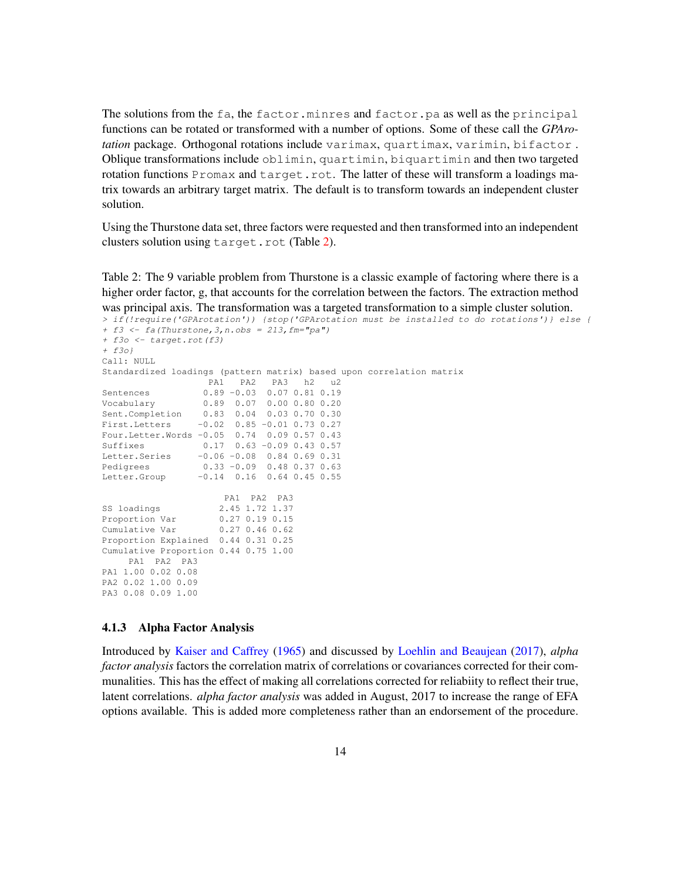The solutions from the fa, the factor.minres and factor.pa as well as the principal functions can be rotated or transformed with a number of options. Some of these call the *GPArotation* package. Orthogonal rotations include varimax, quartimax, varimin, bifactor . Oblique transformations include oblimin, quartimin, biquartimin and then two targeted rotation functions Promax and target.rot. The latter of these will transform a loadings matrix towards an arbitrary target matrix. The default is to transform towards an independent cluster solution.

Using the Thurstone data set, three factors were requested and then transformed into an independent clusters solution using target.rot (Table 2).

Table 2: The 9 variable problem from Thurstone is a classic example of factoring where there is a higher order factor, g, that accounts for the correlation between the factors. The extraction method was principal axis. The transformation was a targeted transformation to a simple cluster solution.

```
> if(!require('GPArotation')) {stop('GPArotation must be installed to do rotations')} else {
+ f3 <- fa(Thurstone,3,n.obs = 213,fm="pa")
+ f3o <- target.rot(f3)
+ f3o}
Call: NULL
Standardized loadings (pattern matrix) based upon correlation matrix
                  PA1 PA2 PA3 h2 u2
Sentences 0.89 -0.03 0.07 0.81 0.19
Vocabulary 0.89 0.07 0.00 0.80 0.20
Sent.Completion 0.83 0.04 0.03 0.70 0.30
First.Letters -0.02 0.85 -0.01 0.73 0.27
Four.Letter.Words -0.05 0.74 0.09 0.57 0.43
Suffixes 0.17 0.63 -0.09 0.43 0.57
Letter.Series -0.06 -0.08 0.84 0.69 0.31
Pedigrees 0.33 -0.09 0.48 0.37 0.63
Letter.Group -0.14 0.16 0.64 0.45 0.55
                    PA1 PA2 PA3
SS loadings 2.45 1.72 1.37
Proportion Var 0.27 0.19 0.15
Cumulative Var 0.27 0.46 0.62
Proportion Explained 0.44 0.31 0.25
Cumulative Proportion 0.44 0.75 1.00
   PA1 PA2 PA3
PA1 1.00 0.02 0.08
PA2 0.02 1.00 0.09
PA3 0.08 0.09 1.00
```
#### 4.1.3 Alpha Factor Analysis

Introduced by Kaiser and Caffrey (1965) and discussed by Loehlin and Beaujean (2017), *alpha factor analysis* factors the correlation matrix of correlations or covariances corrected for their communalities. This has the effect of making all correlations corrected for reliabiity to reflect their true, latent correlations. *alpha factor analysis* was added in August, 2017 to increase the range of EFA options available. This is added more completeness rather than an endorsement of the procedure.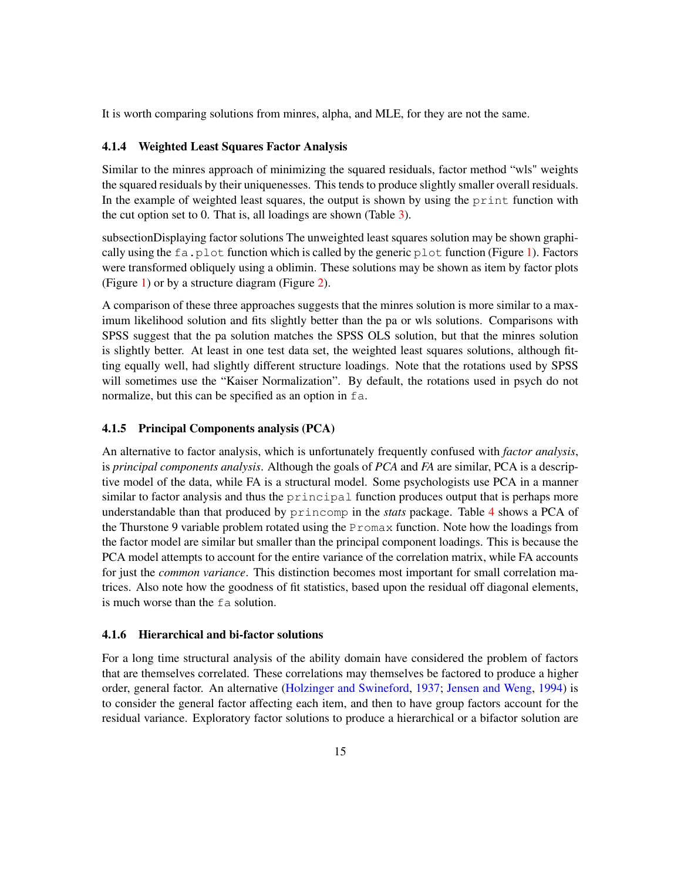It is worth comparing solutions from minres, alpha, and MLE, for they are not the same.

#### 4.1.4 Weighted Least Squares Factor Analysis

Similar to the minres approach of minimizing the squared residuals, factor method "wls" weights the squared residuals by their uniquenesses. This tends to produce slightly smaller overall residuals. In the example of weighted least squares, the output is shown by using the print function with the cut option set to 0. That is, all loadings are shown (Table 3).

subsectionDisplaying factor solutions The unweighted least squares solution may be shown graphically using the  $fa$ ,  $p$  lot function which is called by the generic  $p$  lot function (Figure 1). Factors were transformed obliquely using a oblimin. These solutions may be shown as item by factor plots (Figure 1) or by a structure diagram (Figure 2).

A comparison of these three approaches suggests that the minres solution is more similar to a maximum likelihood solution and fits slightly better than the pa or wls solutions. Comparisons with SPSS suggest that the pa solution matches the SPSS OLS solution, but that the minres solution is slightly better. At least in one test data set, the weighted least squares solutions, although fitting equally well, had slightly different structure loadings. Note that the rotations used by SPSS will sometimes use the "Kaiser Normalization". By default, the rotations used in psych do not normalize, but this can be specified as an option in fa.

#### 4.1.5 Principal Components analysis (PCA)

An alternative to factor analysis, which is unfortunately frequently confused with *factor analysis*, is *principal components analysis*. Although the goals of *PCA* and *FA* are similar, PCA is a descriptive model of the data, while FA is a structural model. Some psychologists use PCA in a manner similar to factor analysis and thus the principal function produces output that is perhaps more understandable than that produced by princomp in the *stats* package. Table 4 shows a PCA of the Thurstone 9 variable problem rotated using the Promax function. Note how the loadings from the factor model are similar but smaller than the principal component loadings. This is because the PCA model attempts to account for the entire variance of the correlation matrix, while FA accounts for just the *common variance*. This distinction becomes most important for small correlation matrices. Also note how the goodness of fit statistics, based upon the residual off diagonal elements, is much worse than the fa solution.

#### 4.1.6 Hierarchical and bi-factor solutions

For a long time structural analysis of the ability domain have considered the problem of factors that are themselves correlated. These correlations may themselves be factored to produce a higher order, general factor. An alternative (Holzinger and Swineford, 1937; Jensen and Weng, 1994) is to consider the general factor affecting each item, and then to have group factors account for the residual variance. Exploratory factor solutions to produce a hierarchical or a bifactor solution are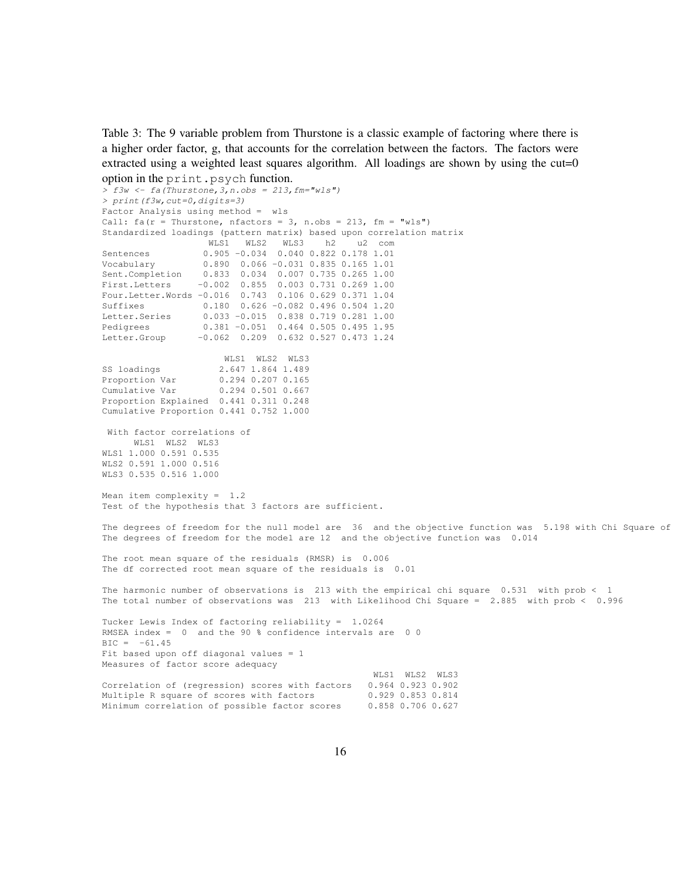Table 3: The 9 variable problem from Thurstone is a classic example of factoring where there is a higher order factor, g, that accounts for the correlation between the factors. The factors were extracted using a weighted least squares algorithm. All loadings are shown by using the cut=0 option in the print.psych function.

```
> f3w <- fa(Thurstone,3,n.obs = 213,fm="wls")
> print(f3w,cut=0,digits=3)
Factor Analysis using method = wls
Call: fa(r = Thurstone, nfactors = 3, n.obs = 213, fm = "wls")Standardized loadings (pattern matrix) based upon correlation matrix
                  WLS1 WLS2 WLS3 h2 u2 com
Sentences 0.905 -0.034 0.040 0.822 0.178 1.01
Vocabulary 0.890 0.066 -0.031 0.835 0.165 1.01
Sent.Completion 0.833 0.034 0.007 0.735 0.265 1.00
First.Letters -0.002 0.855 0.003 0.731 0.269 1.00
Four.Letter.Words -0.016 0.743 0.106 0.629 0.371 1.04
Suffixes 0.180 0.626 -0.082 0.496 0.504 1.20
Letter.Series 0.033 -0.015 0.838 0.719 0.281 1.00
Pedigrees 0.381 -0.051 0.464 0.505 0.495 1.95
Letter.Group -0.062 0.209 0.632 0.527 0.473 1.24
                     WLS1 WLS2 WLS3
SS loadings 2.647 1.864 1.489<br>Proportion Var 0.294 0.207 0.165
                    0.294 0.207 0.165Cumulative Var 0.294 0.501 0.667
Proportion Explained 0.441 0.311 0.248
Cumulative Proportion 0.441 0.752 1.000
With factor correlations of
     WLS1 WLS2 WLS3
WLS1 1.000 0.591 0.535
WLS2 0.591 1.000 0.516
WLS3 0.535 0.516 1.000
Mean item complexity = 1.2
Test of the hypothesis that 3 factors are sufficient.
The degrees of freedom for the null model are 36 and the objective function was 5.198 with Chi Square of
The degrees of freedom for the model are 12 and the objective function was 0.014
The root mean square of the residuals (RMSR) is 0.006
The df corrected root mean square of the residuals is 0.01
The harmonic number of observations is 213 with the empirical chi square 0.531 with prob < 1
The total number of observations was 213 with Likelihood Chi Square = 2.885 with prob < 0.996
Tucker Lewis Index of factoring reliability = 1.0264
RMSEA index = 0 and the 90 % confidence intervals are 0 0
BIC = -61.45Fit based upon off diagonal values = 1
Measures of factor score adequacy
                                                WLS1 WLS2 WLS3
Correlation of (regression) scores with factors 0.964 0.923 0.902
Multiple R square of scores with factors 0.929 0.853 0.814
Minimum correlation of possible factor scores 0.858 0.706 0.627
```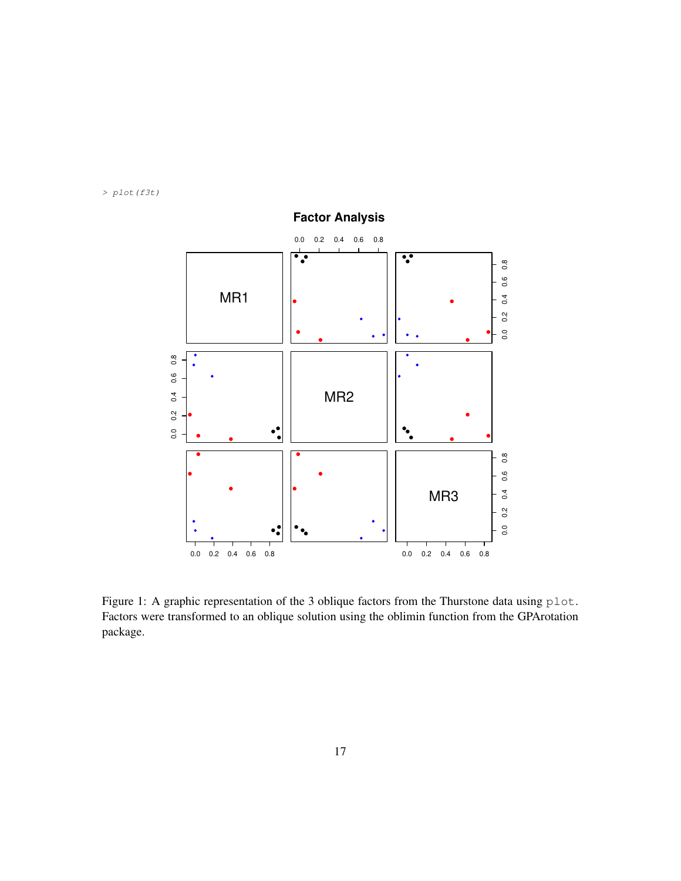*> plot(f3t)*



**Factor Analysis**

Figure 1: A graphic representation of the 3 oblique factors from the Thurstone data using plot. Factors were transformed to an oblique solution using the oblimin function from the GPArotation package.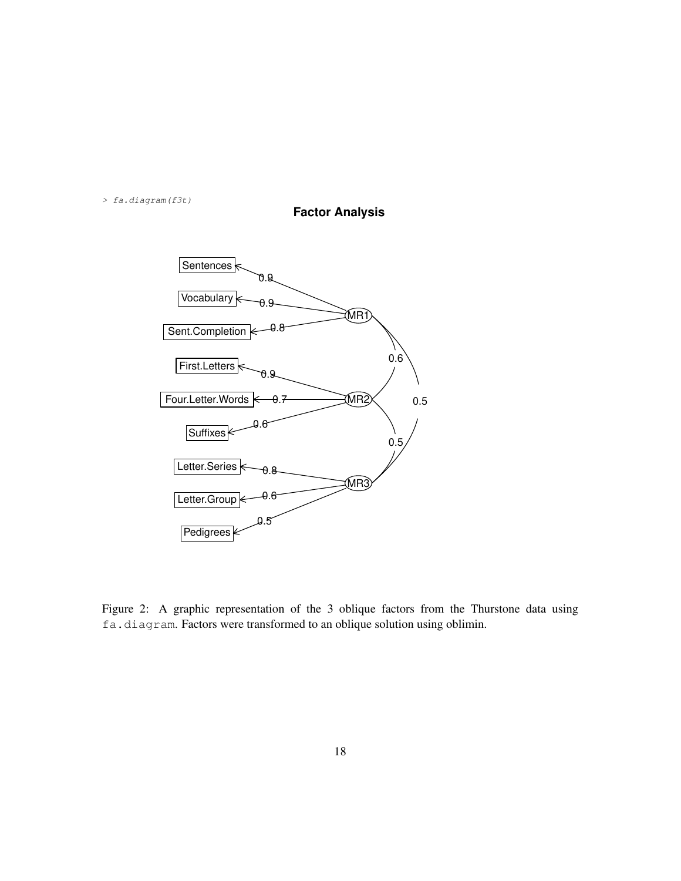*> fa.diagram(f3t)*





Figure 2: A graphic representation of the 3 oblique factors from the Thurstone data using fa.diagram. Factors were transformed to an oblique solution using oblimin.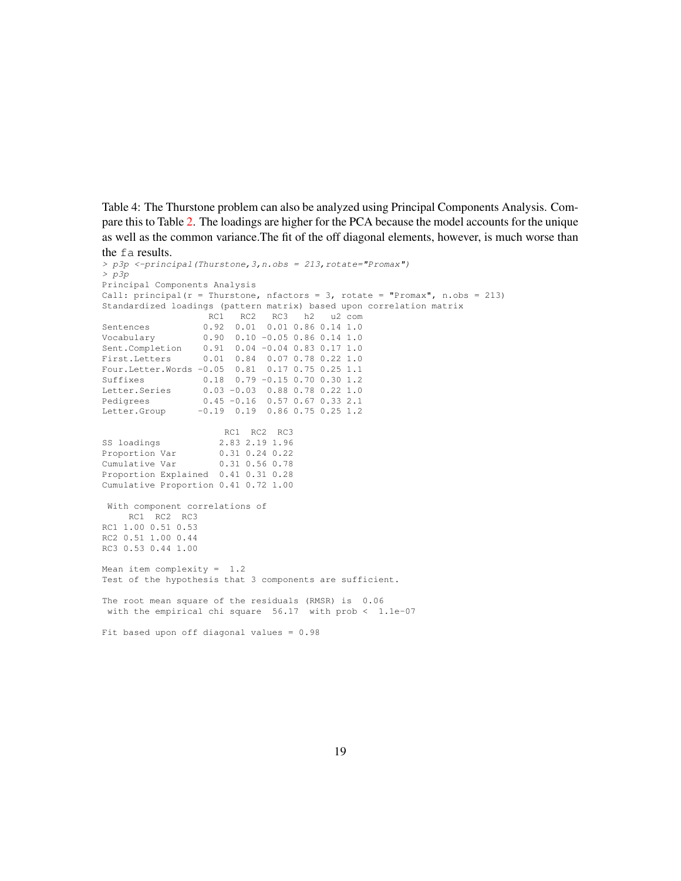Table 4: The Thurstone problem can also be analyzed using Principal Components Analysis. Compare this to Table 2. The loadings are higher for the PCA because the model accounts for the unique as well as the common variance.The fit of the off diagonal elements, however, is much worse than the fa results.

```
> p3p <-principal(Thurstone,3,n.obs = 213,rotate="Promax")
> p3p
Principal Components Analysis
Call: principal(r = Thurstone, nfactors = 3, rotate = "Promax", n.obs = 213)
Standardized loadings (pattern matrix) based upon correlation matrix
                   RC1 RC2 RC3 h2 u2 com
Sentences 0.92 0.01 0.01 0.86 0.14 1.0
Vocabulary 0.90 0.10 -0.05 0.86 0.14 1.0
Sent.Completion 0.91 0.04 -0.04 0.83 0.17 1.0
First.Letters 0.01 0.84 0.07 0.78 0.22 1.0
Four.Letter.Words -0.05 0.81 0.17 0.75 0.25 1.1
Suffixes 0.18 0.79 -0.15 0.70 0.30 1.2
Letter.Series 0.03 -0.03 0.88 0.78 0.22 1.0
Pedigrees 0.45 -0.16 0.57 0.67 0.33 2.1
Letter.Group -0.19 0.19 0.86 0.75 0.25 1.2
                      RC1 RC2 RC3
SS loadings 2.83 2.19 1.96<br>Proportion Var 0.31 0.24 0.22
                     0.31 0.24 0.22<br>0.31 0.56 0.78Cumulative Var
Proportion Explained 0.41 0.31 0.28
Cumulative Proportion 0.41 0.72 1.00
With component correlations of
    RC1 RC2 RC3
RC1 1.00 0.51 0.53
RC2 0.51 1.00 0.44
RC3 0.53 0.44 1.00
Mean item complexity = 1.2
Test of the hypothesis that 3 components are sufficient.
The root mean square of the residuals (RMSR) is 0.06
 with the empirical chi square 56.17 with prob < 1.1e-07
Fit based upon off diagonal values = 0.98
```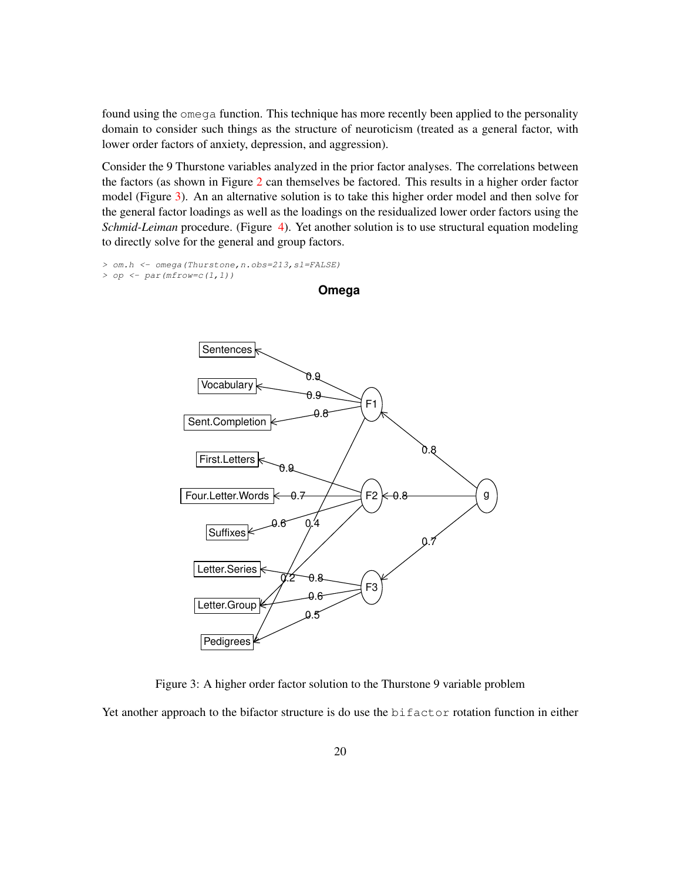found using the omega function. This technique has more recently been applied to the personality domain to consider such things as the structure of neuroticism (treated as a general factor, with lower order factors of anxiety, depression, and aggression).

Consider the 9 Thurstone variables analyzed in the prior factor analyses. The correlations between the factors (as shown in Figure 2 can themselves be factored. This results in a higher order factor model (Figure 3). An an alternative solution is to take this higher order model and then solve for the general factor loadings as well as the loadings on the residualized lower order factors using the *Schmid-Leiman* procedure. (Figure 4). Yet another solution is to use structural equation modeling to directly solve for the general and group factors.

*> om.h <- omega(Thurstone,n.obs=213,sl=FALSE)*

*> op <- par(mfrow=c(1,1))*



**Omega**

Figure 3: A higher order factor solution to the Thurstone 9 variable problem

Yet another approach to the bifactor structure is do use the bifactor rotation function in either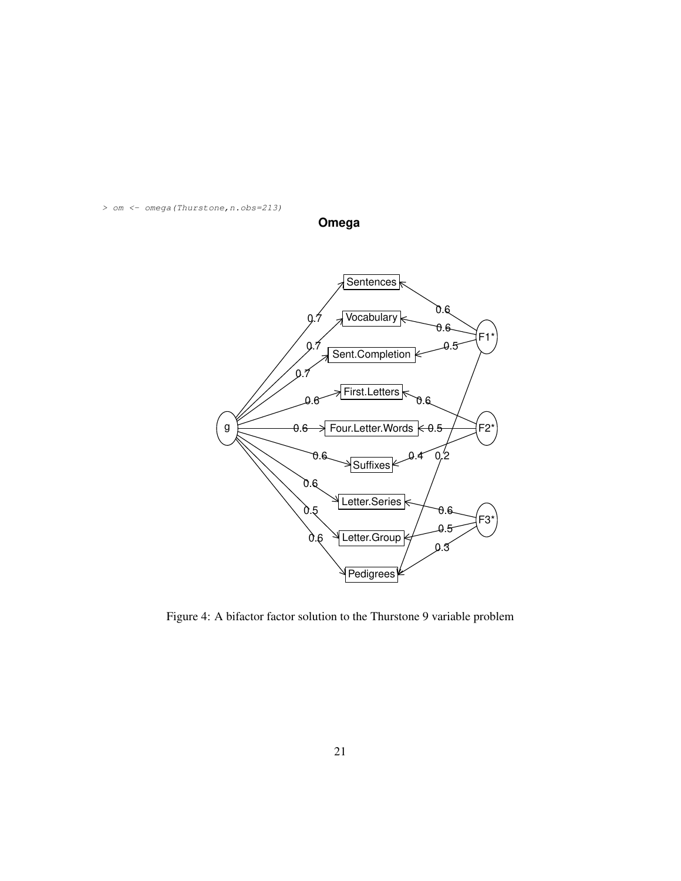*> om <- omega(Thurstone,n.obs=213)*



**Omega**

Figure 4: A bifactor factor solution to the Thurstone 9 variable problem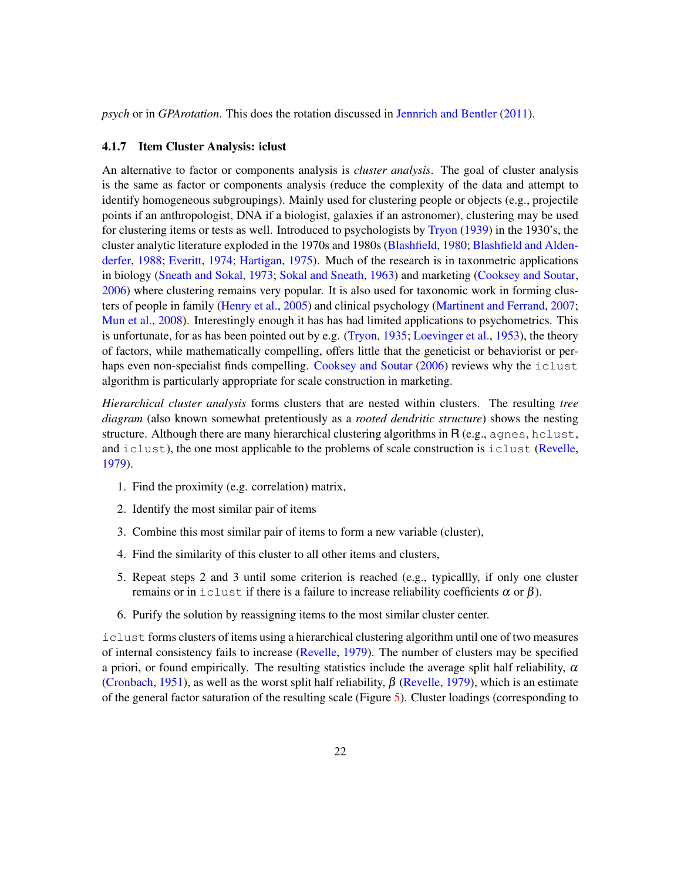*psych* or in *GPArotation*. This does the rotation discussed in Jennrich and Bentler (2011).

#### 4.1.7 Item Cluster Analysis: iclust

An alternative to factor or components analysis is *cluster analysis*. The goal of cluster analysis is the same as factor or components analysis (reduce the complexity of the data and attempt to identify homogeneous subgroupings). Mainly used for clustering people or objects (e.g., projectile points if an anthropologist, DNA if a biologist, galaxies if an astronomer), clustering may be used for clustering items or tests as well. Introduced to psychologists by Tryon (1939) in the 1930's, the cluster analytic literature exploded in the 1970s and 1980s (Blashfield, 1980; Blashfield and Aldenderfer, 1988; Everitt, 1974; Hartigan, 1975). Much of the research is in taxonmetric applications in biology (Sneath and Sokal, 1973; Sokal and Sneath, 1963) and marketing (Cooksey and Soutar, 2006) where clustering remains very popular. It is also used for taxonomic work in forming clusters of people in family (Henry et al., 2005) and clinical psychology (Martinent and Ferrand, 2007; Mun et al., 2008). Interestingly enough it has has had limited applications to psychometrics. This is unfortunate, for as has been pointed out by e.g. (Tryon, 1935; Loevinger et al., 1953), the theory of factors, while mathematically compelling, offers little that the geneticist or behaviorist or perhaps even non-specialist finds compelling. Cooksey and Soutar (2006) reviews why the iclust algorithm is particularly appropriate for scale construction in marketing.

*Hierarchical cluster analysis* forms clusters that are nested within clusters. The resulting *tree diagram* (also known somewhat pretentiously as a *rooted dendritic structure*) shows the nesting structure. Although there are many hierarchical clustering algorithms in R (e.g., agnes, hclust, and iclust), the one most applicable to the problems of scale construction is iclust (Revelle, 1979).

- 1. Find the proximity (e.g. correlation) matrix,
- 2. Identify the most similar pair of items
- 3. Combine this most similar pair of items to form a new variable (cluster),
- 4. Find the similarity of this cluster to all other items and clusters,
- 5. Repeat steps 2 and 3 until some criterion is reached (e.g., typicallly, if only one cluster remains or in iclust if there is a failure to increase reliability coefficients  $\alpha$  or  $\beta$ ).
- 6. Purify the solution by reassigning items to the most similar cluster center.

iclust forms clusters of items using a hierarchical clustering algorithm until one of two measures of internal consistency fails to increase (Revelle, 1979). The number of clusters may be specified a priori, or found empirically. The resulting statistics include the average split half reliability,  $\alpha$ (Cronbach, 1951), as well as the worst split half reliability,  $\beta$  (Revelle, 1979), which is an estimate of the general factor saturation of the resulting scale (Figure 5). Cluster loadings (corresponding to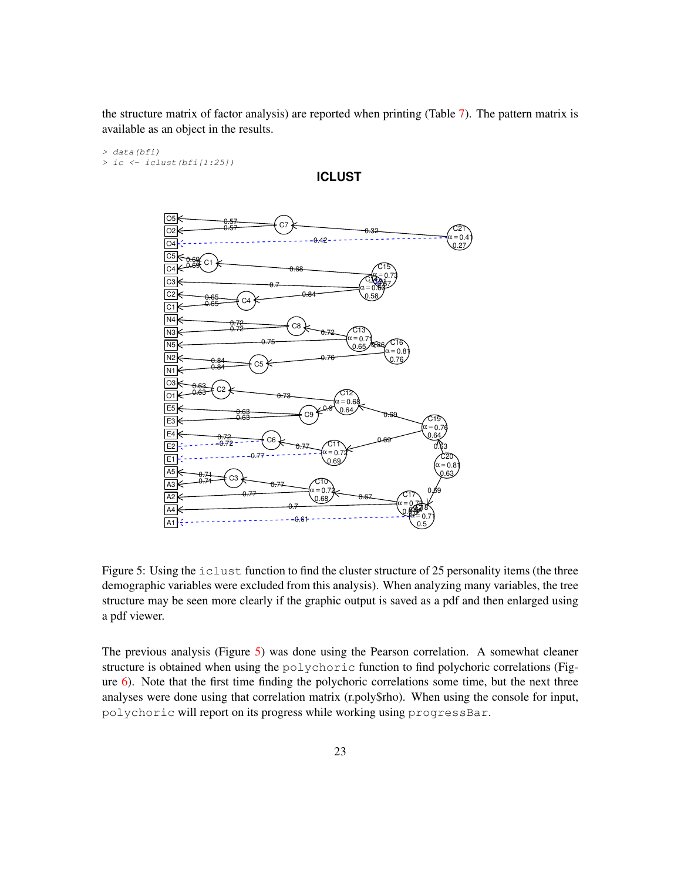the structure matrix of factor analysis) are reported when printing (Table 7). The pattern matrix is available as an object in the results.

#### *> data(bfi) > ic <- iclust(bfi[1:25])*



**ICLUST**

Figure 5: Using the iclust function to find the cluster structure of 25 personality items (the three demographic variables were excluded from this analysis). When analyzing many variables, the tree structure may be seen more clearly if the graphic output is saved as a pdf and then enlarged using a pdf viewer.

The previous analysis (Figure  $5$ ) was done using the Pearson correlation. A somewhat cleaner structure is obtained when using the polychoric function to find polychoric correlations (Figure 6). Note that the first time finding the polychoric correlations some time, but the next three analyses were done using that correlation matrix (r.poly\$rho). When using the console for input, polychoric will report on its progress while working using progressBar.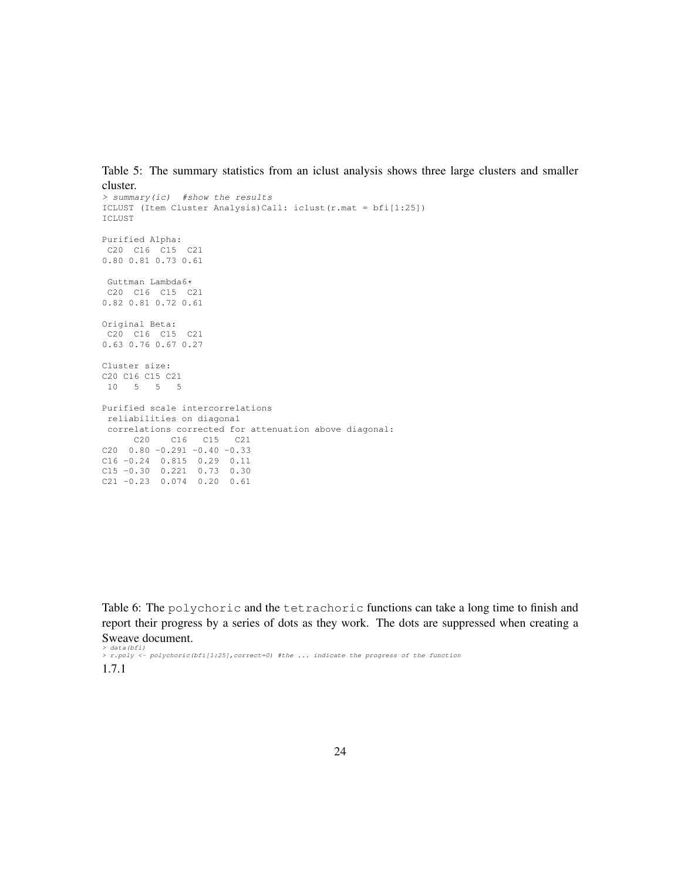Table 5: The summary statistics from an iclust analysis shows three large clusters and smaller cluster.

```
> summary(ic) #show the results
ICLUST (Item Cluster Analysis)Call: iclust(r.mat = bfi[1:25])
ICLUST
Purified Alpha:
C20 C16 C15 C21
0.80 0.81 0.73 0.61
 Guttman Lambda6*
C20 C16 C15 C21
0.82 0.81 0.72 0.61
Original Beta:
C20 C16 C15 C21
0.63 0.76 0.67 0.27
Cluster size:
C20 C16 C15 C21
10 5 5 5
Purified scale intercorrelations
reliabilities on diagonal
correlations corrected for attenuation above diagonal:
     C20 C16 C15 C21
C20 0.80 -0.291 -0.40 -0.33C16 -0.24 0.815 0.29 0.11
C15 -0.30 0.221 0.73 0.30
C21 -0.23 0.074 0.20 0.61
```
Table 6: The polychoric and the tetrachoric functions can take a long time to finish and report their progress by a series of dots as they work. The dots are suppressed when creating a Sweave document.

*> data(bfi) > r.poly <- polychoric(bfi[1:25],correct=0) #the ... indicate the progress of the function* 1.7.1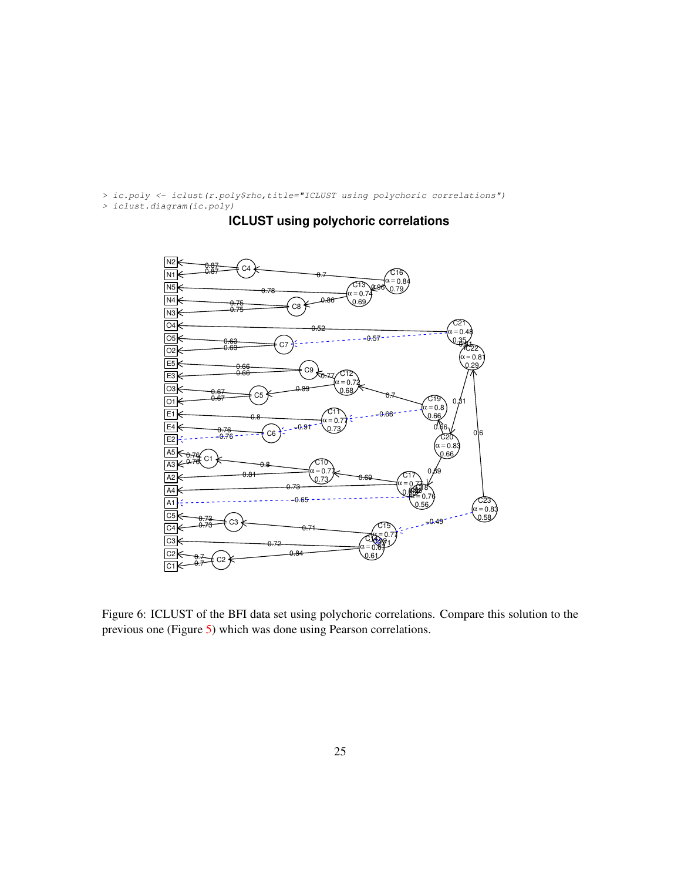*> ic.poly <- iclust(r.poly\$rho,title="ICLUST using polychoric correlations")*

*> iclust.diagram(ic.poly)*



## **ICLUST using polychoric correlations**

Figure 6: ICLUST of the BFI data set using polychoric correlations. Compare this solution to the previous one (Figure 5) which was done using Pearson correlations.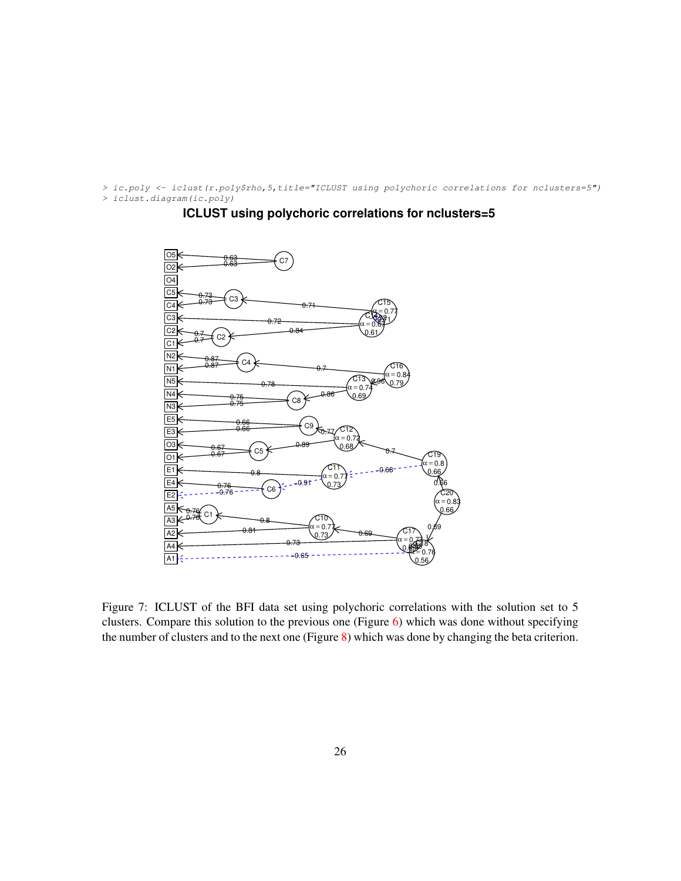*> ic.poly <- iclust(r.poly\$rho,5,title="ICLUST using polychoric correlations for nclusters=5") > iclust.diagram(ic.poly)*



#### **ICLUST using polychoric correlations for nclusters=5**

Figure 7: ICLUST of the BFI data set using polychoric correlations with the solution set to 5 clusters. Compare this solution to the previous one (Figure 6) which was done without specifying the number of clusters and to the next one (Figure 8) which was done by changing the beta criterion.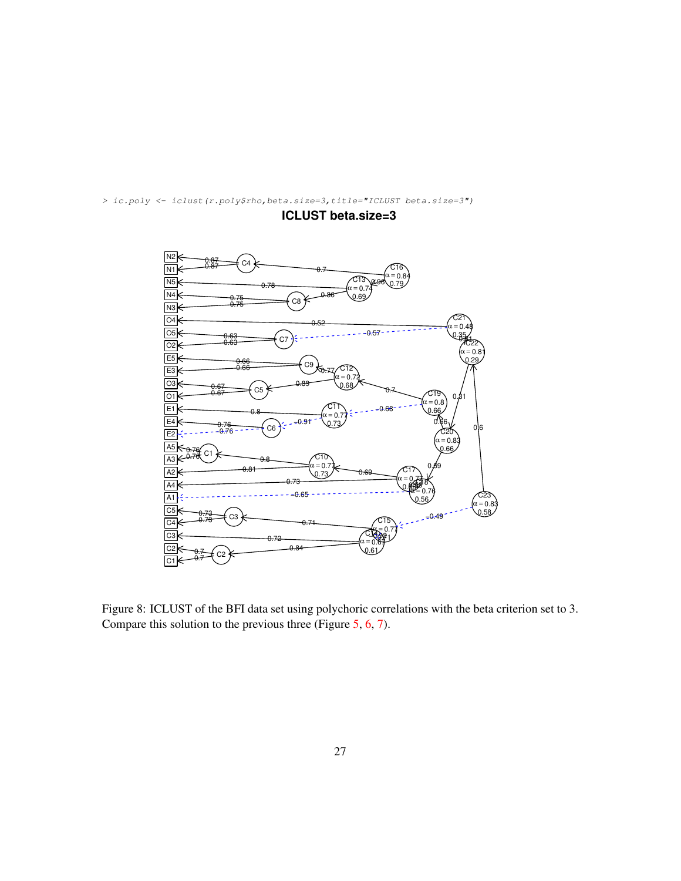

*> ic.poly <- iclust(r.poly\$rho,beta.size=3,title="ICLUST beta.size=3")*

**ICLUST beta.size=3**

Figure 8: ICLUST of the BFI data set using polychoric correlations with the beta criterion set to 3. Compare this solution to the previous three (Figure 5, 6, 7).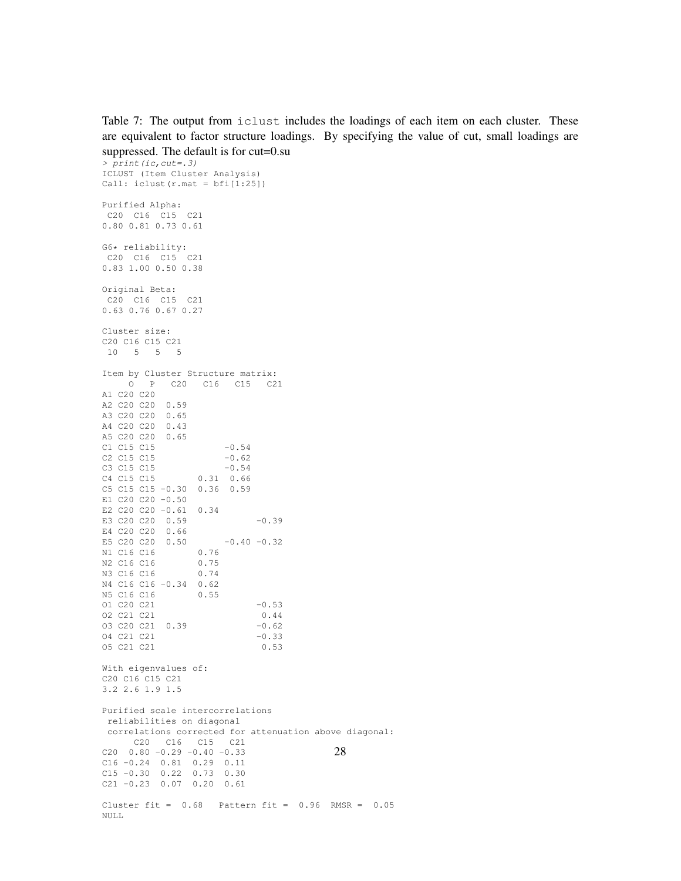Table 7: The output from iclust includes the loadings of each item on each cluster. These are equivalent to factor structure loadings. By specifying the value of cut, small loadings are suppressed. The default is for cut=0.su

*> print(ic,cut=.3)* ICLUST (Item Cluster Analysis) Call: iclust(r.mat = bfi[1:25]) Purified Alpha: C20 C16 C15 C21 0.80 0.81 0.73 0.61 G6\* reliability: C20 C16 C15 C21 0.83 1.00 0.50 0.38 Original Beta: C20 C16 C15 C21 0.63 0.76 0.67 0.27 Cluster size: C20 C16 C15 C21 10 5 5 5 Item by Cluster Structure matrix: O P C20 C16 C15 C21 A1 C20 C20 A2 C20 C20 0.59 A3 C20 C20 0.65 A4 C20 C20 0.43 A5 C20 C20 0.65  $C1 \, C15 \, C15$   $-0.54$ C2 C15 C15  $-0.62$ <br>C3 C15 C15  $-0.54$ C3 C15  $-0.54$ C4 C15 C15 0.31 0.66 C5 C15 C15 -0.30 0.36 0.59 E1 C20 C20 -0.50 E2 C20 C20 -0.61 0.34 E3 C20 C20 0.59 -0.39 E4 C20 C20 0.66 E5 C20 C20 0.50  $-0.40$   $-0.32$ N1 C16 C16 0.76<br>N2 C16 C16 0.75 N2 C16 C16 0.75 N3 C16 C16 0.74 N4 C16 C16 -0.34 0.62 N5 C16 C16 0.55 01 C20 C21 -0.53 O2 C21 C21 0.44 O3 C20 C21 0.39 -0.62 04 C21 C21 -0.33 O5 C21 C21 0.53 With eigenvalues of: C20 C16 C15 C21 3.2 2.6 1.9 1.5 Purified scale intercorrelations reliabilities on diagonal correlations corrected for attenuation above diagonal: C20 C16 C15 C21  $C20$   $0.80$   $-0.29$   $-0.40$   $-0.33$ C16 -0.24 0.81 0.29 0.11 C15 -0.30 0.22 0.73 0.30 C21 -0.23 0.07 0.20 0.61 Cluster fit =  $0.68$  Pattern fit =  $0.96$  RMSR =  $0.05$ NULL 28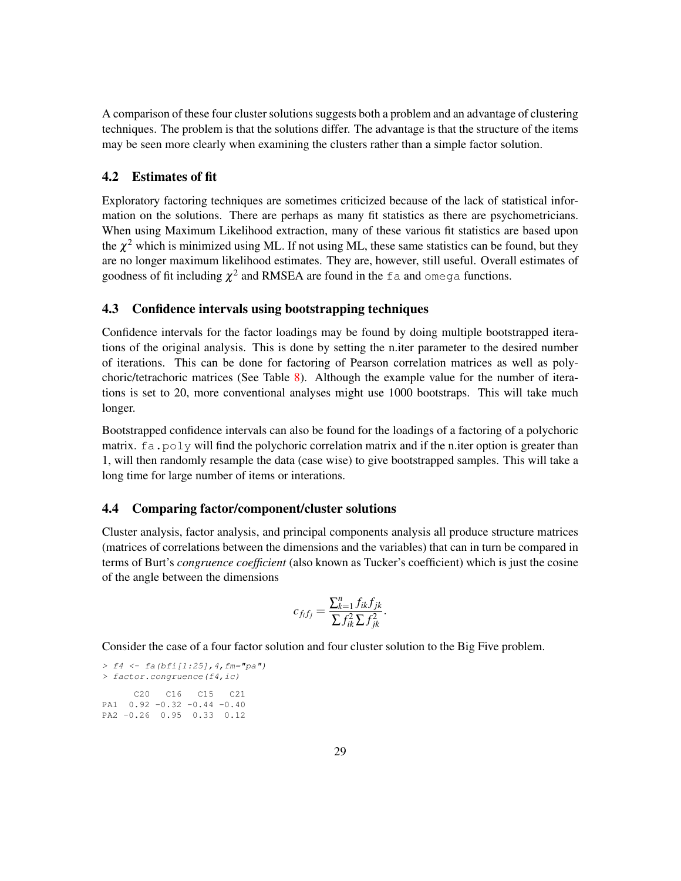A comparison of these four cluster solutions suggests both a problem and an advantage of clustering techniques. The problem is that the solutions differ. The advantage is that the structure of the items may be seen more clearly when examining the clusters rather than a simple factor solution.

#### 4.2 Estimates of fit

Exploratory factoring techniques are sometimes criticized because of the lack of statistical information on the solutions. There are perhaps as many fit statistics as there are psychometricians. When using Maximum Likelihood extraction, many of these various fit statistics are based upon the  $\chi^2$  which is minimized using ML. If not using ML, these same statistics can be found, but they are no longer maximum likelihood estimates. They are, however, still useful. Overall estimates of goodness of fit including  $\chi^2$  and RMSEA are found in the fa and omega functions.

#### 4.3 Confidence intervals using bootstrapping techniques

Confidence intervals for the factor loadings may be found by doing multiple bootstrapped iterations of the original analysis. This is done by setting the n.iter parameter to the desired number of iterations. This can be done for factoring of Pearson correlation matrices as well as polychoric/tetrachoric matrices (See Table  $8$ ). Although the example value for the number of iterations is set to 20, more conventional analyses might use 1000 bootstraps. This will take much longer.

Bootstrapped confidence intervals can also be found for the loadings of a factoring of a polychoric matrix.  $fa.poly will find the polychoric correlation matrix and if the n.iter option is greater than$ 1, will then randomly resample the data (case wise) to give bootstrapped samples. This will take a long time for large number of items or interations.

#### 4.4 Comparing factor/component/cluster solutions

Cluster analysis, factor analysis, and principal components analysis all produce structure matrices (matrices of correlations between the dimensions and the variables) that can in turn be compared in terms of Burt's *congruence coefficient* (also known as Tucker's coefficient) which is just the cosine of the angle between the dimensions

$$
c_{f_i f_j} = \frac{\sum_{k=1}^n f_{ik} f_{jk}}{\sum f_{ik}^2 \sum f_{jk}^2}.
$$

Consider the case of a four factor solution and four cluster solution to the Big Five problem.

```
> f4 <- fa(bfi[1:25],4,fm="pa")
> factor.congruence(f4,ic)
     C20 C16 C15 C21
PA1 0.92 -0.32 -0.44 -0.40
PA2 -0.26 0.95 0.33 0.12
```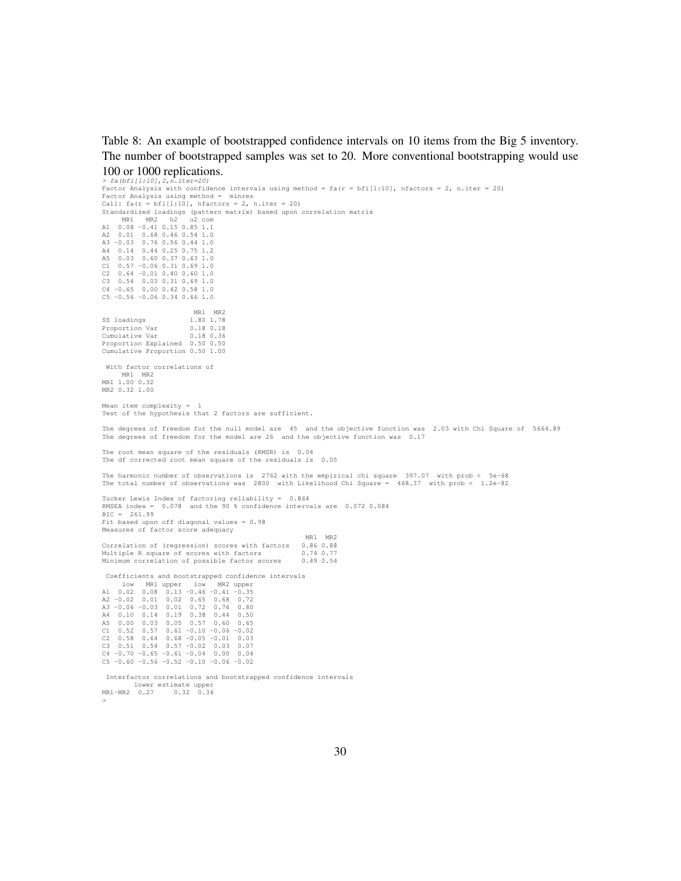Table 8: An example of bootstrapped confidence intervals on 10 items from the Big 5 inventory. The number of bootstrapped samples was set to 20. More conventional bootstrapping would use 100 or 1000 replications.

*> fa(bfi[1:10],2,n.iter=20)* Factor Analysis with confidence intervals using method = fa(r = bfi[1:10], nfactors = 2, n.iter = 20) Factor Analysis using method = minres  $\text{Call: } \text{fa}(r = \text{bf}[1:10], \text{nfactors} = 2, \text{ n.iter} = 20)$ Standardized loadings (pattern matrix) based upon correlation matrix MR1 MR2 h2 u2 com A1 0.08 -0.41 0.15 0.85 1.1 A2 0.01 0.68 0.46 0.54 1.0 A3 -0.03 0.76 0.56 0.44 1.0 A4 0.14 0.44 0.25 0.75 1.2 A5 0.03 0.60 0.37 0.63 1.0 C1 0.57 -0.06 0.31 0.69 1.0 C2 0.64 -0.01 0.40 0.60 1.0 C3 0.54 0.03 0.31 0.69 1.0 C4 -0.65 0.00 0.42 0.58 1.0 C5 -0.56 -0.06 0.34 0.66 1.0 MR1 MR2<br>1.80 1.78 SS loadings 1.80 1.78<br>Proportion Var 0.18 0.18 Proportion Var Cumulative Var 0.18 0.36 Proportion Explained 0.50 0.50 Cumulative Proportion 0.50 1.00 With factor correlations of MR1 MR2<br>MR1 1.00 0.32 MR2 0.32 1.00 Mean item complexity  $=$ Test of the hypothesis that 2 factors are sufficient. The degrees of freedom for the null model are 45 and the objective function was 2.03 with Chi Square of 5664.89 The degrees of freedom for the model are 26 and the objective function was 0.17 The root mean square of the residuals (RMSR) is 0.04 The df corrected root mean square of the residuals is 0.05 The harmonic number of observations is 2762 with the empirical chi square 397.07 with prob < 5e-68 The total number of observations was 2800 with Likelihood Chi Square = 468.37 with prob < 1.2e-82 Tucker Lewis Index of factoring reliability = 0.864 RMSEA index = 0.078 and the 90 % confidence intervals are 0.072 0.084 BIC = 261.99 Fit based upon off diagonal values = 0.98 Measures of factor score adequacy MR1 MR2 Correlation of (regression) scores with factors 0.86 0.88<br>Multiple R square of scores with factors 0.74 0.77 Multiple R square of scores with factors 0.74 0.77<br>Minimum correlation of possible factor scores 0.49 0.54 Minimum correlation of possible factor scores Coefficients and bootstrapped confidence intervals low MR1 upper low MR2 upper A1 0.02 0.08 0.13 -0.46 -0.41 -0.35 A2 -0.02 0.01 0.02 0.65 0.68 0.72 A3 -0.06 -0.03 0.01 0.72 0.76 0.80 A4 0.10 0.14 0.19 0.38 0.44 0.50 A5 0.00 0.03 0.05 0.57  $C1 \quad 0.52 \quad 0.57 \quad 0.61 -0.10 -0.06 -0.02$ C2  $0.58$   $0.64$   $0.68$   $-0.05$   $-0.01$   $0.03$ <br>C3  $0.51$   $0.54$   $0.57$   $-0.02$   $0.03$   $0.07$  $0.51$   $0.54$   $0.57$   $-0.02$   $0.03$   $0.07$  $C4 -0.70 -0.65 -0.61 -0.04 0.00 0.04$  $C5 -0.60 -0.56 -0.52 -0.10 -0.06 -0.02$ Interfactor correlations and bootstrapped confidence intervals lower estimate upper MR1-MR2 0.27 0.32 0.36

*>*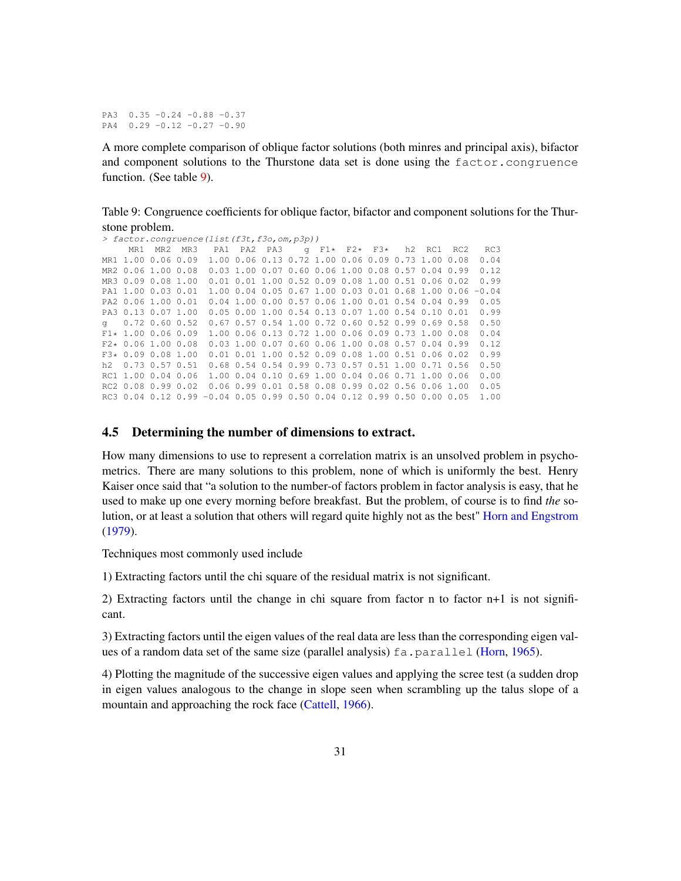PA3 0.35 -0.24 -0.88 -0.37 PA4 0.29 -0.12 -0.27 -0.90

A more complete comparison of oblique factor solutions (both minres and principal axis), bifactor and component solutions to the Thurstone data set is done using the factor.congruence function. (See table 9).

Table 9: Congruence coefficients for oblique factor, bifactor and component solutions for the Thurstone problem.

```
> factor.congruence(list(f3t,f3o,om,p3p))
     MR1 MR2 MR3 PA1 PA2 PA3 g F1* F2* F3* h2 RC1 RC2 RC3
MR1 1.00 0.06 0.09 1.00 0.06 0.13 0.72 1.00 0.06 0.09 0.73 1.00 0.08
MR2 0.06 1.00 0.08 0.03 1.00 0.07 0.60 0.06 1.00 0.08 0.57 0.04 0.99 0.12
MR3 0.09 0.08 1.00 0.01 0.01 1.00 0.52 0.09 0.08 1.00 0.51 0.06 0.02 0.99
PA1 1.00 0.03 0.01 1.00 0.04 0.05 0.67 1.00 0.03 0.01 0.68 1.00 0.06 -0.04
PA2 0.06 1.00 0.01 0.04 1.00 0.00 0.57 0.06 1.00 0.01 0.54 0.04 0.99 0.05
PA3 0.13 0.07 1.00 0.05 0.00 1.00 0.54 0.13 0.07 1.00 0.54 0.10 0.01 0.99
g 0.72 0.60 0.52 0.67 0.57 0.54 1.00 0.72 0.60 0.52 0.99 0.69 0.58 0.50
F1* 1.00 0.06 0.09 1.00 0.06 0.13 0.72 1.00 0.06 0.09 0.73 1.00 0.08 0.04 0.28 0.06 1.00 0.08 0.03 1.00 0.07 0.60 0.06 1.00 0.08 0.57 0.04 0.99 0.12F2* 0.06 1.00 0.08 0.03 1.00 0.07 0.60 0.06 1.00 0.08 0.57 0.04 0.99 0.12<br>F3* 0.09 0.08 1.00 0.01 0.01 1.00 0.52 0.09 0.08 1.00 0.51 0.06 0.02 0.99F3* 0.09 0.08 1.00 0.01 0.01 1.00 0.52 0.09 0.08 1.00 0.51 0.06 0.02 0.99<br>b2 0.73 0.57 0.51 0.68 0.54 0.54 0.99 0.73 0.57 0.51 1.00 0.71 0.56 0.50
h2 0.73 0.57 0.51 0.68 0.54 0.54 0.99 0.73 0.57 0.51 1.00 0.71 0.56 0.50
RC1 1.00 0.04 0.06 1.00 0.04 0.10 0.69 1.00 0.04 0.06 0.71 1.00 0.06 0.00
RC2 0.08 0.99 0.02 0.06 0.99 0.01 0.58 0.08 0.99 0.02 0.56 0.06 1.00 0.05
RC3 0.04 0.12 0.99 -0.04 0.05 0.99 0.50 0.04 0.12 0.99 0.50 0.00 0.05 1.00
```
#### 4.5 Determining the number of dimensions to extract.

How many dimensions to use to represent a correlation matrix is an unsolved problem in psychometrics. There are many solutions to this problem, none of which is uniformly the best. Henry Kaiser once said that "a solution to the number-of factors problem in factor analysis is easy, that he used to make up one every morning before breakfast. But the problem, of course is to find *the* solution, or at least a solution that others will regard quite highly not as the best" Horn and Engstrom (1979).

Techniques most commonly used include

1) Extracting factors until the chi square of the residual matrix is not significant.

2) Extracting factors until the change in chi square from factor n to factor n+1 is not significant.

3) Extracting factors until the eigen values of the real data are less than the corresponding eigen values of a random data set of the same size (parallel analysis) fa.parallel (Horn, 1965).

4) Plotting the magnitude of the successive eigen values and applying the scree test (a sudden drop in eigen values analogous to the change in slope seen when scrambling up the talus slope of a mountain and approaching the rock face (Cattell, 1966).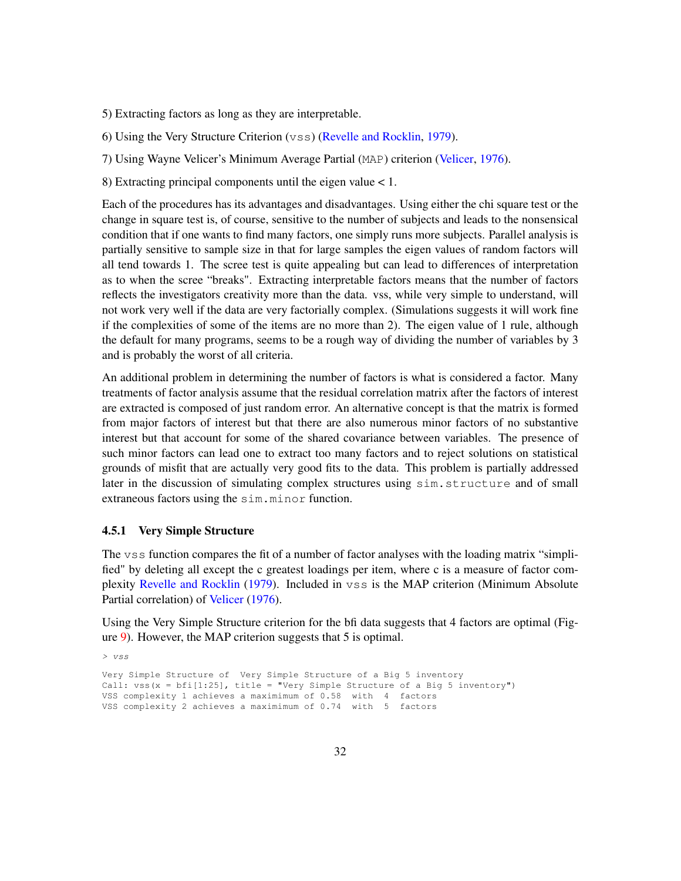5) Extracting factors as long as they are interpretable.

6) Using the Very Structure Criterion (vss) (Revelle and Rocklin, 1979).

7) Using Wayne Velicer's Minimum Average Partial (MAP) criterion (Velicer, 1976).

8) Extracting principal components until the eigen value < 1.

Each of the procedures has its advantages and disadvantages. Using either the chi square test or the change in square test is, of course, sensitive to the number of subjects and leads to the nonsensical condition that if one wants to find many factors, one simply runs more subjects. Parallel analysis is partially sensitive to sample size in that for large samples the eigen values of random factors will all tend towards 1. The scree test is quite appealing but can lead to differences of interpretation as to when the scree "breaks". Extracting interpretable factors means that the number of factors reflects the investigators creativity more than the data. vss, while very simple to understand, will not work very well if the data are very factorially complex. (Simulations suggests it will work fine if the complexities of some of the items are no more than 2). The eigen value of 1 rule, although the default for many programs, seems to be a rough way of dividing the number of variables by 3 and is probably the worst of all criteria.

An additional problem in determining the number of factors is what is considered a factor. Many treatments of factor analysis assume that the residual correlation matrix after the factors of interest are extracted is composed of just random error. An alternative concept is that the matrix is formed from major factors of interest but that there are also numerous minor factors of no substantive interest but that account for some of the shared covariance between variables. The presence of such minor factors can lead one to extract too many factors and to reject solutions on statistical grounds of misfit that are actually very good fits to the data. This problem is partially addressed later in the discussion of simulating complex structures using sim.structure and of small extraneous factors using the sim.minor function.

#### 4.5.1 Very Simple Structure

The vss function compares the fit of a number of factor analyses with the loading matrix "simplified" by deleting all except the c greatest loadings per item, where c is a measure of factor complexity Revelle and Rocklin (1979). Included in vss is the MAP criterion (Minimum Absolute Partial correlation) of Velicer (1976).

Using the Very Simple Structure criterion for the bfi data suggests that 4 factors are optimal (Figure 9). However, the MAP criterion suggests that 5 is optimal.

*> vss* Very Simple Structure of Very Simple Structure of a Big 5 inventory Call: vss(x = bfi[1:25], title = "Very Simple Structure of a Big 5 inventory") VSS complexity 1 achieves a maximimum of 0.58 with 4 factors VSS complexity 2 achieves a maximimum of 0.74 with 5 factors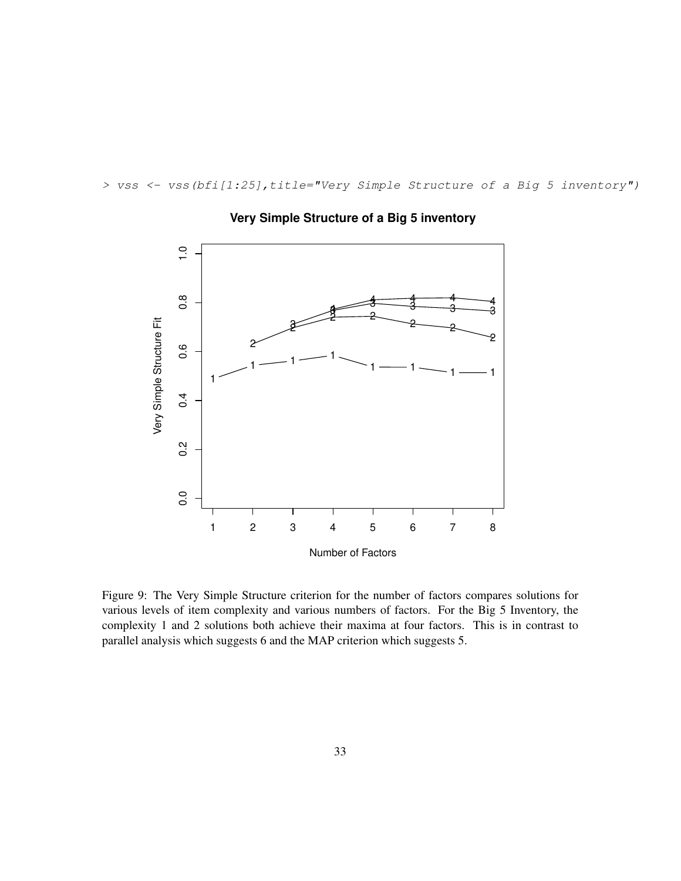*> vss <- vss(bfi[1:25],title="Very Simple Structure of a Big 5 inventory")*



## **Very Simple Structure of a Big 5 inventory**

Figure 9: The Very Simple Structure criterion for the number of factors compares solutions for various levels of item complexity and various numbers of factors. For the Big 5 Inventory, the complexity 1 and 2 solutions both achieve their maxima at four factors. This is in contrast to parallel analysis which suggests 6 and the MAP criterion which suggests 5.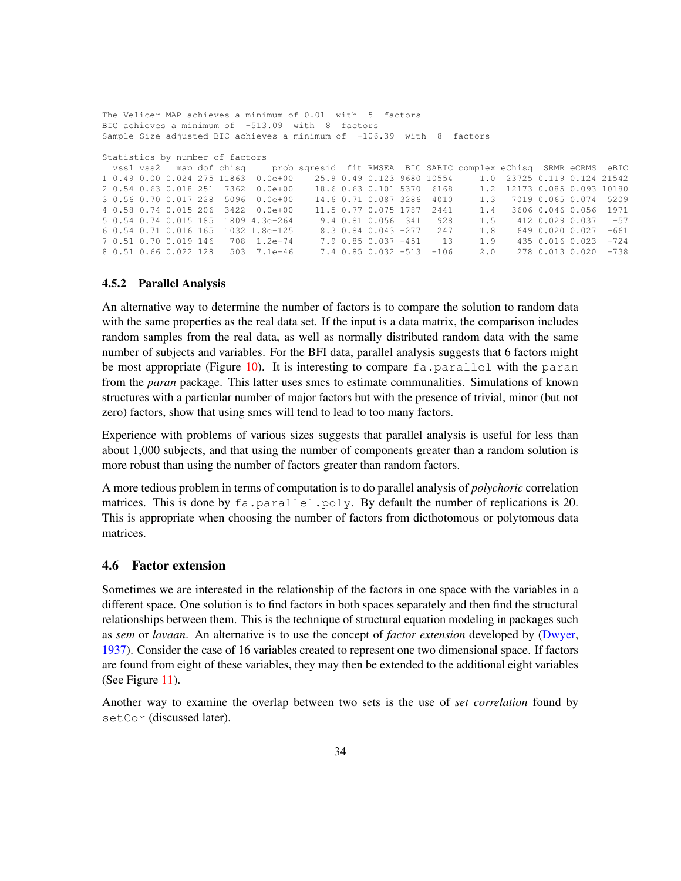```
The Velicer MAP achieves a minimum of 0.01 with 5 factors
BIC achieves a minimum of -513.09 with 8 factors
Sample Size adjusted BIC achieves a minimum of -106.39 with 8 factors
Statistics by number of factors
 vss1 vss2 map dof chisq prob sqresid fit RMSEA BIC SABIC complex eChisq SRMR eCRMS eBIC
1 0.49 0.00 0.024 275 11863 0.0e+00 25.9 0.49 0.123 9680 10554 1.0 23725 0.119 0.124 21542
2 0.54 0.63 0.018 251 7362 0.0e+00 18.6 0.63 0.101 5370 6168 1.2 12173 0.085 0.093 10180
3 0.56 0.70 0.017 228 5096 0.0e+00 14.6 0.71 0.087 3286 4010 1.3 7019 0.065 0.074 5209
4 0.58 0.74 0.015 206 3422 0.0e+00 11.5 0.77 0.075 1787 2441 1.4 3606 0.046 0.056 1971
5 0.54 0.74 0.015 185 1809 4.3e-264 9.4 0.81 0.056 341 928 1.5 1412 0.029 0.037 -57
\begin{array}{cccccccccccc} 6& 0.54 & 0.71 & 0.016 & 165 & 1032 & 1.8e-125 & 8.3 & 0.84 & 0.043 & -277 & 247 & 1.8 & 649 & 0.020 & 0.027 & -661 & 0.70 & 0.019 & 146 & 708 & 1.2e-74 & 7.9 & 0.85 & 0.037 & -451 & 13 & 1.9 & 435 & 0.016 & 0.023 & -724 & 0.85 & 0.037 & -451 & 0.367 0.51 0.70 0.019 146 708 1.2e-74 7.9 0.85 0.037 -451 13 1.9 435 0.016 0.023 -724
8 0.51 0.66 0.022 128 503 7.1e-46 7.4 0.85 0.032 -513 -106 2.0 278 0.013 0.020 -738
```
#### 4.5.2 Parallel Analysis

An alternative way to determine the number of factors is to compare the solution to random data with the same properties as the real data set. If the input is a data matrix, the comparison includes random samples from the real data, as well as normally distributed random data with the same number of subjects and variables. For the BFI data, parallel analysis suggests that 6 factors might be most appropriate (Figure 10). It is interesting to compare  $fa$ , parallel with the paran from the *paran* package. This latter uses smcs to estimate communalities. Simulations of known structures with a particular number of major factors but with the presence of trivial, minor (but not zero) factors, show that using smcs will tend to lead to too many factors.

Experience with problems of various sizes suggests that parallel analysis is useful for less than about 1,000 subjects, and that using the number of components greater than a random solution is more robust than using the number of factors greater than random factors.

A more tedious problem in terms of computation is to do parallel analysis of *polychoric* correlation matrices. This is done by  $fa$ , parallel, poly. By default the number of replications is 20. This is appropriate when choosing the number of factors from dicthotomous or polytomous data matrices.

#### 4.6 Factor extension

Sometimes we are interested in the relationship of the factors in one space with the variables in a different space. One solution is to find factors in both spaces separately and then find the structural relationships between them. This is the technique of structural equation modeling in packages such as *sem* or *lavaan*. An alternative is to use the concept of *factor extension* developed by (Dwyer, 1937). Consider the case of 16 variables created to represent one two dimensional space. If factors are found from eight of these variables, they may then be extended to the additional eight variables (See Figure 11).

Another way to examine the overlap between two sets is the use of *set correlation* found by setCor (discussed later).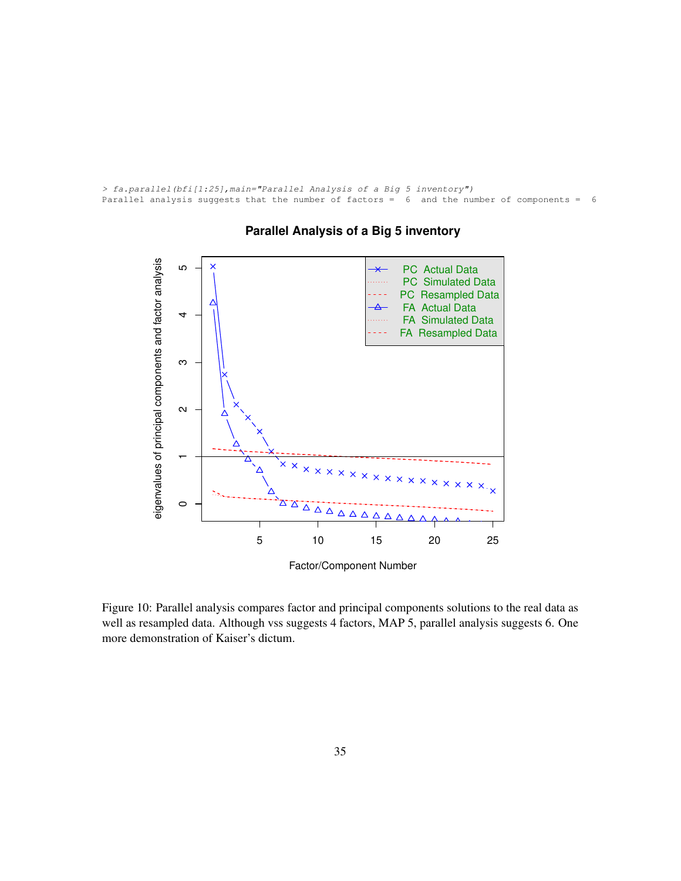```
> fa.parallel(bfi[1:25],main="Parallel Analysis of a Big 5 inventory")
Parallel analysis suggests that the number of factors = 6 and the number of components = 6
```


## **Parallel Analysis of a Big 5 inventory**

Figure 10: Parallel analysis compares factor and principal components solutions to the real data as well as resampled data. Although vss suggests 4 factors, MAP 5, parallel analysis suggests 6. One more demonstration of Kaiser's dictum.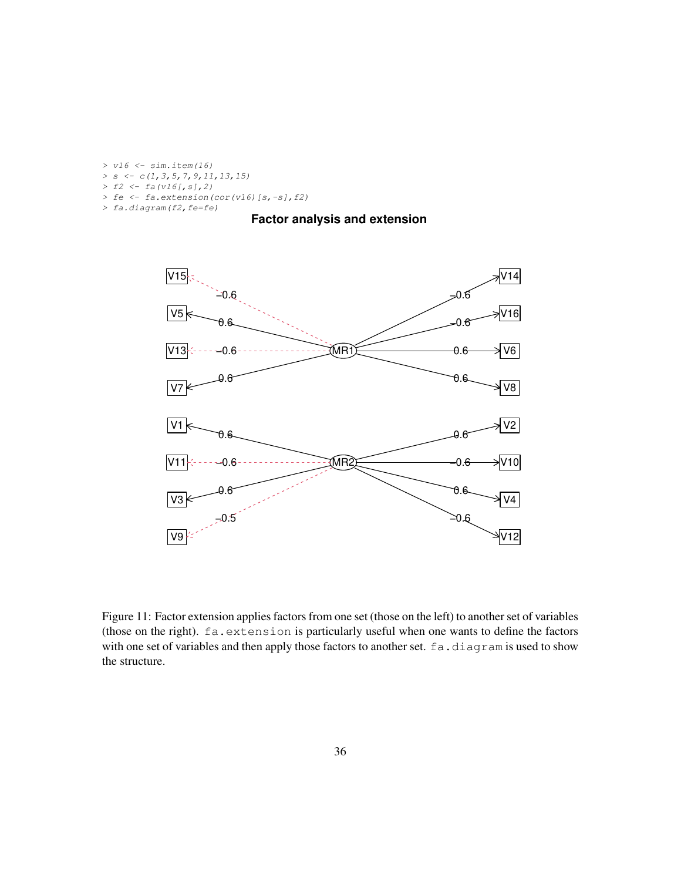```
> v16 <- sim.item(16)
> s <- c(1,3,5,7,9,11,13,15)
> f2 <- fa(v16[,s],2)
> fe <- fa.extension(cor(v16)[s,-s],f2)
> fa.diagram(f2,fe=fe)
```
## **Factor analysis and extension**



Figure 11: Factor extension applies factors from one set (those on the left) to another set of variables (those on the right). fa.extension is particularly useful when one wants to define the factors with one set of variables and then apply those factors to another set. fa.diagram is used to show the structure.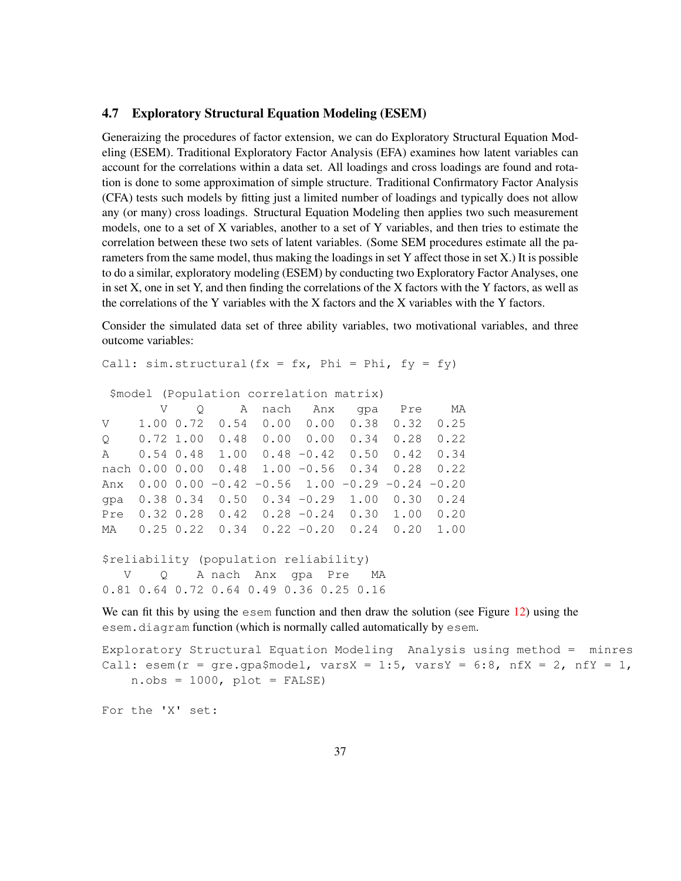#### 4.7 Exploratory Structural Equation Modeling (ESEM)

Generaizing the procedures of factor extension, we can do Exploratory Structural Equation Modeling (ESEM). Traditional Exploratory Factor Analysis (EFA) examines how latent variables can account for the correlations within a data set. All loadings and cross loadings are found and rotation is done to some approximation of simple structure. Traditional Confirmatory Factor Analysis (CFA) tests such models by fitting just a limited number of loadings and typically does not allow any (or many) cross loadings. Structural Equation Modeling then applies two such measurement models, one to a set of X variables, another to a set of Y variables, and then tries to estimate the correlation between these two sets of latent variables. (Some SEM procedures estimate all the parameters from the same model, thus making the loadings in set Y affect those in set X.) It is possible to do a similar, exploratory modeling (ESEM) by conducting two Exploratory Factor Analyses, one in set X, one in set Y, and then finding the correlations of the X factors with the Y factors, as well as the correlations of the Y variables with the X factors and the X variables with the Y factors.

Consider the simulated data set of three ability variables, two motivational variables, and three outcome variables:

```
Call: sim.startuctural(fx = fx, Phi = Phi, fy = fy)
```

```
$model (Population correlation matrix)
```

|         |  | V Q A nach Anx gpa Pre MA                                        |  |  |
|---------|--|------------------------------------------------------------------|--|--|
| V —     |  | $1.00$ 0.72 0.54 0.00 0.00 0.38 0.32 0.25                        |  |  |
| $\circ$ |  | $0.72$ 1.00 0.48 0.00 0.00 0.34 0.28 0.22                        |  |  |
|         |  | A 0.54 0.48 1.00 0.48 -0.42 0.50 0.42 0.34                       |  |  |
|         |  | nach 0.00 0.00 0.48 1.00 -0.56 0.34 0.28 0.22                    |  |  |
|         |  | Anx $0.00$ $0.00$ $-0.42$ $-0.56$ $1.00$ $-0.29$ $-0.24$ $-0.20$ |  |  |
|         |  | qpa $0.38$ 0.34 0.50 0.34 -0.29 1.00 0.30 0.24                   |  |  |
|         |  | Pre $0.32$ 0.28 $0.42$ 0.28 $-0.24$ 0.30 1.00 0.20               |  |  |
|         |  | MA 0.25 0.22 0.34 0.22 -0.20 0.24 0.20 1.00                      |  |  |
|         |  |                                                                  |  |  |

```
$reliability (population reliability)
  V Q A nach Anx gpa Pre MA
0.81 0.64 0.72 0.64 0.49 0.36 0.25 0.16
```
We can fit this by using the esem function and then draw the solution (see Figure 12) using the esem.diagram function (which is normally called automatically by esem.

```
Exploratory Structural Equation Modeling Analysis using method = minres
Call: esem(r = gre.gpa$model, varsX = 1:5, varsY = 6:8, nfX = 2, nfY = 1,n.obs = 1000, plot = FALSE)
```
For the 'X' set: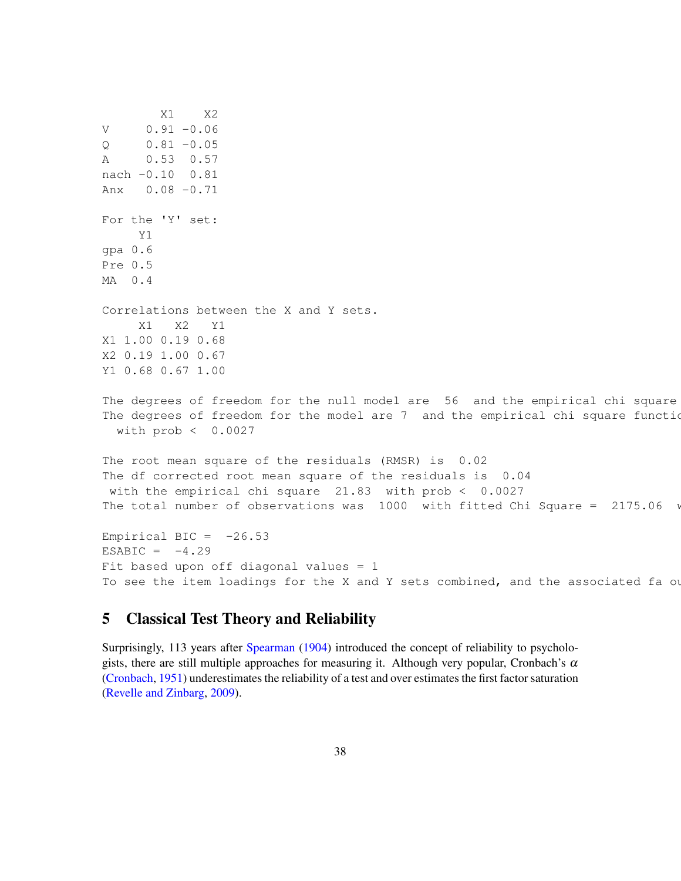```
X1 X2
V = 0.91 - 0.060.81 - 0.05A 0.53 0.57
nach -0.10 0.81
Anx 0.08 -0.71
For the 'Y' set:
     Y1
gpa 0.6
Pre 0.5
MA 0.4
Correlations between the X and Y sets.
     X1 X2 Y1
X1 1.00 0.19 0.68
X2 0.19 1.00 0.67
Y1 0.68 0.67 1.00
The degrees of freedom for the null model are 56 and the empirical chi square
The degrees of freedom for the model are 7 and the empirical chi square function
  with prob < 0.0027
The root mean square of the residuals (RMSR) is 0.02
The df corrected root mean square of the residuals is 0.04
with the empirical chi square 21.83 with prob < 0.0027
The total number of observations was 1000 with fitted Chi Square = 2175.06 w
Empirical BIC = -26.53ESABIC = -4.29Fit based upon off diagonal values = 1To see the item loadings for the X and Y sets combined, and the associated fa ou
```
## 5 Classical Test Theory and Reliability

Surprisingly, 113 years after Spearman (1904) introduced the concept of reliability to psychologists, there are still multiple approaches for measuring it. Although very popular, Cronbach's  $\alpha$ (Cronbach, 1951) underestimates the reliability of a test and over estimates the first factor saturation (Revelle and Zinbarg, 2009).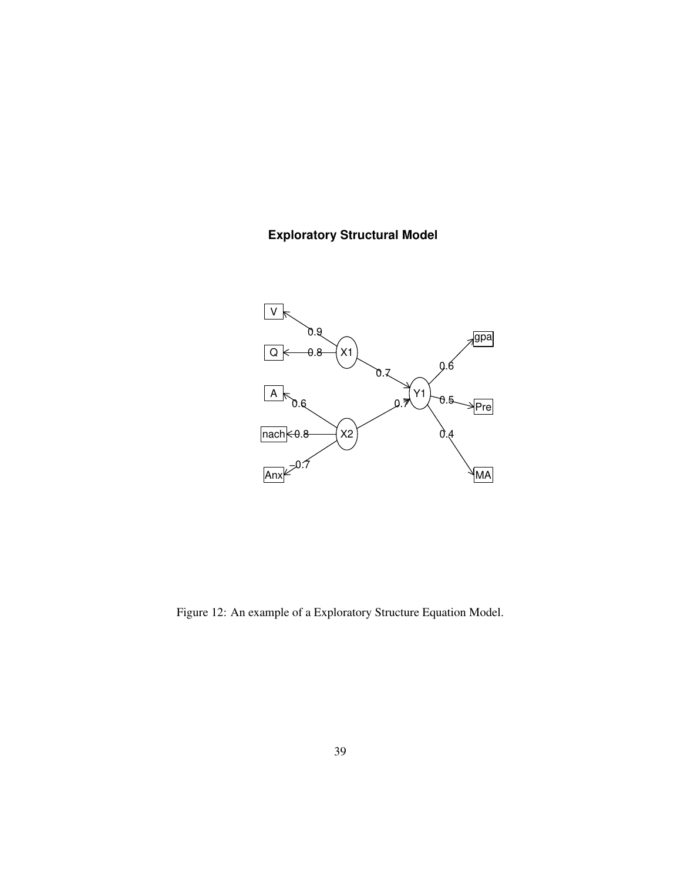# **Exploratory Structural Model**



Figure 12: An example of a Exploratory Structure Equation Model.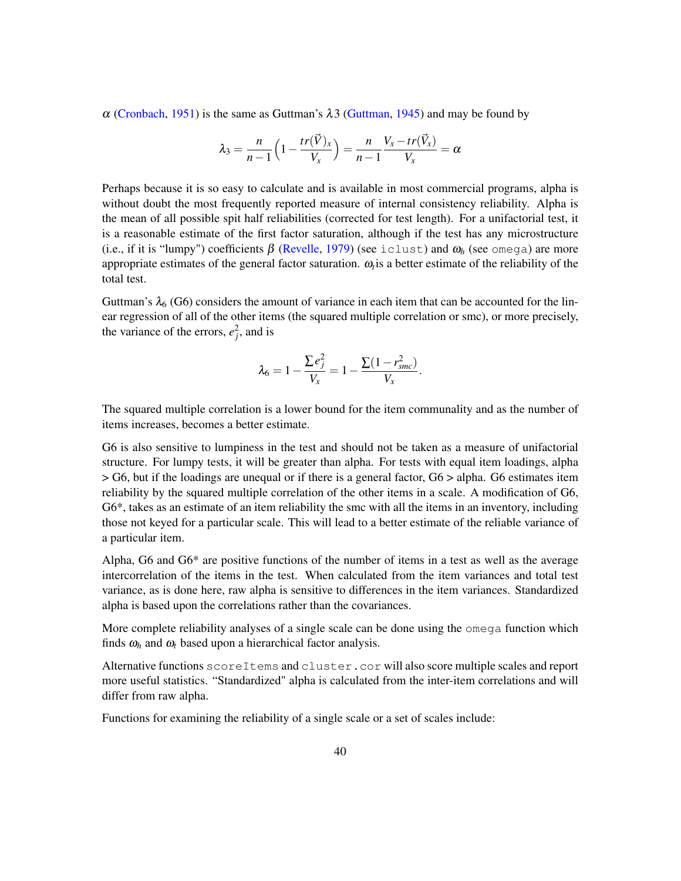$\alpha$  (Cronbach, 1951) is the same as Guttman's  $\lambda$ 3 (Guttman, 1945) and may be found by

$$
\lambda_3 = \frac{n}{n-1} \left( 1 - \frac{tr(\vec{V})_x}{V_x} \right) = \frac{n}{n-1} \frac{V_x - tr(\vec{V}_x)}{V_x} = \alpha
$$

Perhaps because it is so easy to calculate and is available in most commercial programs, alpha is without doubt the most frequently reported measure of internal consistency reliability. Alpha is the mean of all possible spit half reliabilities (corrected for test length). For a unifactorial test, it is a reasonable estimate of the first factor saturation, although if the test has any microstructure (i.e., if it is "lumpy") coefficients β (Revelle, 1979) (see iclust) and <sup>ω</sup>*<sup>h</sup>* (see omega) are more appropriate estimates of the general factor saturation.  $\omega_t$  is a better estimate of the reliability of the total test.

Guttman's  $\lambda_6$  (G6) considers the amount of variance in each item that can be accounted for the linear regression of all of the other items (the squared multiple correlation or smc), or more precisely, the variance of the errors,  $e_j^2$ , and is

$$
\lambda_6 = 1 - \frac{\sum e_j^2}{V_x} = 1 - \frac{\sum (1 - r_{smc}^2)}{V_x}.
$$

The squared multiple correlation is a lower bound for the item communality and as the number of items increases, becomes a better estimate.

G6 is also sensitive to lumpiness in the test and should not be taken as a measure of unifactorial structure. For lumpy tests, it will be greater than alpha. For tests with equal item loadings, alpha > G6, but if the loadings are unequal or if there is a general factor, G6 > alpha. G6 estimates item reliability by the squared multiple correlation of the other items in a scale. A modification of G6, G6\*, takes as an estimate of an item reliability the smc with all the items in an inventory, including those not keyed for a particular scale. This will lead to a better estimate of the reliable variance of a particular item.

Alpha, G6 and G6\* are positive functions of the number of items in a test as well as the average intercorrelation of the items in the test. When calculated from the item variances and total test variance, as is done here, raw alpha is sensitive to differences in the item variances. Standardized alpha is based upon the correlations rather than the covariances.

More complete reliability analyses of a single scale can be done using the omega function which finds  $\omega_h$  and  $\omega_t$  based upon a hierarchical factor analysis.

Alternative functions scoreItems and cluster.cor will also score multiple scales and report more useful statistics. "Standardized" alpha is calculated from the inter-item correlations and will differ from raw alpha.

Functions for examining the reliability of a single scale or a set of scales include: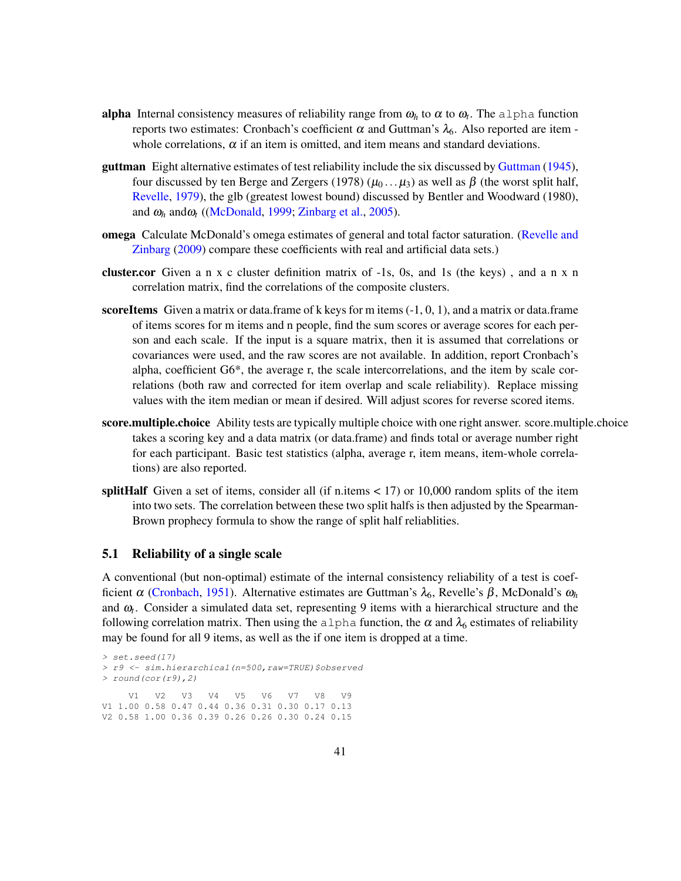- alpha Internal consistency measures of reliability range from  $\omega_h$  to  $\alpha$  to  $\omega_t$ . The alpha function reports two estimates: Cronbach's coefficient α and Guttman's  $\lambda_6$ . Also reported are item whole correlations,  $\alpha$  if an item is omitted, and item means and standard deviations.
- guttman Eight alternative estimates of test reliability include the six discussed by Guttman (1945), four discussed by ten Berge and Zergers (1978) ( $\mu_0 \dots \mu_3$ ) as well as β (the worst split half, Revelle, 1979), the glb (greatest lowest bound) discussed by Bentler and Woodward (1980), and  $\omega_h$  and  $\omega_t$  ((McDonald, 1999; Zinbarg et al., 2005).
- omega Calculate McDonald's omega estimates of general and total factor saturation. (Revelle and Zinbarg (2009) compare these coefficients with real and artificial data sets.)
- cluster.cor Given a n x c cluster definition matrix of -1s, 0s, and 1s (the keys) , and a n x n correlation matrix, find the correlations of the composite clusters.
- scoreItems Given a matrix or data.frame of k keys for m items  $(-1, 0, 1)$ , and a matrix or data.frame of items scores for m items and n people, find the sum scores or average scores for each person and each scale. If the input is a square matrix, then it is assumed that correlations or covariances were used, and the raw scores are not available. In addition, report Cronbach's alpha, coefficient G6\*, the average r, the scale intercorrelations, and the item by scale correlations (both raw and corrected for item overlap and scale reliability). Replace missing values with the item median or mean if desired. Will adjust scores for reverse scored items.
- score.multiple.choice Ability tests are typically multiple choice with one right answer. score.multiple.choice takes a scoring key and a data matrix (or data.frame) and finds total or average number right for each participant. Basic test statistics (alpha, average r, item means, item-whole correlations) are also reported.
- splitHalf Given a set of items, consider all (if n.items  $< 17$ ) or 10,000 random splits of the item into two sets. The correlation between these two split halfs is then adjusted by the Spearman-Brown prophecy formula to show the range of split half reliablities.

### 5.1 Reliability of a single scale

A conventional (but non-optimal) estimate of the internal consistency reliability of a test is coefficient α (Cronbach, 1951). Alternative estimates are Guttman's  $\lambda_6$ , Revelle's β, McDonald's  $ω_h$ and  $\omega_t$ . Consider a simulated data set, representing 9 items with a hierarchical structure and the following correlation matrix. Then using the alpha function, the  $\alpha$  and  $\lambda_6$  estimates of reliability may be found for all 9 items, as well as the if one item is dropped at a time.

```
> set.seed(17)
> r9 <- sim.hierarchical(n=500,raw=TRUE)$observed
> round(cor(r9),2)
    V1 V2 V3 V4 V5 V6 V7 V8 V9
V1 1.00 0.58 0.47 0.44 0.36 0.31 0.30 0.17 0.13
V2 0.58 1.00 0.36 0.39 0.26 0.26 0.30 0.24 0.15
```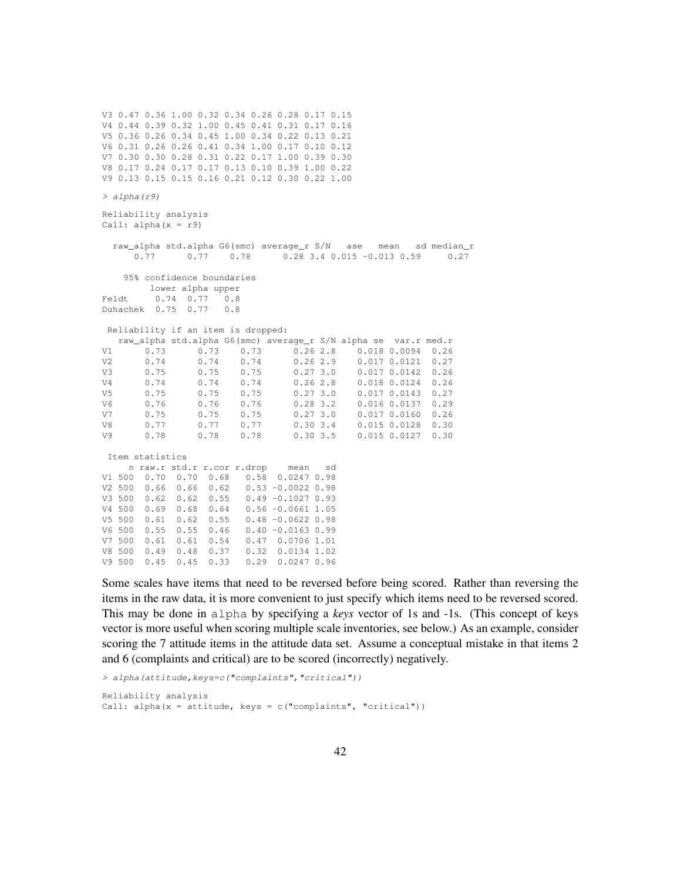V3 0.47 0.36 1.00 0.32 0.34 0.26 0.28 0.17 0.15 V4 0.44 0.39 0.32 1.00 0.45 0.41 0.31 0.17 0.16 V5 0.36 0.26 0.34 0.45 1.00 0.34 0.22 0.13 0.21 V6 0.31 0.26 0.26 0.41 0.34 1.00 0.17 0.10 0.12 V7 0.30 0.30 0.28 0.31 0.22 0.17 1.00 0.39 0.30 V8 0.17 0.24 0.17 0.17 0.13 0.10 0.39 1.00 0.22 V9 0.13 0.15 0.15 0.16 0.21 0.12 0.30 0.22 1.00 *> alpha(r9)* Reliability analysis Call: alpha(x = r9) raw\_alpha std.alpha G6(smc) average\_r S/N ase mean sd median\_r 0.77 0.77 0.78 0.28 3.4 0.015 -0.013 0.59 0.27 95% confidence boundaries lower alpha upper Feldt 0.74 0.77 0.8 Duhachek 0.75 0.77 0.8 Reliability if an item is dropped: raw\_alpha std.alpha G6(smc) average\_r S/N alpha se var.r med.r V1 0.73 0.73 0.73 0.26 2.8 0.018 0.0094 0.26 V2 0.74 0.74 0.74 0.26 2.9 0.017 0.0121 0.27 V3 0.75 0.75 0.75 0.27 3.0 0.017 0.0142 0.26 V4 0.74 0.74 0.74 0.26 2.8 0.018 0.0124 0.26 V5 0.75 0.75 0.75 0.27 3.0 0.017 0.0143 0.27 V6 0.76 0.76 0.76 0.28 3.2 0.016 0.0137 0.29 V7 0.75 0.75 0.75 0.27 3.0 0.017 0.0160 0.26 V8 0.77 0.77 0.77 0.30 3.4 0.015 0.0128 0.30  $0.015$   $0.0127$  0.30 Item statistics n raw.r std.r r.cor r.drop mean sd V1 500 0.70 0.70 0.68 0.58 0.0247 0.98 V2 500 0.66 0.66 0.62 0.53 -0.0022 0.98 V3 500 0.62 0.62 0.55 0.49 -0.1027 0.93 V4 500 0.69 0.68 0.64 0.56 -0.0661 1.05 V5 500 0.61 0.62 0.55 0.48 -0.0622 0.98 V6 500 0.55 0.55 0.46 0.40 -0.0163 0.99 V7 500 0.61 0.61 0.54 0.47 0.0706 1.01 V8 500 0.49 0.48 0.37 0.32 0.0134 1.02  $V9 500 0.45 0.45 0.33$ 

Some scales have items that need to be reversed before being scored. Rather than reversing the items in the raw data, it is more convenient to just specify which items need to be reversed scored. This may be done in alpha by specifying a *keys* vector of 1s and -1s. (This concept of keys vector is more useful when scoring multiple scale inventories, see below.) As an example, consider scoring the 7 attitude items in the attitude data set. Assume a conceptual mistake in that items 2 and 6 (complaints and critical) are to be scored (incorrectly) negatively.

```
> alpha(attitude,keys=c("complaints","critical"))
Reliability analysis
Call: alpha(x = attitude, keys = c("complaints", "critical"))
```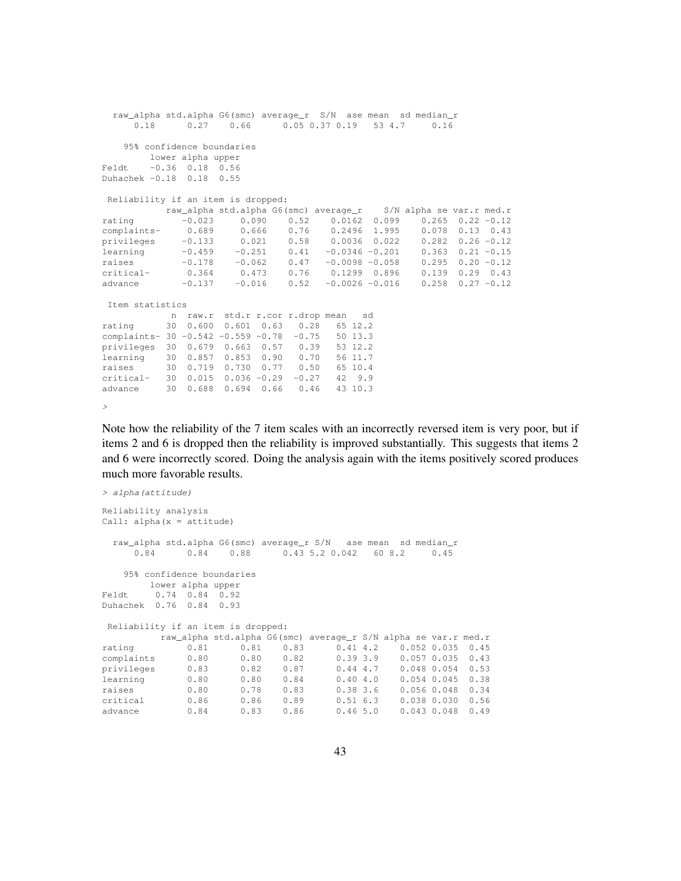```
raw alpha std.alpha G6(smc) average r S/N ase mean sd median r
      0.18 0.27 0.66 0.05 0.37 0.19 53 4.7 0.16
    95% confidence boundaries
        lower alpha upper
Feldt -0.36 0.18 0.56
Duhachek -0.18 0.18 0.55
Reliability if an item is dropped:
          raw_alpha std.alpha G6(smc) average_r S/N alpha se var.r med.r
rating -0.023 0.090 0.52 0.0162 0.099 0.265 0.22 -0.12
complaints- 0.689 0.666 0.76 0.2496 1.995 0.078 0.13 0.43<br>privileges -0.133 0.021 0.58 0.0036 0.022 0.282 0.26 -0.12<br>learning -0.459 -0.251 0.41 -0.0346 -0.201 0.363 0.21 -0.15
privileges -0.133 0.021 0.58 0.0036 0.022 0.282 0.26 -0.12
learning -0.459 -0.251 0.41 -0.0346 -0.201 0.363 0.21 -0.15
raises -0.178 -0.062 0.47 -0.0098 -0.058 0.295 0.20 -0.12
critical- 0.364 0.473 0.76 0.1299 0.896 0.139 0.29 0.43
advance -0.137 -0.016 0.52 -0.0026 -0.016 0.258 0.27 -0.12
Item statistics
           n raw.r std.r r.cor r.drop mean sd
rating 30 0.600 0.601 0.63 0.28 65 12.2<br>complaints- 30 -0.542 -0.559 -0.78 -0.75 50 13.3
complaints- 30 -0.542 -0.559 -0.78 -0.75privileges 30 0.679 0.663 0.57 0.39 53 12.2
           1.122 0.90<br>30 0.857 0.853 0.90
raises 30 0.719 0.730 0.77 0.50 65 10.4
critical- 30 0.015 0.036 -0.29 -0.27 42 9.9
advance 30 0.688 0.694 0.66 0.46 43 10.3
```
*>*

Note how the reliability of the 7 item scales with an incorrectly reversed item is very poor, but if items 2 and 6 is dropped then the reliability is improved substantially. This suggests that items 2 and 6 were incorrectly scored. Doing the analysis again with the items positively scored produces much more favorable results.

```
> alpha(attitude)
Reliability analysis
Call: alpha(x = attitude)
  raw_alpha std.alpha G6(smc) average_r S/N ase mean sd median_r
       0.84 0.84 0.88 0.43 5.2 0.042 60 8.2 0.45
    95% confidence boundaries
        lower alpha upper
Feldt 0.74 0.84 0.92
Duhachek 0.76 0.84 0.93
Reliability if an item is dropped:
           raw_alpha std.alpha G6(smc) average_r S/N alpha se var.r med.r
rating 0.81 0.81 0.83 0.41 4.2 0.052 0.035 0.45<br>complaints 0.80 0.80 0.82 0.39 3.9 0.057 0.035 0.43<br>privileges 0.83 0.82 0.87 0.44 4.7 0.048 0.054 0.53
complaints 0.80 0.80 0.82 0.39 3.9 0.057 0.035 0.43<br>privileges 0.83 0.82 0.87 0.44 4.7 0.048 0.054 0.53
privileges 0.83 0.82 0.87 0.44 4.7 0.048 0.054 0.53
                                                            0.054 0.045 0.38
raises 0.80 0.78 0.83 0.38 3.6 0.056 0.048 0.34<br>critical 0.86 0.86 0.89 0.51 6.3 0.038 0.030 0.56<br>advance 0.84 0.83 0.86 0.46 5.0 0.043 0.048 0.49
critical 0.86 0.86 0.89 0.51 6.3 0.038 0.030 0.56
advance 0.84 0.83 0.86 0.46 5.0 0.043 0.048 0.49
```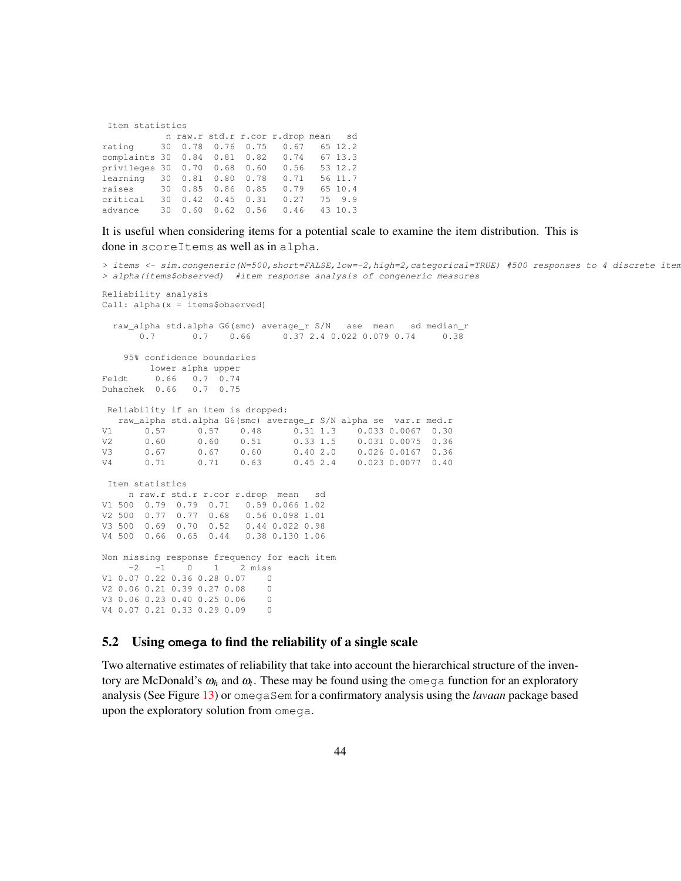|  |  | Item statistics |
|--|--|-----------------|
|--|--|-----------------|

|                                           |  |  | n raw.r std.r r.cor r.drop mean sd |         |
|-------------------------------------------|--|--|------------------------------------|---------|
| rating 30 0.78 0.76 0.75 0.67 65 12.2     |  |  |                                    |         |
| complaints 30 0.84 0.81 0.82 0.74 67 13.3 |  |  |                                    |         |
| privileges 30 0.70 0.68 0.60 0.56 53 12.2 |  |  |                                    |         |
| learning 30 0.81 0.80 0.78 0.71 56 11.7   |  |  |                                    |         |
| raises 30 0.85 0.86 0.85                  |  |  | 0.79                               | 65 10.4 |
| critical                                  |  |  | 30 0.42 0.45 0.31 0.27             | 75 9.9  |
| advance                                   |  |  | 30 0.60 0.62 0.56 0.46 43 10.3     |         |

## It is useful when considering items for a potential scale to examine the item distribution. This is done in scoreItems as well as in alpha.

*> items <- sim.congeneric(N=500,short=FALSE,low=-2,high=2,categorical=TRUE) #500 responses to 4 discrete items > alpha(items\$observed) #item response analysis of congeneric measures* Reliability analysis Call: alpha(x = items\$observed) raw\_alpha std.alpha G6(smc) average\_r S/N ase mean sd median\_r  $0.7$   $0.66$   $0.37$   $2.4$   $0.02$   $0.079$   $0.74$   $0.38$ 0.7 0.7 0.66 0.37 2.4 0.022 0.079 0.74 0.38 95% confidence boundaries lower alpha upper Feldt 0.66 0.7 0.74 Duhachek 0.66 0.7 0.75 Reliability if an item is dropped: raw\_alpha std.alpha G6(smc) average\_r S/N alpha se var.r med.r  $V1 \hspace{1.5mm} 0.57 \hspace{1.5mm} 0.57 \hspace{1.5mm} 0.48 \hspace{1.5mm} 0.31 \hspace{1.5mm} 1.3 \hspace{1.5mm} 0.033 \hspace{1.5mm} 0.067 \hspace{1.5mm} 0.30 \\ V2 \hspace{1.5mm} 0.60 \hspace{1.5mm} 0.60 \hspace{1.5mm} 0.51 \hspace{1.5mm} 0.33 \hspace{1.5mm} 1.5 \hspace{1.5mm} 0.031 \hspace{1.5mm} 0.0075 \hs$ V2 0.60 0.60 0.51 0.33 1.5 0.031 0.0075 0.36 V3 0.67 0.67 0.60 0.40 2.0 0.026 0.0167 0.36 V4 0.71 0.71 0.63 0.45 2.4 0.023 0.0077 0.40 Item statistics n raw.r std.r r.cor r.drop mean sd V1 500 0.79 0.79 0.71 0.59 0.066 1.02 V2 500 0.77 0.77 0.68 0.56 0.098 1.01 V3 500 0.69 0.70 0.52 0.44 0.022 0.98 V4 500 0.66 0.65 0.44 0.38 0.130 1.06 Non missing response frequency for each item  $-2$   $-1$  0 1 2 miss V1 0.07 0.22 0.36 0.28 0.07 0 V2 0.06 0.21 0.39 0.27 0.08 0 V3 0.06 0.23 0.40 0.25 0.06 0 V4 0.07 0.21 0.33 0.29 0.09 0

## 5.2 Using **omega** to find the reliability of a single scale

Two alternative estimates of reliability that take into account the hierarchical structure of the inventory are McDonald's  $\omega_h$  and  $\omega_t$ . These may be found using the omega function for an exploratory analysis (See Figure 13) or omegaSem for a confirmatory analysis using the *lavaan* package based upon the exploratory solution from omega.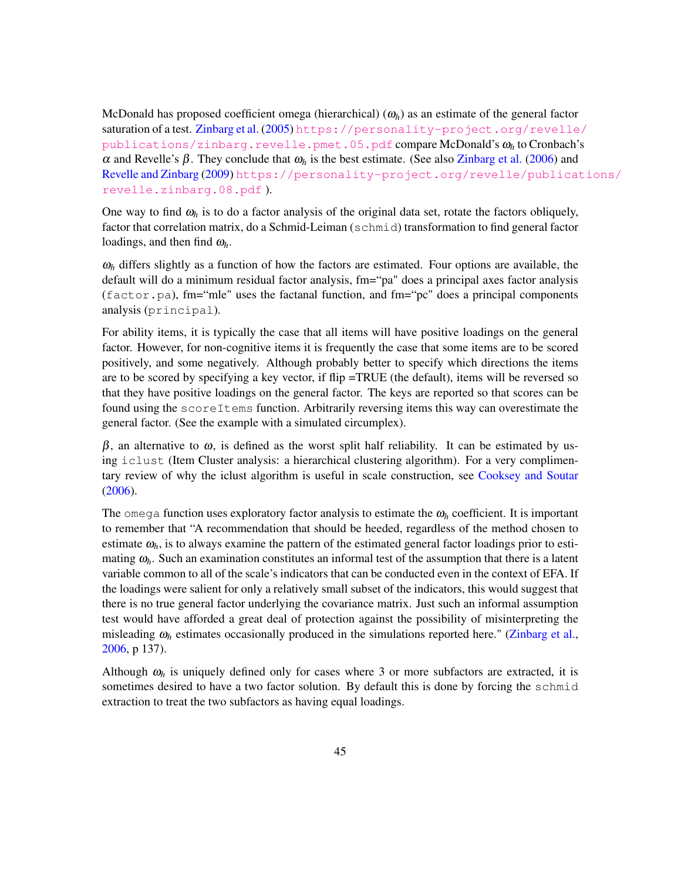McDonald has proposed coefficient omega (hierarchical)  $(\omega_h)$  as an estimate of the general factor saturation of a test. Zinbarg et al. (2005) [https://personality-project.org/revelle](https://personality-project.org/revelle/publications/zinbarg.revelle.pmet.05.pdf)/ [publications/zinbarg.revelle.pmet.05.pdf](https://personality-project.org/revelle/publications/zinbarg.revelle.pmet.05.pdf) compare McDonald's <sup>ω</sup>*<sup>h</sup>* to Cronbach's <sup>α</sup> and Revelle's β. They conclude that <sup>ω</sup>*<sup>h</sup>* is the best estimate. (See also Zinbarg et al. (2006) and Revelle and Zinbarg (2009) [https://personality-project.org/revelle/publicat](https://personality-project.org/revelle/publications/revelle.zinbarg.08.pdf)ions/ [revelle.zinbarg.08.pdf](https://personality-project.org/revelle/publications/revelle.zinbarg.08.pdf) ).

One way to find  $\omega_h$  is to do a factor analysis of the original data set, rotate the factors obliquely, factor that correlation matrix, do a Schmid-Leiman (schmid) transformation to find general factor loadings, and then find <sup>ω</sup>*h*.

 $\omega_h$  differs slightly as a function of how the factors are estimated. Four options are available, the default will do a minimum residual factor analysis, fm="pa" does a principal axes factor analysis  $(factor.pa)$ , fm="mle" uses the factanal function, and fm="pc" does a principal components analysis (principal).

For ability items, it is typically the case that all items will have positive loadings on the general factor. However, for non-cognitive items it is frequently the case that some items are to be scored positively, and some negatively. Although probably better to specify which directions the items are to be scored by specifying a key vector, if flip =TRUE (the default), items will be reversed so that they have positive loadings on the general factor. The keys are reported so that scores can be found using the scoreItems function. Arbitrarily reversing items this way can overestimate the general factor. (See the example with a simulated circumplex).

 $β$ , an alternative to  $ω$ , is defined as the worst split half reliability. It can be estimated by using iclust (Item Cluster analysis: a hierarchical clustering algorithm). For a very complimentary review of why the iclust algorithm is useful in scale construction, see Cooksey and Soutar (2006).

The omega function uses exploratory factor analysis to estimate the  $\omega_h$  coefficient. It is important to remember that "A recommendation that should be heeded, regardless of the method chosen to estimate  $\omega_h$ , is to always examine the pattern of the estimated general factor loadings prior to estimating  $\omega_h$ . Such an examination constitutes an informal test of the assumption that there is a latent variable common to all of the scale's indicators that can be conducted even in the context of EFA. If the loadings were salient for only a relatively small subset of the indicators, this would suggest that there is no true general factor underlying the covariance matrix. Just such an informal assumption test would have afforded a great deal of protection against the possibility of misinterpreting the misleading  $\omega_h$  estimates occasionally produced in the simulations reported here." (Zinbarg et al., 2006, p 137).

Although  $\omega_h$  is uniquely defined only for cases where 3 or more subfactors are extracted, it is sometimes desired to have a two factor solution. By default this is done by forcing the schmid extraction to treat the two subfactors as having equal loadings.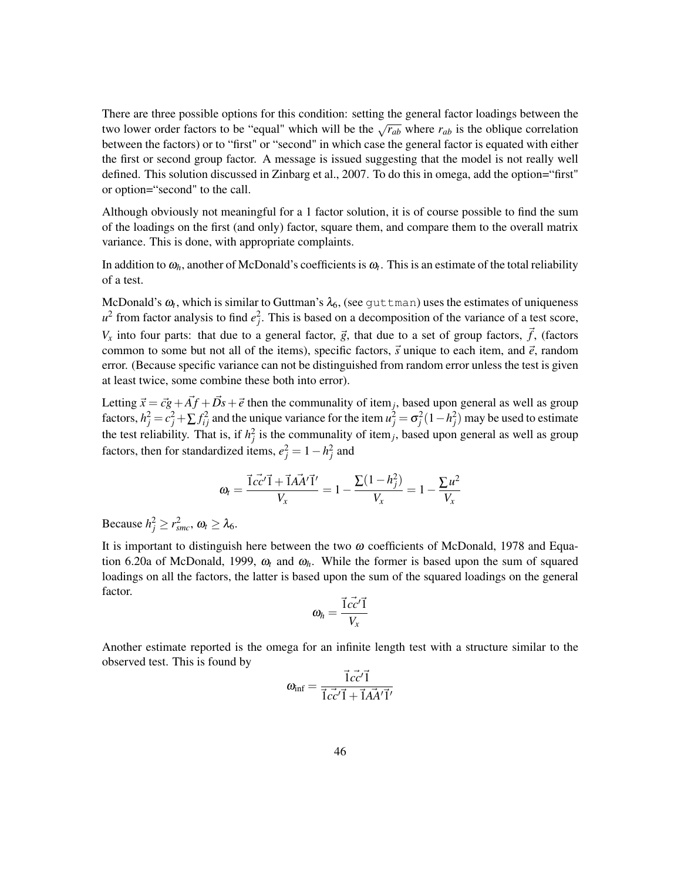There are three possible options for this condition: setting the general factor loadings between the two lower order factors to be "equal" which will be the  $\sqrt{r_{ab}}$  where  $r_{ab}$  is the oblique correlation between the factors) or to "first" or "second" in which case the general factor is equated with either the first or second group factor. A message is issued suggesting that the model is not really well defined. This solution discussed in Zinbarg et al., 2007. To do this in omega, add the option="first" or option="second" to the call.

Although obviously not meaningful for a 1 factor solution, it is of course possible to find the sum of the loadings on the first (and only) factor, square them, and compare them to the overall matrix variance. This is done, with appropriate complaints.

In addition to  $\omega_h$ , another of McDonald's coefficients is  $\omega_t$ . This is an estimate of the total reliability of a test.

McDonald's  $\omega_t$ , which is similar to Guttman's  $\lambda_6$ , (see  $\texttt{guttman}$ ) uses the estimates of uniqueness  $u^2$  from factor analysis to find  $e_j^2$ . This is based on a decomposition of the variance of a test score,  $V_x$  into four parts: that due to a general factor,  $\vec{g}$ , that due to a set of group factors,  $\vec{f}$ , (factors common to some but not all of the items), specific factors,  $\vec{s}$  unique to each item, and  $\vec{e}$ , random error. (Because specific variance can not be distinguished from random error unless the test is given at least twice, some combine these both into error).

Letting  $\vec{x} = \vec{c} + \vec{A} + \vec{D} + \vec{e}$  then the communality of item<sub>j</sub>, based upon general as well as group factors,  $h_j^2 = c_j^2 + \sum f_{ij}^2$  and the unique variance for the item  $u_j^2 = \sigma_j^2 (1 - h_j^2)$  may be used to estimate the test reliability. That is, if  $h_j^2$  is the communality of item<sub>j</sub>, based upon general as well as group factors, then for standardized items,  $e_j^2 = 1 - h_j^2$  and

$$
\omega_t = \frac{\vec{1}c\vec{c'}\vec{1} + \vec{1}A\vec{A'}\vec{1'}}{V_x} = 1 - \frac{\Sigma(1 - h_j^2)}{V_x} = 1 - \frac{\Sigma u^2}{V_x}
$$

Because  $h_j^2 \ge r_{smc}^2$ ,  $\omega_t \ge \lambda_6$ .

It is important to distinguish here between the two  $\omega$  coefficients of McDonald, 1978 and Equation 6.20a of McDonald, 1999,  $\omega_t$  and  $\omega_h$ . While the former is based upon the sum of squared loadings on all the factors, the latter is based upon the sum of the squared loadings on the general factor.

$$
\omega_h = \frac{\vec{1}c\vec{c'}\vec{1}}{V_x}
$$

Another estimate reported is the omega for an infinite length test with a structure similar to the observed test. This is found by

$$
\omega_{\text{inf}} = \frac{\vec{1} \vec{cc'} \vec{1}}{\vec{1} \vec{cc'} \vec{1} + \vec{1} \vec{A} \vec{A'} \vec{1'}}
$$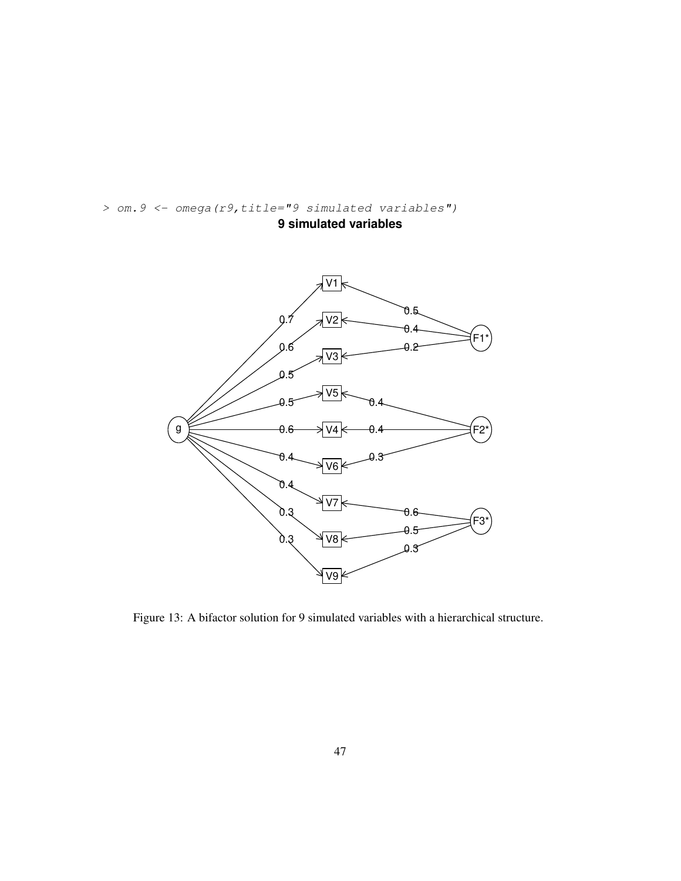



Figure 13: A bifactor solution for 9 simulated variables with a hierarchical structure.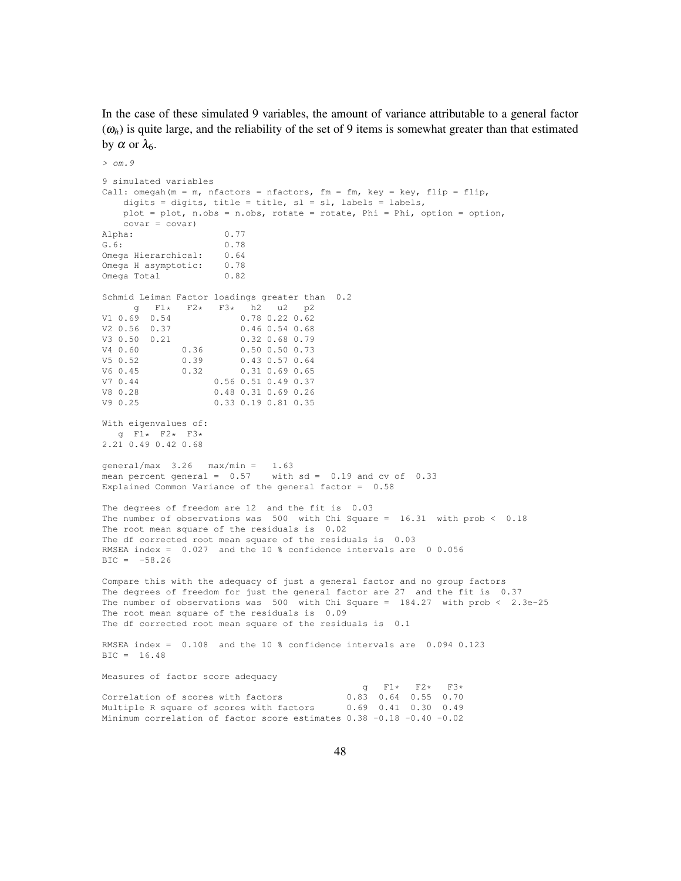In the case of these simulated 9 variables, the amount of variance attributable to a general factor  $(\omega_h)$  is quite large, and the reliability of the set of 9 items is somewhat greater than that estimated by α or  $λ_6$ .

```
> om.9
9 simulated variables
Call: omegah(m = m, nfactors = nfactors, fm = fm, key = key, flip = flip,
    digits = digits, title = title, sl = sl, labels = labels,
    plot = plot, n.obs = n.obs, rotate = rotate, Phi = Phi, option = option,
    covar = covar)
Alpha: 0.77<br>
G.6: 0.78
                       G.6: 0.78
Omega Hierarchical: 0.64
Omega H asymptotic: 0.78
Omega Total 0.82
Schmid Leiman Factor loadings greater than 0.2
g = F1* F2* F3* h2 u2 p2<br>V1 0.69 0.54 0.78 0.22 0.62
V1 0.69 0.54 0.78 0.22 0.62<br>V2 0.56 0.37 0.46 0.54 0.68
V2 0.56 0.37 0.46 0.54 0.68
         0.21 0.32 0.68 0.79<br>0.36 0.50 0.50 0.73
V4 0.60 0.36 0.50 0.50 0.73
\begin{array}{cccccc} \tt V5 & 0.52 & 0.39 & 0.43 & 0.57 & 0.64 \\ \tt V6 & 0.45 & 0.32 & 0.31 & 0.69 & 0.65 \end{array}V6 0.45 0.32 0.31 0.69 0.65
V7 0.44 0.56 0.51 0.49 0.37<br>V8 0.28 0.48 0.31 0.69 0.26
                     V8 0.28 0.48 0.31 0.69 0.26
V9 0.25 0.33 0.19 0.81 0.35
With eigenvalues of:
  g F1* F2* F3*
2.21 0.49 0.42 0.68
qeneral/max 3.26 max/min = 1.63mean percent general = 0.57 with sd = 0.19 and cv of 0.33Explained Common Variance of the general factor = 0.58
The degrees of freedom are 12 and the fit is 0.03
The number of observations was 500 with Chi Square = 16.31 with prob < 0.18
The root mean square of the residuals is 0.02
The df corrected root mean square of the residuals is 0.03
RMSEA index = 0.027 and the 10 % confidence intervals are 0 0.056
BIC = -58.26Compare this with the adequacy of just a general factor and no group factors
The degrees of freedom for just the general factor are 27 and the fit is 0.37
The number of observations was 500 with Chi Square = 184.27 with prob < 2.3e-25
The root mean square of the residuals is 0.09
The df corrected root mean square of the residuals is 0.1
RMSEA index = 0.108 and the 10 % confidence intervals are 0.094 0.123
BIC = 16.48
Measures of factor score adequacy
                                               9 F1* F2* F3*<br>0.83 0.64 0.55 0.70
Correlation of scores with factors
Multiple R square of scores with factors 0.69 0.41 0.30 0.49
Minimum correlation of factor score estimates 0.38 -0.18 -0.40 -0.02
```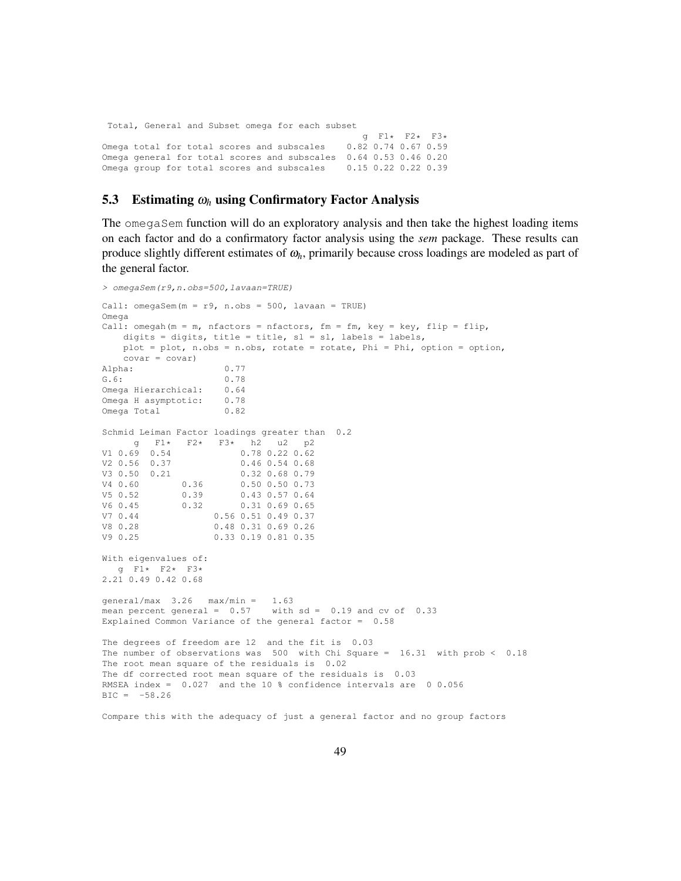Total, General and Subset omega for each subset

g  $F1*$   $F2*$   $F3*$ <br>0.82 0.74 0.67 0.59 Omega total for total scores and subscales Omega general for total scores and subscales 0.64 0.53 0.46 0.20 Omega group for total scores and subscales 0.15 0.22 0.22 0.39

### 5.3 Estimating <sup>ω</sup>*<sup>h</sup>* using Confirmatory Factor Analysis

The omegaSem function will do an exploratory analysis and then take the highest loading items on each factor and do a confirmatory factor analysis using the *sem* package. These results can produce slightly different estimates of <sup>ω</sup>*h*, primarily because cross loadings are modeled as part of the general factor.

```
> omegaSem(r9,n.obs=500,lavaan=TRUE)
Call: omegaSem(m = r9, n.obs = 500, lavaan = TRUE)
Omega
Call: omegah(m = m, nfactors = nfactors, fm = fm, key = key, flip = flip,
    digits = digits, title = title, sl = sl, labels = labels,
    plot = plot, n.obs = n.obs, rotate = rotate, Phi = Phi, option = option,
    covar = covar)
Alpha: 0.77
G.6: 0.78
Omega Hierarchical: 0.64
Omega H asymptotic: 0.78
Omega Total 0.82
Schmid Leiman Factor loadings greater than 0.2
g F1* F2* F3* h2 u2 p2<br>V1 0.69 0.54 0.78 0.22 0.62
                          0.78 0.22 0.62V2 0.56 0.37 0.46 0.54 0.68
V3 0.50 0.21 0.32 0.68 0.79
\begin{array}{cccc} \tt V4 & 0.60 & 0.36 & 0.50 & 0.50 & 0.73 \\ \tt V5 & 0.52 & 0.39 & 0.43 & 0.57 & 0.64 \end{array}0.43 0.57 0.64
V6 0.45 0.32 0.31 0.69 0.65
V7 0.44 0.56 0.51 0.49 0.37<br>V8 0.28 0.48 0.31 0.69 0.26
V8 0.28 0.48 0.31 0.69 0.26<br>
V9 0.25 0.33 0.19 0.81 0.35
                    V9 0.25 0.33 0.19 0.81 0.35
With eigenvalues of:
   g F1* F2* F3*
2.21 0.49 0.42 0.68
general/max 3.26 max/min = 1.63
mean percent general = 0.57 with sd = 0.19 and cv of 0.33Explained Common Variance of the general factor = 0.58
The degrees of freedom are 12 and the fit is 0.03
The number of observations was 500 with Chi Square = 16.31 with prob < 0.18
The root mean square of the residuals is 0.02
The df corrected root mean square of the residuals is 0.03
RMSEA index = 0.027 and the 10 % confidence intervals are 0 0.056
BIC = -58.26
```
Compare this with the adequacy of just a general factor and no group factors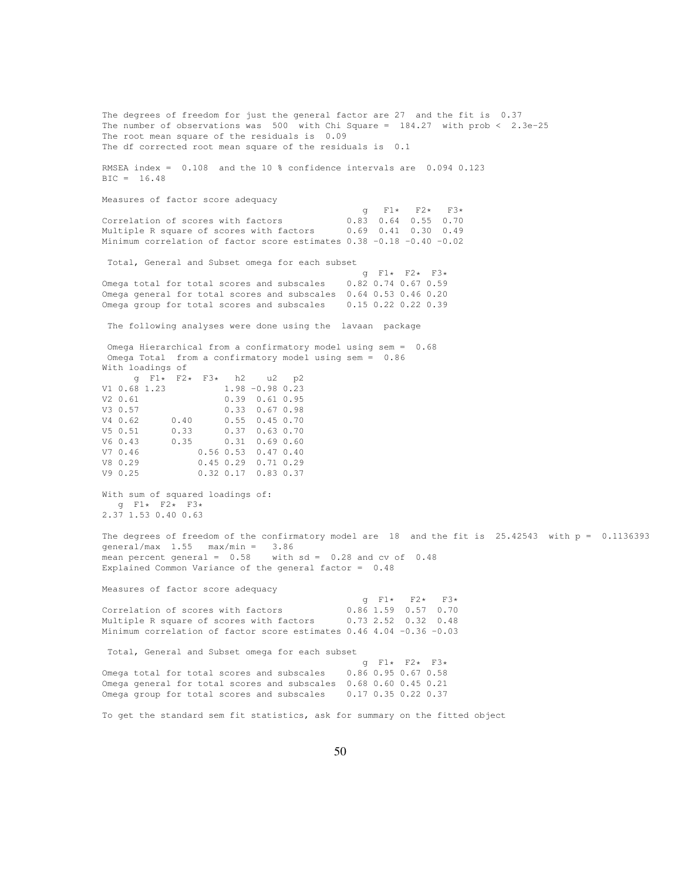The degrees of freedom for just the general factor are 27 and the fit is 0.37 The number of observations was 500 with Chi Square =  $184.27$  with prob <  $2.3e-25$ The root mean square of the residuals is 0.09 The df corrected root mean square of the residuals is 0.1 RMSEA index = 0.108 and the 10 % confidence intervals are 0.094 0.123 BIC = 16.48 Measures of factor score adequacy  $g = F1*$  F2\* F3\*<br>0.83 0.64 0.55 0.70 Correlation of scores with factors Multiple R square of scores with factors 0.69 0.41 0.30 0.49 Minimum correlation of factor score estimates 0.38 -0.18 -0.40 -0.02 Total, General and Subset omega for each subset g  $F1*$   $F2*$   $F3*$ <br>0.82 0.74 0.67 0.59 Omega total for total scores and subscales Omega general for total scores and subscales 0.64 0.53 0.46 0.20<br>Omega group for total scores and subscales 0.15 0.22 0.22 0.39 Omega group for total scores and subscales The following analyses were done using the lavaan package Omega Hierarchical from a confirmatory model using sem = 0.68 Omega Total from a confirmatory model using sem = 0.86 With loadings of  $g$  F1\* F2\* F3\* h2 u2 p2<br>V1 0.68 1.23 1.98 -0.98 0.23  $1.98 -0.98 0.23$ V2 0.61 0.39 0.61 0.95 V3 0.57 0.33 0.67 0.98 V4 0.62 0.40 0.55 0.45 0.70 V5 0.51 0.33 0.37 0.63 0.70 V6 0.43 0.35 0.31 0.69 0.60 V7 0.46 0.56 0.53 0.47 0.40 V8 0.29 0.45 0.29 0.71 0.29 V9 0.25 0.32 0.17 0.83 0.37 With sum of squared loadings of: g F1\* F2\* F3\* 2.37 1.53 0.40 0.63 The degrees of freedom of the confirmatory model are 18 and the fit is 25.42543 with p = 0.1136393 general/max 1.55 max/min = 3.86 mean percent general = 0.58 with sd = 0.28 and cv of 0.48 Explained Common Variance of the general factor = 0.48 Measures of factor score adequacy  $9$  F1\* F2\* F3\*<br>0.86 1.59 0.57 0.70 Correlation of scores with factors 0.86 1.59 0.57 0.70<br>Multiple R square of scores with factors 0.73 2.52 0.32 0.48 Multiple R square of scores with factors Minimum correlation of factor score estimates 0.46 4.04 -0.36 -0.03 Total, General and Subset omega for each subset  $9$  F1\* F2\* F3\*<br>0.86 0.95 0.67 0.58 Omega total for total scores and subscales Omega general for total scores and subscales 0.68 0.60 0.45 0.21 Omega group for total scores and subscales 0.17 0.35 0.22 0.37 To get the standard sem fit statistics, ask for summary on the fitted object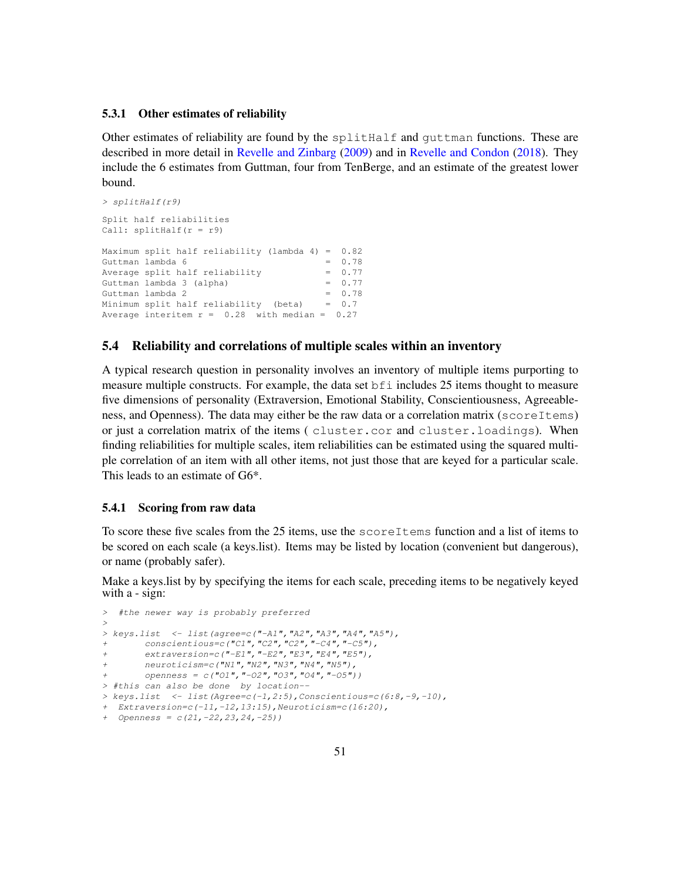#### 5.3.1 Other estimates of reliability

Other estimates of reliability are found by the splitHalf and guttman functions. These are described in more detail in Revelle and Zinbarg (2009) and in Revelle and Condon (2018). They include the 6 estimates from Guttman, four from TenBerge, and an estimate of the greatest lower bound.

```
> splitHalf(r9)
Split half reliabilities
Call: splitHalf(r = r9)Maximum split half reliability (lambda 4) = 0.82
Guttman lambda 6 = 0.78Average split half reliability = 0.77<br>Guttman lambda 3 (alpha) = 0.77Guttman lambda 3 (alpha)
Guttman lambda 2 = 0.78Minimum split half reliability (beta) = 0.7
Average interitem r = 0.28 with median = 0.27
```
### 5.4 Reliability and correlations of multiple scales within an inventory

A typical research question in personality involves an inventory of multiple items purporting to measure multiple constructs. For example, the data set bfi includes 25 items thought to measure five dimensions of personality (Extraversion, Emotional Stability, Conscientiousness, Agreeableness, and Openness). The data may either be the raw data or a correlation matrix (scoreItems) or just a correlation matrix of the items ( cluster.cor and cluster.loadings). When finding reliabilities for multiple scales, item reliabilities can be estimated using the squared multiple correlation of an item with all other items, not just those that are keyed for a particular scale. This leads to an estimate of G6\*.

### 5.4.1 Scoring from raw data

To score these five scales from the 25 items, use the scoreItems function and a list of items to be scored on each scale (a keys.list). Items may be listed by location (convenient but dangerous), or name (probably safer).

Make a keys.list by by specifying the items for each scale, preceding items to be negatively keyed with a - sign:

```
> #the newer way is probably preferred
>
> keys.list <- list(agree=c("-A1","A2","A3","A4","A5"),
      + conscientious=c("C1","C2","C2","-C4","-C5"),
       + extraversion=c("-E1","-E2","E3","E4","E5"),
       + neuroticism=c("N1","N2","N3","N4","N5"),
       + openness = c("O1","-O2","O3","O4","-O5"))
> #this can also be done by location--
> keys.list <- list(Agree=c(-1,2:5),Conscientious=c(6:8,-9,-10),
+ Extraversion=c(-11,-12,13:15),Neuroticism=c(16:20),
+ Openness = c(21,-22,23,24,-25))
```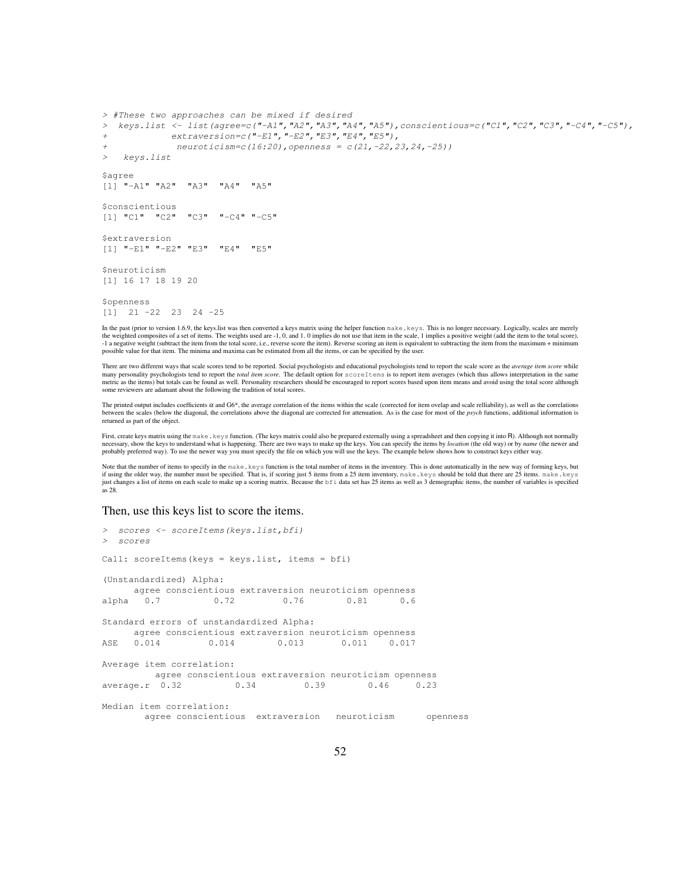```
> #These two approaches can be mixed if desired
> keys.list <- list(agree=c("-A1","A2","A3","A4","A5"),conscientious=c("C1","C2","C3","-C4","-C5"),
            + extraversion=c("-E1","-E2","E3","E4","E5"),
             + neuroticism=c(16:20),openness = c(21,-22,23,24,-25))
> keys.list
$agree
[1] "-A1" "A2" "A3" "A4" "A5"
$conscientious
[1] "C1" "C2" "C3" "-C4" "-C5"
$extraversion
[1] "-E1" "-E2" "E3" "E4" "E5"
$neuroticism
[1] 16 17 18 19 20
$openness
[1] 21 -22 23 24 -25
```
In the past (prior to version 1.6.9, the keys.list was then converted a keys matrix using the helper function make. keys. This is no longer necessary. Logically, scales are merely the weighted composites of a set of items. -1 a negative weight (subtract the item from the total score, i.e., reverse score the item). Reverse scoring an item is equivalent to subtracting the item from the maximum + minimum possible value for that item. The minima and maxima can be estimated from all the items, or can be specified by the user.

There are two different ways that scale scores tend to be reported. Social psychologists and educational psychologists tend to report the scale score as the *average item score* while many personality psychologists tend to report the *total item score*. The default option for scoreItems is to report item averages (which thus allows interpretation in the same metric as the items) but totals can be found as well. Personality researchers should be encouraged to report scores based upon item means and avoid using the total score although metric as the items) but totals can be foun some reviewers are adamant about the following the tradition of total scores.

The printed output includes coefficients  $\alpha$  and G6\*, the average correlation of the items within the scale (corrected for item ovelap and scale relliability), as well as the correlations between the scales (below the diagonal, the correlations above the diagonal are corrected for attenuation. As is the case for most of the *psych* functions, additional information is returned as part of the object.

First, create keys matrix using the make.keys function. (The keys matrix could also be prepared externally using a spreadsheet and then copying it into R). Although not normally necessary, show the keys to understand what is happening. There are two ways to make up the keys. You can specify the items by *location* (the old way) or by *name* (the newer and probably preferred way). To use the newer way you must specify the file on which you will use the keys. The example below shows how to construct keys either way.

Note that the number of items to specify in the make.keys function is the total number of items in the inventory. This is done automatically in the new way of forming keys, but if using the older way, the number must be specified. That is, if scoring just 5 items from a 25 item inventory, make.keys should be told that there are 25 items. make.keys just changes a list of items on each scale to make up a scoring matrix. Because the bfi data set has 25 items as well as 3 demographic items, the number of variables is specified as 28.

#### Then, use this keys list to score the items.

```
> scores <- scoreItems(keys.list,bfi)
> scores
Call: scoreItems(keys = keys.list, items = bfi)
(Unstandardized) Alpha:
     agree conscientious extraversion neuroticism openness
alpha 0.7 0.72 0.76 0.81 0.6
Standard errors of unstandardized Alpha:
     agree conscientious extraversion neuroticism openness
ASE  0.014  0.014  0.013  0.011  0.017
Average item correlation:
        agree conscientious extraversion neuroticism openness
average.r 0.32 0.34 0.39 0.46 0.23
Median item correlation:
      agree conscientious extraversion neuroticism openness
```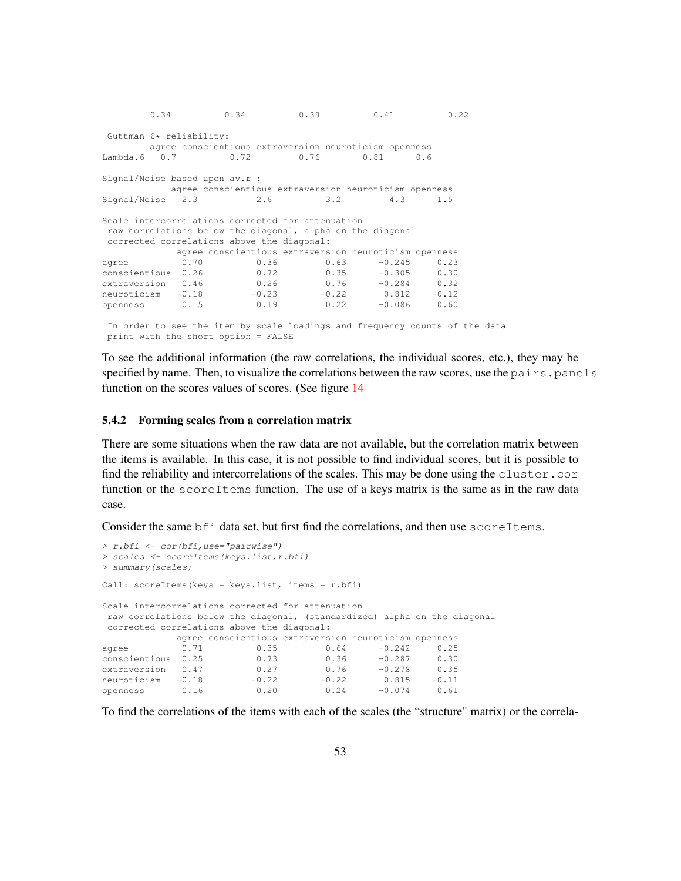0.34 0.34 0.38 0.41 0.22 Guttman 6\* reliability: agree conscientious extraversion neuroticism openness Lambda.6 0.7 0.72 0.76 0.81 0.6 Signal/Noise based upon av.r : agree conscientious extraversion neuroticism openness Signal/Noise 2.3 2.6 3.2 4.3 1.5 Scale intercorrelations corrected for attenuation raw correlations below the diagonal, alpha on the diagonal corrected correlations above the diagonal: agree conscientious extraversion neuroticism openness agree 0.70 0.36 0.63 -0.245 0.23 conscientious 0.26 0.72 0.35 -0.305 0.30 extraversion 0.46 0.26 0.76 -0.284<br>neuroticism -0.18 -0.23 -0.22 0.812 neuroticism -0.18 -0.23 -0.22 0.812 -0.12 agree<br>
conscientious 0.26 0.76 -0.284 0.00<br>
extraversion 0.46 0.26 0.76 -0.284 0.00<br>
neuroticism -0.18 -0.23 -0.22 0.812 -0.12<br>
openness 0.15 0.19 0.22 -0.086 0.60 In order to see the item by scale loadings and frequency counts of the data print with the short option = FALSE

To see the additional information (the raw correlations, the individual scores, etc.), they may be specified by name. Then, to visualize the correlations between the raw scores, use the pairs.panels function on the scores values of scores. (See figure 14

#### 5.4.2 Forming scales from a correlation matrix

There are some situations when the raw data are not available, but the correlation matrix between the items is available. In this case, it is not possible to find individual scores, but it is possible to find the reliability and intercorrelations of the scales. This may be done using the cluster.cor function or the scoreItems function. The use of a keys matrix is the same as in the raw data case.

Consider the same bfi data set, but first find the correlations, and then use scoreItems.

```
> r.bfi <- cor(bfi,use="pairwise")
> scales <- scoreItems(keys.list,r.bfi)
> summary(scales)
Call: scoreItems(keys = keys.list, items = r.bfi)
Scale intercorrelations corrected for attenuation
raw correlations below the diagonal, (standardized) alpha on the diagonal
corrected correlations above the diagonal:
             agree conscientious extraversion neuroticism openness<br>0.71 0.35 0.64 -0.242 0.25
agree 0.71 0.35 0.64 -0.242 0.25<br>conscientious 0.25 0.73 0.36 -0.287 0.30
conscientious 0.25 0.73 0.36 -0.287 0.30
extraversion 0.47 0.27 0.76 -0.278 0.35<br>
neuroticism -0.18 -0.22 -0.22 0.815 -0.11<br>
openness 0.16 0.20 0.24 -0.074 0.61
neuroticism -0.18 -0.22 -0.22 0.815 -0.11
openness 0.16 0.20 0.24 -0.074 0.61
```
To find the correlations of the items with each of the scales (the "structure" matrix) or the correla-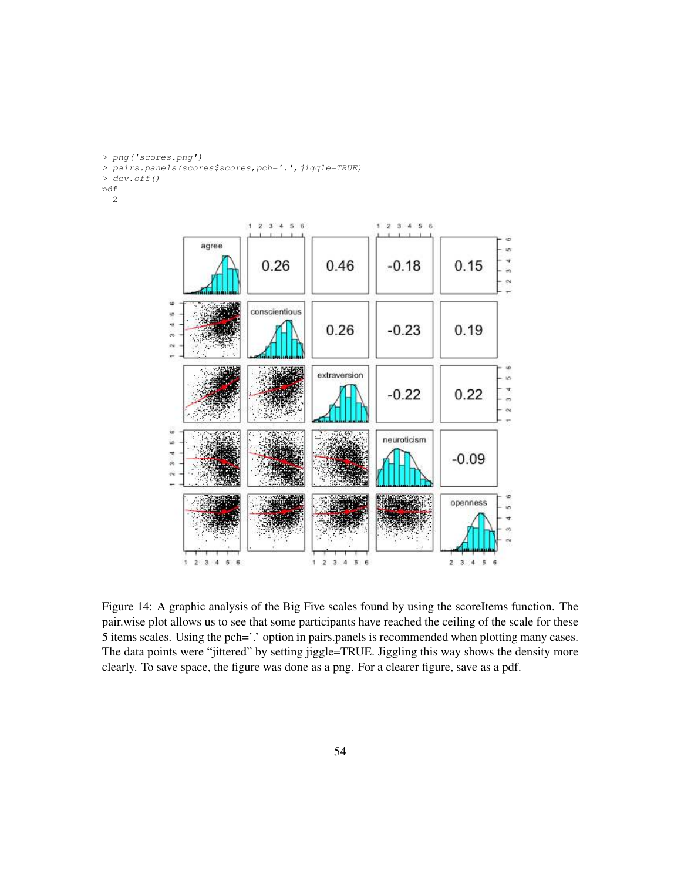*> png('scores.png')*

- *> pairs.panels(scores\$scores,pch='.',jiggle=TRUE)*
- *> dev.off()*

pdf

2



Figure 14: A graphic analysis of the Big Five scales found by using the scoreItems function. The pair.wise plot allows us to see that some participants have reached the ceiling of the scale for these 5 items scales. Using the pch='.' option in pairs.panels is recommended when plotting many cases. The data points were "jittered" by setting jiggle=TRUE. Jiggling this way shows the density more clearly. To save space, the figure was done as a png. For a clearer figure, save as a pdf.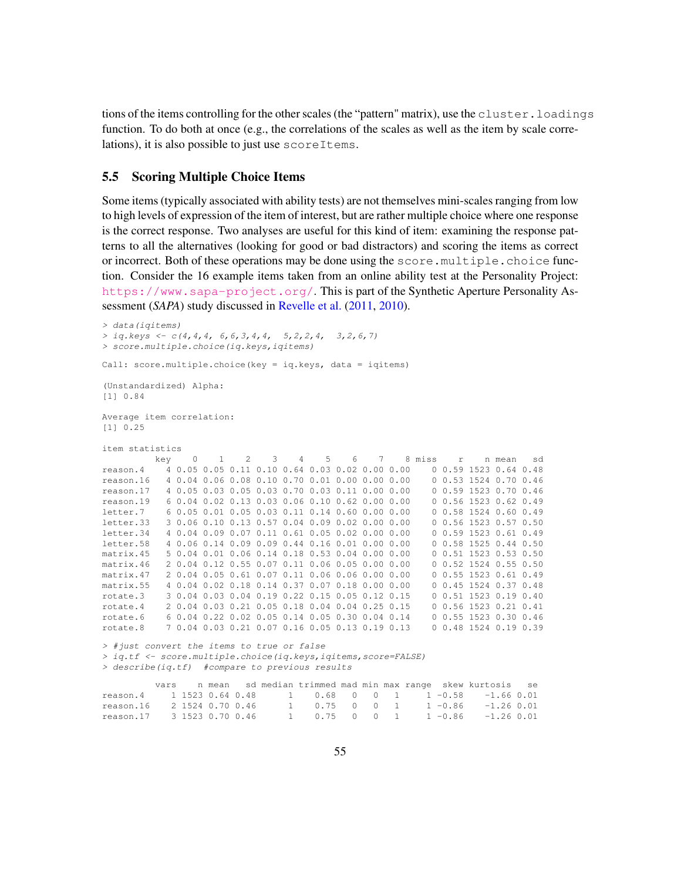tions of the items controlling for the other scales (the "pattern" matrix), use the cluster.loadings function. To do both at once (e.g., the correlations of the scales as well as the item by scale correlations), it is also possible to just use scoreItems.

## 5.5 Scoring Multiple Choice Items

Some items (typically associated with ability tests) are not themselves mini-scales ranging from low to high levels of expression of the item of interest, but are rather multiple choice where one response is the correct response. Two analyses are useful for this kind of item: examining the response patterns to all the alternatives (looking for good or bad distractors) and scoring the items as correct or incorrect. Both of these operations may be done using the score.multiple.choice function. Consider the 16 example items taken from an online ability test at the Personality Project: <https://www.sapa-project.org/>. This is part of the Synthetic Aperture Personality Assessment (*SAPA*) study discussed in Revelle et al. (2011, 2010).

```
> data(iqitems)
> iq.keys <- c(4,4,4, 6,6,3,4,4, 5,2,2,4, 3,2,6,7)
> score.multiple.choice(iq.keys,iqitems)
Call: score.multiple.choice(key = iq.keys, data = iqitems)
(Unstandardized) Alpha:
[1] 0.84
Average item correlation:
[1] 0.25
item statistics
        key 0 1 2 3 4 5 6 7 8 miss r n mean sd
reason.4 4 0.05 0.05 0.11 0.10 0.64 0.03 0.02 0.00 0.00 0 0.59 1523 0.64 0.48
reason.16 4 0.04 0.06 0.08 0.10 0.70 0.01 0.00 0.00 0.00 0 0.53 1524 0.70 0.46
reason.17 4 0.05 0.03 0.05 0.03 0.70 0.03 0.11 0.00 0.00 0 0.59 1523 0.70 0.46
reason.19 6 0.04 0.02 0.13 0.03 0.06 0.10 0.62 0.00 0.00 0 0.56 1523 0.62 0.49
letter.7 6 0.05 0.01 0.05 0.03 0.11 0.14 0.60 0.00 0.00 0 0.58 1524 0.60 0.49
letter.33 3 0.06 0.10 0.13 0.57 0.04 0.09 0.02 0.00 0.00 0 0.56 1523 0.57 0.50
letter.34 4 0.04 0.09 0.07 0.11 0.61 0.05 0.02 0.00 0.00 0 0.59 1523 0.61 0.49
letter.58 4 0.06 0.14 0.09 0.09 0.44 0.16 0.01 0.00 0.00 0 0.58 1525 0.44 0.50
matrix.45 5 0.04 0.01 0.06 0.14 0.18 0.53 0.04 0.00 0.00 0 0.51 1523 0.53 0.50
matrix.46 2 0.04 0.12 0.55 0.07 0.11 0.06 0.05 0.00 0.00 0 0.52 1524 0.55 0.50
matrix.47 2 0.04 0.05 0.61 0.07 0.11 0.06 0.06 0.00 0.00 0 0.55 1523 0.61 0.49
matrix.55 4 0.04 0.02 0.18 0.14 0.37 0.07 0.18 0.00 0.00 0 0.45 1524 0.37 0.48
rotate.3 3 0.04 0.03 0.04 0.19 0.22 0.15 0.05 0.12 0.15 0 0.51 1523 0.19 0.40
rotate.4 2 0.04 0.03 0.21 0.05 0.18 0.04 0.04 0.25 0.15 0 0.56 1523 0.21 0.41
rotate.6 6 0.04 0.22 0.02 0.05 0.14 0.05 0.30 0.04 0.14 0 0.55 1523 0.30 0.46
rotate.8 7 0.04 0.03 0.21 0.07 0.16 0.05 0.13 0.19 0.13 0 0.48 1524 0.19 0.39
> #just convert the items to true or false
> iq.tf <- score.multiple.choice(iq.keys,iqitems,score=FALSE)
> describe(iq.tf) #compare to previous results
```

|                              |  |  |  |  |  | vars in mean isd median trimmed mad min max range skew kurtosis se |  |
|------------------------------|--|--|--|--|--|--------------------------------------------------------------------|--|
|                              |  |  |  |  |  |                                                                    |  |
|                              |  |  |  |  |  | $1$ 0.75 0 0 1 1 -0.86 -1.26 0.01                                  |  |
| reason.17   3 1523 0.70 0.46 |  |  |  |  |  | $1$ 0.75 0 0 1 1 -0.86 -1.26 0.01                                  |  |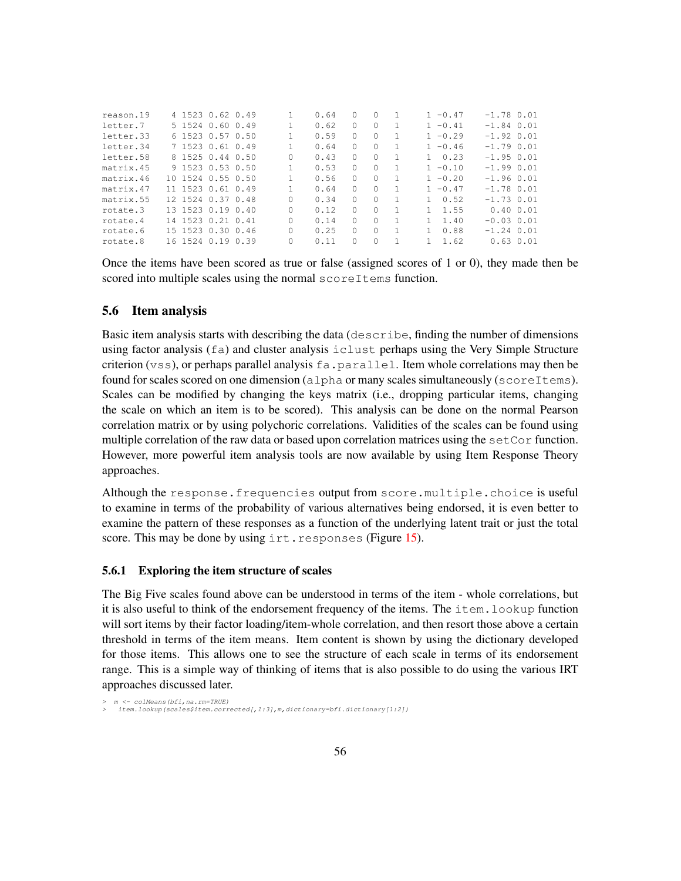| reason.19 | 4 1523 0.62 0.49  |  |   | 0.64 | $\left( \right)$ | 0        |    | $1 - 0.47$ | $-1.78$ 0.01   |  |
|-----------|-------------------|--|---|------|------------------|----------|----|------------|----------------|--|
| letter.7  | 5 1524 0.60 0.49  |  |   | 0.62 | 0                | $\Omega$ |    | $1 - 0.41$ | $-1.84$ 0.01   |  |
| letter.33 | 6 1523 0.57 0.50  |  |   | 0.59 | 0                | $\Omega$ |    | $1 - 0.29$ | $-1.92$ 0.01   |  |
| letter.34 | 7 1523 0.61 0.49  |  |   | 0.64 | 0                | $\Omega$ |    | $1 - 0.46$ | $-1.79$ 0.01   |  |
| letter.58 | 8 1525 0.44 0.50  |  | 0 | 0.43 | 0                | $\Omega$ |    | 0.23       | $-1.95$ 0.01   |  |
| matrix.45 | 9 1523 0.53 0.50  |  |   | 0.53 | 0                | 0        |    | $1 - 0.10$ | $-1.99$ $0.01$ |  |
| matrix.46 | 10 1524 0.55 0.50 |  |   | 0.56 | 0                | $\Omega$ |    | $1 - 0.20$ | $-1.96$ 0.01   |  |
| matrix.47 | 11 1523 0.61 0.49 |  |   | 0.64 | 0                | $\Omega$ |    | $1 - 0.47$ | $-1.78$ 0.01   |  |
| matrix.55 | 12 1524 0.37 0.48 |  | 0 | 0.34 | <sup>0</sup>     | O        |    | 0.52       | $-1.73$ 0.01   |  |
| rotate.3  | 13 1523 0.19 0.40 |  | Ω | 0.12 | 0                | $\Omega$ | -1 | 1.55       | 0.400.01       |  |
| rotate.4  | 14 1523 0.21 0.41 |  | Ω | 0.14 | 0                | $\Omega$ |    | 1.40       | $-0.03$ $0.01$ |  |
| rotate.6  | 15 1523 0.30 0.46 |  | Ω | 0.25 | 0                | 0        |    | 0.88       | $-1.24$ 0.01   |  |
| rotate.8  | 16 1524 0.19 0.39 |  | 0 | 0.11 |                  | 0        |    | 1.62       | $0.63$ $0.01$  |  |
|           |                   |  |   |      |                  |          |    |            |                |  |

Once the items have been scored as true or false (assigned scores of 1 or 0), they made then be scored into multiple scales using the normal scoreItems function.

### 5.6 Item analysis

Basic item analysis starts with describing the data (describe, finding the number of dimensions using factor analysis (fa) and cluster analysis iclust perhaps using the Very Simple Structure criterion (vss), or perhaps parallel analysis  $fa$ , parallel. Item whole correlations may then be found for scales scored on one dimension (alpha or many scales simultaneously (scoreItems). Scales can be modified by changing the keys matrix (i.e., dropping particular items, changing the scale on which an item is to be scored). This analysis can be done on the normal Pearson correlation matrix or by using polychoric correlations. Validities of the scales can be found using multiple correlation of the raw data or based upon correlation matrices using the setCor function. However, more powerful item analysis tools are now available by using Item Response Theory approaches.

Although the response.frequencies output from score.multiple.choice is useful to examine in terms of the probability of various alternatives being endorsed, it is even better to examine the pattern of these responses as a function of the underlying latent trait or just the total score. This may be done by using irt.responses (Figure 15).

### 5.6.1 Exploring the item structure of scales

The Big Five scales found above can be understood in terms of the item - whole correlations, but it is also useful to think of the endorsement frequency of the items. The item.lookup function will sort items by their factor loading/item-whole correlation, and then resort those above a certain threshold in terms of the item means. Item content is shown by using the dictionary developed for those items. This allows one to see the structure of each scale in terms of its endorsement range. This is a simple way of thinking of items that is also possible to do using the various IRT approaches discussed later.

*<sup>&</sup>gt; m <- colMeans(bfi,na.rm=TRUE) > item.lookup(scales\$item.corrected[,1:3],m,dictionary=bfi.dictionary[1:2])*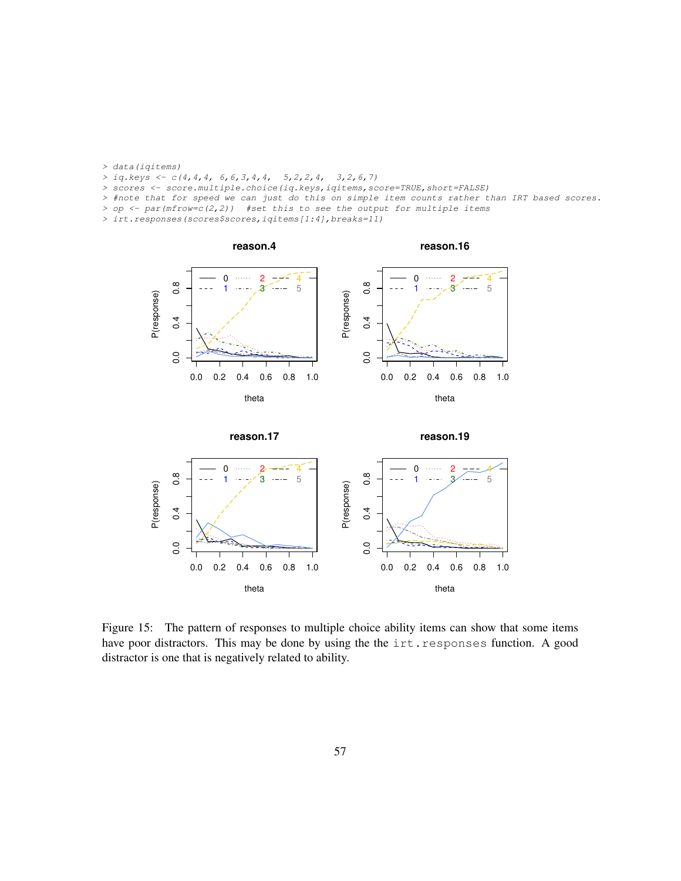- *> data(iqitems)*
- *> iq.keys <- c(4,4,4, 6,6,3,4,4, 5,2,2,4, 3,2,6,7)*
- *> scores <- score.multiple.choice(iq.keys,iqitems,score=TRUE,short=FALSE)*
- *> #note that for speed we can just do this on simple item counts rather than IRT based scores.*
- *> op <- par(mfrow=c(2,2)) #set this to see the output for multiple items*
- *> irt.responses(scores\$scores,iqitems[1:4],breaks=11)*





Figure 15: The pattern of responses to multiple choice ability items can show that some items have poor distractors. This may be done by using the the irt.responses function. A good distractor is one that is negatively related to ability.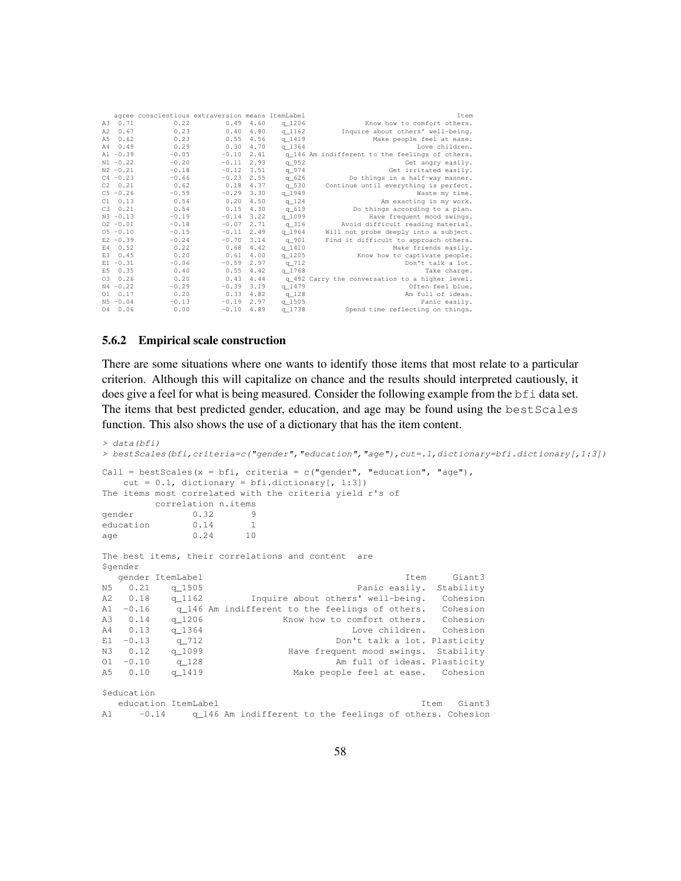| Item                                            |            |      |         | agree conscientious extraversion means ItemLabel |                 |                |
|-------------------------------------------------|------------|------|---------|--------------------------------------------------|-----------------|----------------|
| Know how to comfort others.                     | q 1206     | 4.60 | 0.49    | 0.22                                             | 0.71            | A3             |
| Inquire about others' well-being.               | $q$ 1162   | 4.80 | 0.40    | 0.23                                             | 0.67            | A2             |
| Make people feel at ease.                       | q 1419     | 4.56 | 0.55    | 0.23                                             | 0.62            | A.5            |
| Love children.                                  | q 1364     | 4.70 | 0.30    | 0.29                                             | 0.49            | A4             |
| q 146 Am indifferent to the feelings of others. |            | 2.41 | $-0.10$ | $-0.05$                                          | $A1 - 0.39$     |                |
| Get angry easily.                               | q_952      | 2.93 | $-0.11$ | $-0.20$                                          | $N1 - 0.22$     |                |
| Get irritated easily.                           | q 974      | 3.51 | $-0.12$ | $-0.18$                                          | $N2 - 0.21$     |                |
| Do things in a half-way manner.                 | q_626      | 2.55 | $-0.23$ | $-0.66$                                          | $C4 - 0.23$     |                |
| Continue until everything is perfect.           | q 530      | 4.37 | 0.18    | 0.62                                             | $C2 \t 0.21$    |                |
| Waste my time.                                  | q 1949     | 3.30 | $-0.29$ | $-0.59$                                          | $C_5 - 0.26$    |                |
| Am exacting in my work.                         | $q$ 124    | 4.50 | 0.20    | 0.54                                             | 0.13            | C.1            |
| Do things according to a plan.                  | q 619      | 4.30 | 0.15    | 0.54                                             | 0.21            | C.3            |
| Have frequent mood swings.                      | q_1099     | 3.22 | $-0.14$ | $-0.19$                                          | $N3 - 0.13$     |                |
| Avoid difficult reading material.               | q316       | 2.71 | $-0.07$ | $-0.18$                                          | $02 - 0.01$     |                |
| Will not probe deeply into a subject.           | q 1964     | 2.49 | $-0.11$ | $-0.15$                                          | $05 - 0.10$     |                |
| Find it difficult to approach others.           | q_901      | 3.14 | $-0.70$ | $-0.24$                                          | $E2 - 0.39$     |                |
| Make friends easily.                            | q1410      | 4.42 | 0.68    | 0.22                                             | E4 0.52         |                |
| Know how to captivate people.                   | $q_{1205}$ | 4.00 | 0.61    | 0.20                                             | 0.45            | E <sub>3</sub> |
| Don't talk a lot.                               | $q$ 712    | 2.97 | $-0.59$ | $-0.06$                                          | $E1 - 0.31$     |                |
| Take charge.                                    | q 1768     | 4.42 | 0.55    | 0.40                                             | 0.35            | E <sub>5</sub> |
| q_492 Carry the conversation to a higher level. |            | 4.44 | 0.43    | 0.20                                             | 0.26            | 03             |
| Often feel blue.                                | q 1479     | 3.19 | $-0.39$ | $-0.29$                                          | $N4 - 0.22$     |                |
| Am full of ideas.                               | $q_128$    | 4.82 | 0.33    | 0.20                                             | $01 \quad 0.17$ |                |
| Panic easily.                                   | q 1505     | 2.97 | $-0.19$ | $-0.13$                                          | $N5 - 0.04$     |                |
| Spend time reflecting on things.                | q 1738     | 4.89 | $-0.10$ | 0.00                                             | 040.06          |                |
|                                                 |            |      |         |                                                  |                 |                |

#### 5.6.2 Empirical scale construction

There are some situations where one wants to identify those items that most relate to a particular criterion. Although this will capitalize on chance and the results should interpreted cautiously, it does give a feel for what is being measured. Consider the following example from the bfi data set. The items that best predicted gender, education, and age may be found using the bestScales function. This also shows the use of a dictionary that has the item content.

```
> data(bfi)
> bestScales(bfi,criteria=c("gender","education","age"),cut=.1,dictionary=bfi.dictionary[,1:3])
Call = bestScales(x = bfi, criteria = c("gender", "education", "age"),
   cut = 0.1, dictionary = bfi.dictionary [, 1:3])
The items most correlated with the criteria yield r's of
          correlation n.items
gender 0.32 9
education 0.14 1
age 0.24 10
The best items, their correlations and content are
$gender
   gender ItemLabel Item Giant3
N5 0.21 q_1505 Panic easily. Stability<br>A2 0.18 q_1162 Inquire about others' well-being. Cohesion
A2 0.18 q_1162 Inquire about others' well-being. Cohesion<br>A1 -0.16 q 146 Am indifferent to the feelings of others. Cohesion
A1 -0.16 q_146 Am indifferent to the feelings of others. Cohesion<br>A3 0.14 q_1206 Know how to comfort others. Cohesion
A3 0.14 q_1206 Know how to comfort others. Cohesion<br>
A4 0.13 q_1364 Love children. Cohesion<br>
E1 -0.13 q_712 Don't talk a lot. Plasticity
               q_1364 Love children. Cohesion<br>q_712 Don't talk a lot. Plasticity
                                                      Don't talk a lot. Plasticity
N3 0.12 q_1099 Have frequent mood swings. Stability<br>01 -0.10 q_128 Am full of ideas. Plasticity
                                                  Am full of ideas. Plasticity
A5 0.10 q_1419 Make people feel at ease. Cohesion
$education
education ItemLabel Item Giant3<br>\frac{1}{2} -0.14 \frac{1}{2} \frac{1}{2} \frac{1}{2} \frac{1}{2} \frac{1}{2} \frac{1}{2} \frac{1}{2} \frac{1}{2} \frac{1}{2} \frac{1}{2} \frac{1}{2} \frac{1}{2} \frac{1}{2} \frac{1}{2} \frac{1}{2} \frac{1}{2} \frac{1}{2} \frac-0.14 q 146 Am indifferent to the feelings of others. Cohesion
```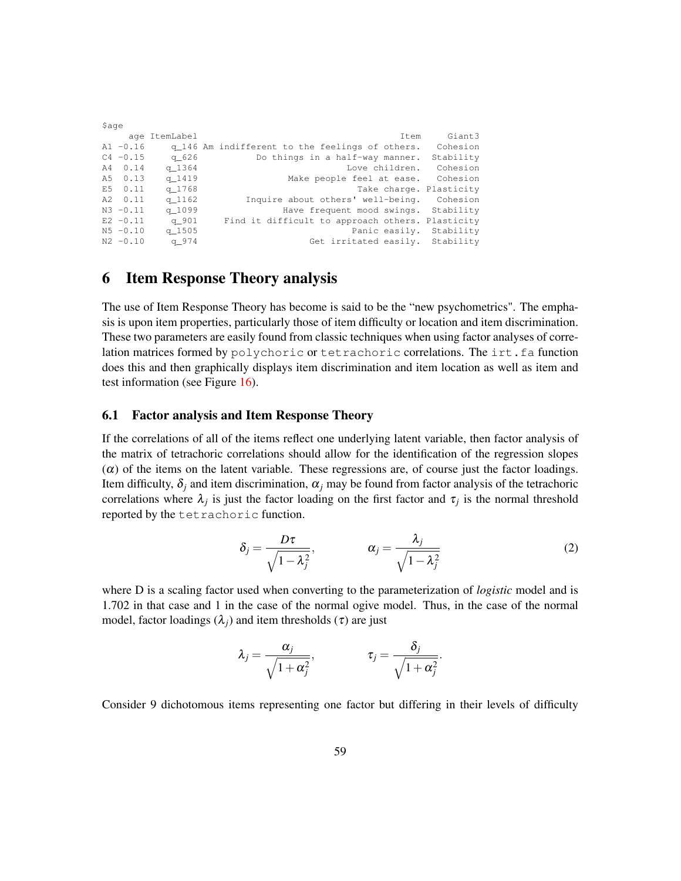|           |                                                  |               | \$age       |  |
|-----------|--------------------------------------------------|---------------|-------------|--|
| Giant3    | Item                                             | age ItemLabel |             |  |
| Cohesion  | q_146 Am indifferent to the feelings of others.  |               | $A1 - 0.16$ |  |
| Stability | Do things in a half-way manner.                  | q 626         | $C4 - 0.15$ |  |
| Cohesion  | Love children.                                   | q 1364        | A4 0.14     |  |
| Cohesion  | Make people feel at ease.                        | q 1419        | A5 0.13     |  |
|           | Take charge. Plasticity                          | q 1768        | E5 0.11     |  |
|           | Inquire about others' well-being. Cohesion       | q 1162        | A2 0.11     |  |
|           | Have frequent mood swings. Stability             | q 1099        | $N3 - 0.11$ |  |
|           | Find it difficult to approach others. Plasticity | q 901         | $E2 - 0.11$ |  |
|           | Panic easily. Stability                          | q 1505        | $N5 - 0.10$ |  |
|           | Get irritated easily. Stability                  | q 974         | $N2 - 0.10$ |  |

# 6 Item Response Theory analysis

The use of Item Response Theory has become is said to be the "new psychometrics". The emphasis is upon item properties, particularly those of item difficulty or location and item discrimination. These two parameters are easily found from classic techniques when using factor analyses of correlation matrices formed by  $polychoric$  or  $tetrachoric$  correlations. The  $irt.fa$  function does this and then graphically displays item discrimination and item location as well as item and test information (see Figure 16).

## 6.1 Factor analysis and Item Response Theory

If the correlations of all of the items reflect one underlying latent variable, then factor analysis of the matrix of tetrachoric correlations should allow for the identification of the regression slopes  $(\alpha)$  of the items on the latent variable. These regressions are, of course just the factor loadings. Item difficulty,  $\delta_i$  and item discrimination,  $\alpha_i$  may be found from factor analysis of the tetrachoric correlations where  $\lambda_j$  is just the factor loading on the first factor and  $\tau_j$  is the normal threshold reported by the tetrachoric function.

$$
\delta_j = \frac{D\tau}{\sqrt{1 - \lambda_j^2}}, \qquad \alpha_j = \frac{\lambda_j}{\sqrt{1 - \lambda_j^2}}
$$
 (2)

where D is a scaling factor used when converting to the parameterization of *logistic* model and is 1.702 in that case and 1 in the case of the normal ogive model. Thus, in the case of the normal model, factor loadings  $(\lambda_i)$  and item thresholds ( $\tau$ ) are just

$$
\lambda_j = \frac{\alpha_j}{\sqrt{1 + \alpha_j^2}}, \qquad \qquad \tau_j = \frac{\delta_j}{\sqrt{1 + \alpha_j^2}}.
$$

Consider 9 dichotomous items representing one factor but differing in their levels of difficulty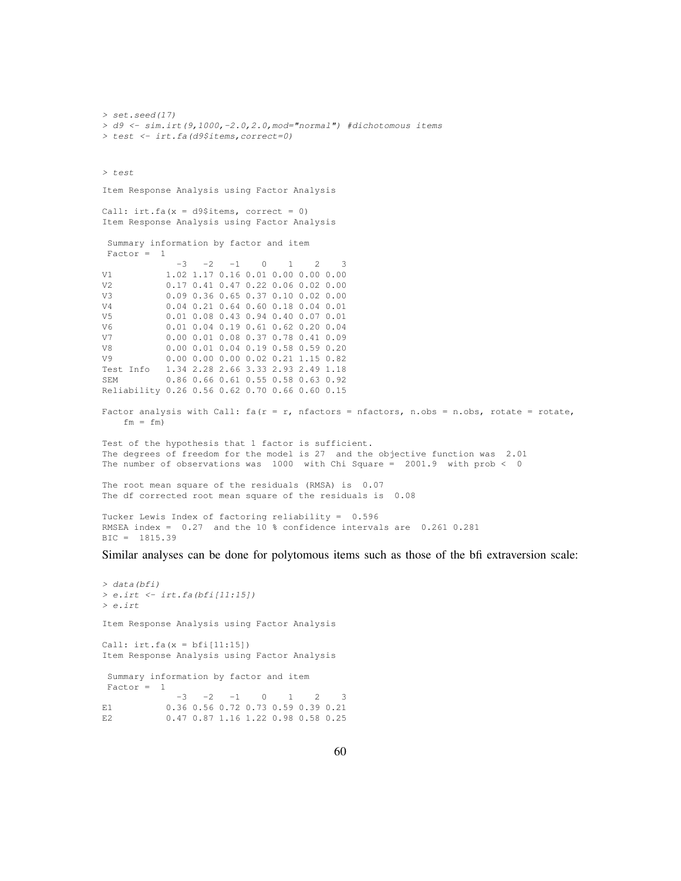*> set.seed(17) > d9 <- sim.irt(9,1000,-2.0,2.0,mod="normal") #dichotomous items > test <- irt.fa(d9\$items,correct=0) > test* Item Response Analysis using Factor Analysis Call:  $irt.fa(x = d9$items, correct = 0)$ Item Response Analysis using Factor Analysis Summary information by factor and item Factor = 1  $-3$   $-2$   $-1$  0 1 2 3 V1 1.02 1.17 0.16 0.01 0.00 0.00 0.00 V2 0.17 0.41 0.47 0.22 0.06 0.02 0.00 V3 0.09 0.36 0.65 0.37 0.10 0.02 0.00<br>V4 0.04 0.21 0.64 0.60 0.18 0.04 0.01 V4 0.04 0.21 0.64 0.60 0.18 0.04 0.01 V5 0.01 0.08 0.43 0.94 0.40 0.07 0.01 V6 0.01 0.04 0.19 0.61 0.62 0.20 0.04 V7 0.00 0.01 0.08 0.37 0.78 0.41 0.09 V8 0.00 0.01 0.04 0.19 0.58 0.59 0.20 V9 0.00 0.00 0.00 0.02 0.21 1.15 0.82 Test Info 1.34 2.28 2.66 3.33 2.93 2.49 1.18 SEM 0.86 0.66 0.61 0.55 0.58 0.63 0.92 Reliability 0.26 0.56 0.62 0.70 0.66 0.60 0.15 Factor analysis with Call:  $fa(r = r, nfactors = nfactors, n.obs = n.obs, rotate = rotate,$  $fm = fm$ ) Test of the hypothesis that 1 factor is sufficient. The degrees of freedom for the model is 27 and the objective function was 2.01 The number of observations was 1000 with Chi Square = 2001.9 with prob < 0 The root mean square of the residuals (RMSA) is 0.07 The df corrected root mean square of the residuals is 0.08 Tucker Lewis Index of factoring reliability = 0.596 RMSEA index = 0.27 and the 10 % confidence intervals are 0.261 0.281

BIC = 1815.39

Similar analyses can be done for polytomous items such as those of the bfi extraversion scale:

*> data(bfi) > e.irt <- irt.fa(bfi[11:15]) > e.irt* Item Response Analysis using Factor Analysis Call:  $irt.fa(x = bfi[11:15])$ Item Response Analysis using Factor Analysis Summary information by factor and item  $Factor = 1$  $-3$   $-2$   $-1$  0 1 2 3 E1 0.36 0.56 0.72 0.73 0.59 0.39 0.21 E2 0.47 0.87 1.16 1.22 0.98 0.58 0.25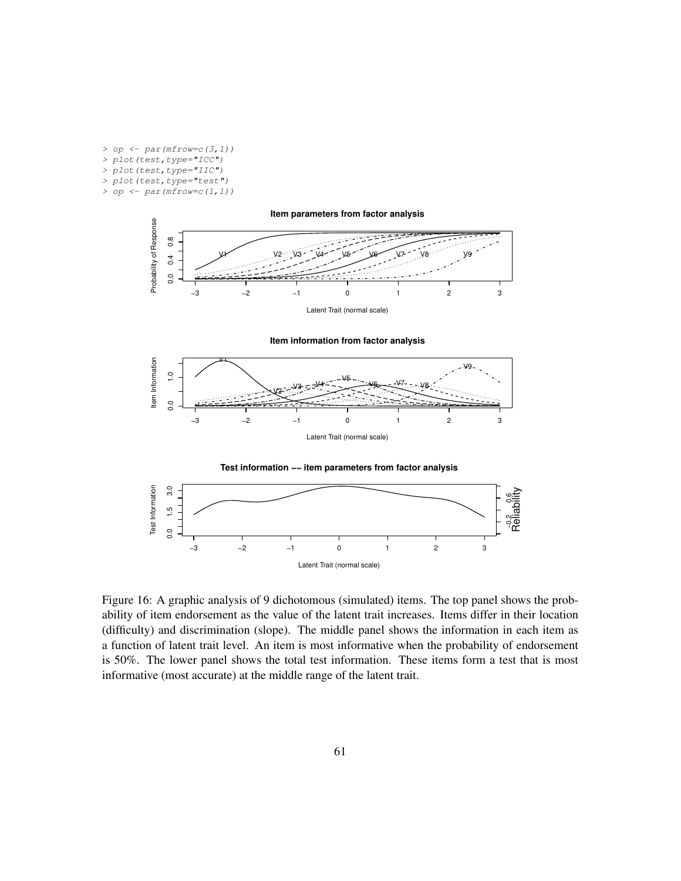*> op <- par(mfrow=c(3,1)) > plot(test,type="ICC") > plot(test,type="IIC") > plot(test,type="test") > op <- par(mfrow=c(1,1))*



**Item information from factor analysis**







Figure 16: A graphic analysis of 9 dichotomous (simulated) items. The top panel shows the probability of item endorsement as the value of the latent trait increases. Items differ in their location (difficulty) and discrimination (slope). The middle panel shows the information in each item as a function of latent trait level. An item is most informative when the probability of endorsement is 50%. The lower panel shows the total test information. These items form a test that is most informative (most accurate) at the middle range of the latent trait.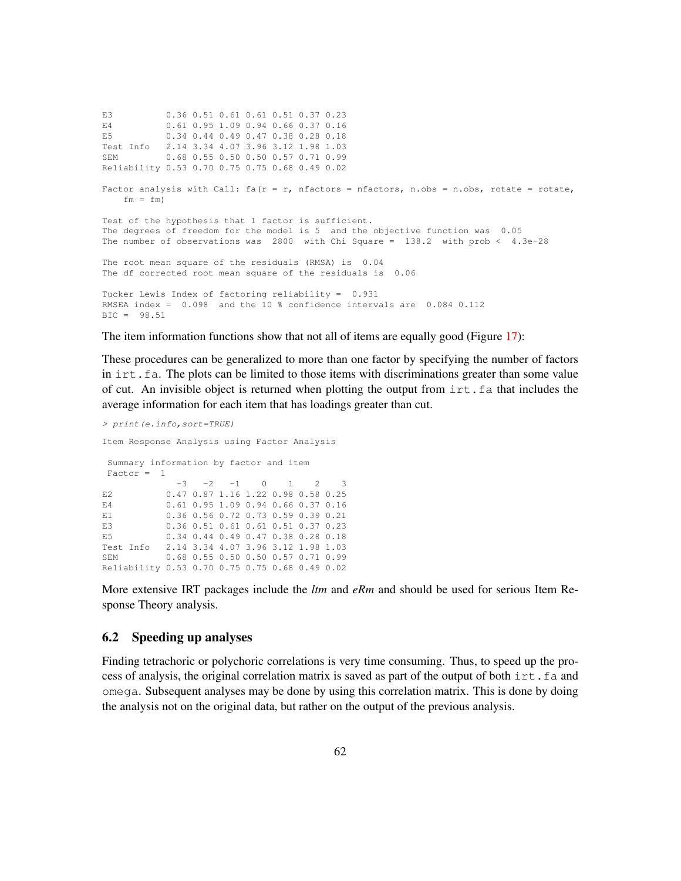E3 0.36 0.51 0.61 0.61 0.51 0.37 0.23 E4 0.61 0.95 1.09 0.94 0.66 0.37 0.16 E5 0.34 0.44 0.49 0.47 0.38 0.28 0.18 Test Info 2.14 3.34 4.07 3.96 3.12 1.98 1.03 SEM 0.68 0.55 0.50 0.50 0.57 0.71 0.99 Reliability 0.53 0.70 0.75 0.75 0.68 0.49 0.02 Factor analysis with Call:  $fa(r = r, nfactors = nfactors, n.obs = n.obs, rotate = rotate,$  $fm = fm$ Test of the hypothesis that 1 factor is sufficient. The degrees of freedom for the model is 5 and the objective function was 0.05 The number of observations was 2800 with Chi Square = 138.2 with prob < 4.3e-28 The root mean square of the residuals (RMSA) is 0.04 The df corrected root mean square of the residuals is 0.06 Tucker Lewis Index of factoring reliability = 0.931 RMSEA index = 0.098 and the 10 % confidence intervals are 0.084 0.112 BIC = 98.51

The item information functions show that not all of items are equally good (Figure 17):

These procedures can be generalized to more than one factor by specifying the number of factors in irt. fa. The plots can be limited to those items with discriminations greater than some value of cut. An invisible object is returned when plotting the output from irt.fa that includes the average information for each item that has loadings greater than cut.

```
> print(e.info,sort=TRUE)
Item Response Analysis using Factor Analysis
Summary information by factor and item
Factor = 1
            -3 -2 -1 0 1 2 3
E2 0.47 0.87 1.16 1.22 0.98 0.58 0.25
E4 0.61 0.95 1.09 0.94 0.66 0.37 0.16
E1 0.36 0.56 0.72 0.73 0.59 0.39 0.21
E3 0.36 0.51 0.61 0.61 0.51 0.37 0.23
E5 0.34 0.44 0.49 0.47 0.38 0.28 0.18
Test Info 2.14 3.34 4.07 3.96 3.12 1.98 1.03
SEM 0.68 0.55 0.50 0.50 0.57 0.71 0.99
Reliability 0.53 0.70 0.75 0.75 0.68 0.49 0.02
```
More extensive IRT packages include the *ltm* and *eRm* and should be used for serious Item Response Theory analysis.

### 6.2 Speeding up analyses

Finding tetrachoric or polychoric correlations is very time consuming. Thus, to speed up the process of analysis, the original correlation matrix is saved as part of the output of both irt. fa and omega. Subsequent analyses may be done by using this correlation matrix. This is done by doing the analysis not on the original data, but rather on the output of the previous analysis.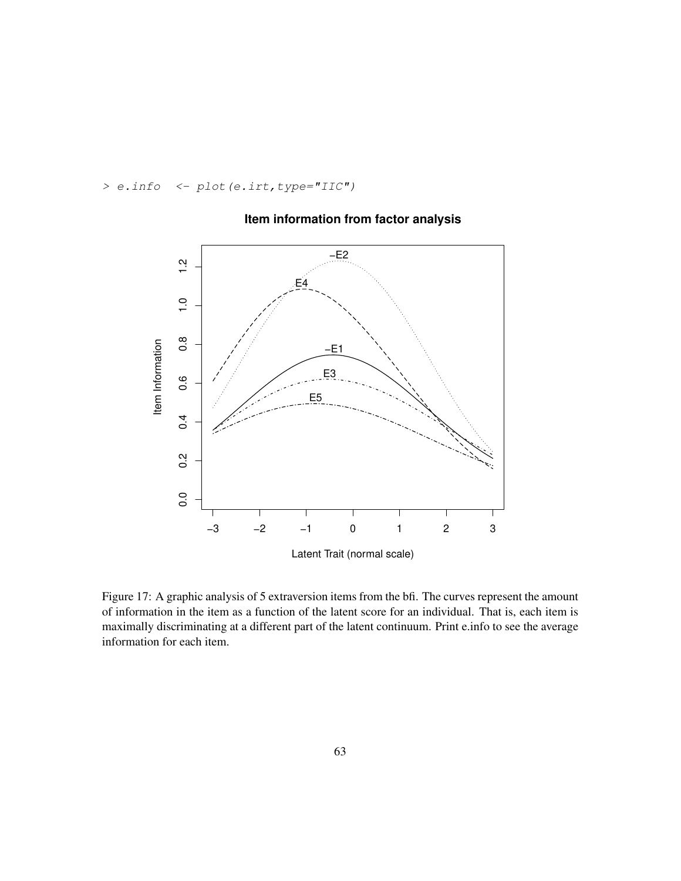*> e.info <- plot(e.irt,type="IIC")*



## **Item information from factor analysis**

Figure 17: A graphic analysis of 5 extraversion items from the bfi. The curves represent the amount of information in the item as a function of the latent score for an individual. That is, each item is maximally discriminating at a different part of the latent continuum. Print e.info to see the average information for each item.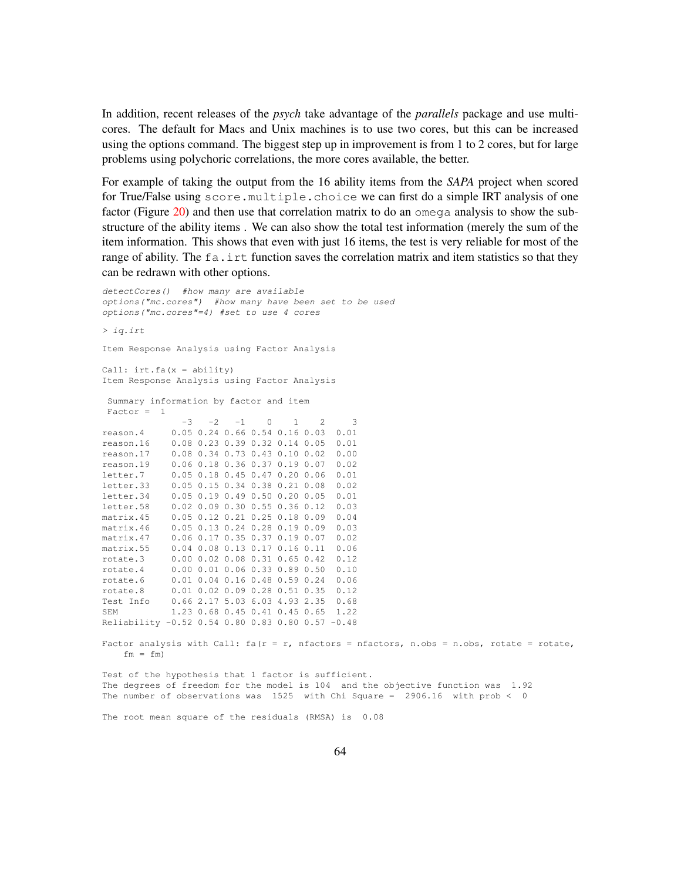In addition, recent releases of the *psych* take advantage of the *parallels* package and use multicores. The default for Macs and Unix machines is to use two cores, but this can be increased using the options command. The biggest step up in improvement is from 1 to 2 cores, but for large problems using polychoric correlations, the more cores available, the better.

For example of taking the output from the 16 ability items from the *SAPA* project when scored for True/False using score.multiple.choice we can first do a simple IRT analysis of one factor (Figure 20) and then use that correlation matrix to do an omega analysis to show the substructure of the ability items . We can also show the total test information (merely the sum of the item information. This shows that even with just 16 items, the test is very reliable for most of the range of ability. The  $fa$ , intertion saves the correlation matrix and item statistics so that they can be redrawn with other options.

```
detectCores() #how many are available
options("mc.cores") #how many have been set to be used
options("mc.cores"=4) #set to use 4 cores
> iq.irt
Item Response Analysis using Factor Analysis
Call: irt.fa(x = ability)Item Response Analysis using Factor Analysis
 Summary information by factor and item
 Factor = 1
               -3 -2 -1 0 1 2
reason.4 0.05 0.24 0.66 0.54 0.16 0.03 0.01
reason.16 0.08 0.23 0.39 0.32 0.14 0.05 0.01
reason.17 0.08 0.34 0.73 0.43 0.10 0.02 0.00
reason.19 0.06 0.18 0.36 0.37 0.19 0.07 0.02
letter.7 0.05 0.18 0.45 0.47 0.20 0.06 0.01
letter.7 0.05 0.18 0.45 0.47 0.20 0.06 0.01<br>letter.33 0.05 0.15 0.34 0.38 0.21 0.08 0.02
letter.34 0.05 0.19 0.49 0.50 0.20 0.05 0.01
letter.58 0.02 0.09 0.30 0.55 0.36 0.12 0.03
matrix.45 0.05 0.12 0.21 0.25 0.18 0.09 0.04
matrix.46   0.05   0.13   0.24   0.28   0.19   0.09   0.03
matrix.47 0.06 0.17 0.35 0.37 0.19 0.07 0.02
matrix.55 0.04 0.08 0.13 0.17 0.16 0.11 0.06
rotate.3 0.00 0.02 0.08 0.31 0.65 0.42 0.12
rotate.4 0.00 0.01 0.06 0.33 0.89 0.50 0.10
rotate.6 0.01 0.04 0.16 0.48 0.59 0.24 0.06
rotate.8 0.01 0.02 0.09 0.28 0.51 0.35 0.12
Test Info 0.66 2.17 5.03 6.03 4.93 2.35 0.68
SEM 1.23 0.68 0.45 0.41 0.45 0.65 1.22
Reliability -0.52 0.54 0.80 0.83 0.80 0.57 -0.48
Factor analysis with Call: fa(r = r, nfactors = nfactors, n.obs = n.obs, rotate = rotate,
    fm = fm)
```
Test of the hypothesis that 1 factor is sufficient. The degrees of freedom for the model is 104 and the objective function was 1.92 The number of observations was  $1525$  with Chi Square = 2906.16 with prob < 0

The root mean square of the residuals (RMSA) is 0.08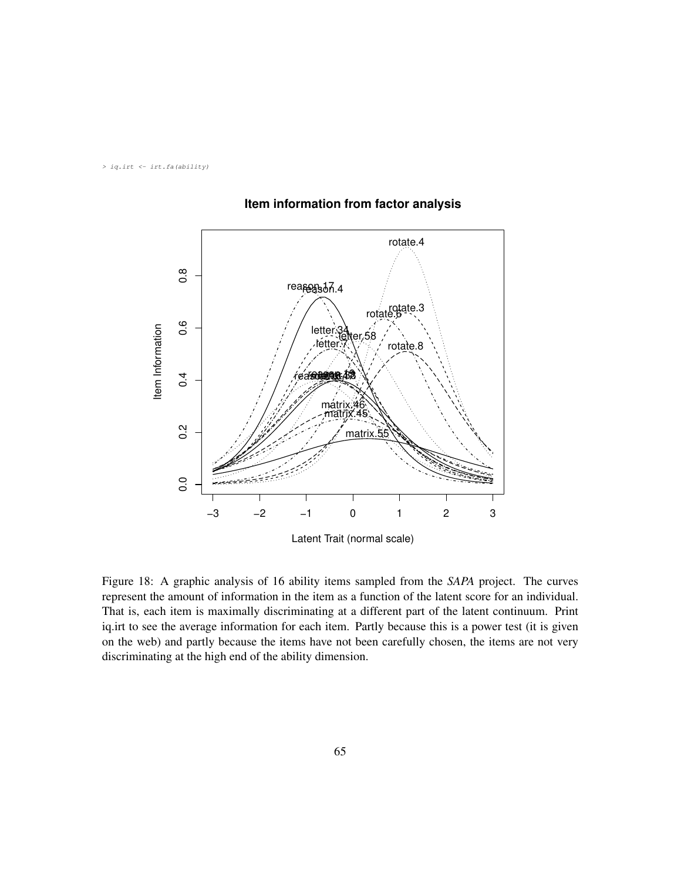*> iq.irt <- irt.fa(ability)*



## **Item information from factor analysis**

Figure 18: A graphic analysis of 16 ability items sampled from the *SAPA* project. The curves represent the amount of information in the item as a function of the latent score for an individual. That is, each item is maximally discriminating at a different part of the latent continuum. Print iq.irt to see the average information for each item. Partly because this is a power test (it is given on the web) and partly because the items have not been carefully chosen, the items are not very discriminating at the high end of the ability dimension.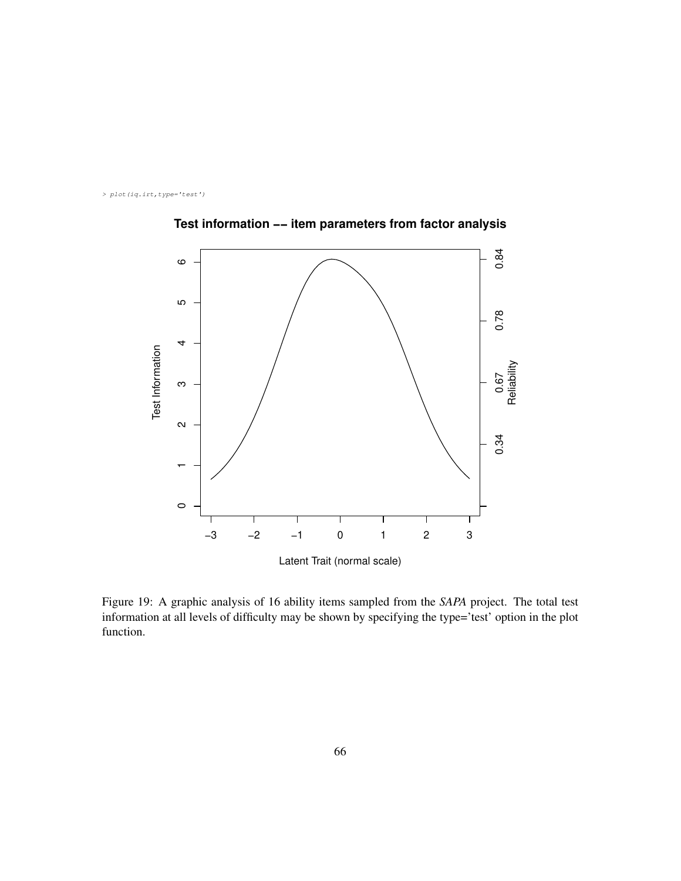*> plot(iq.irt,type='test')*



**Test information −− item parameters from factor analysis**

Figure 19: A graphic analysis of 16 ability items sampled from the *SAPA* project. The total test information at all levels of difficulty may be shown by specifying the type='test' option in the plot function.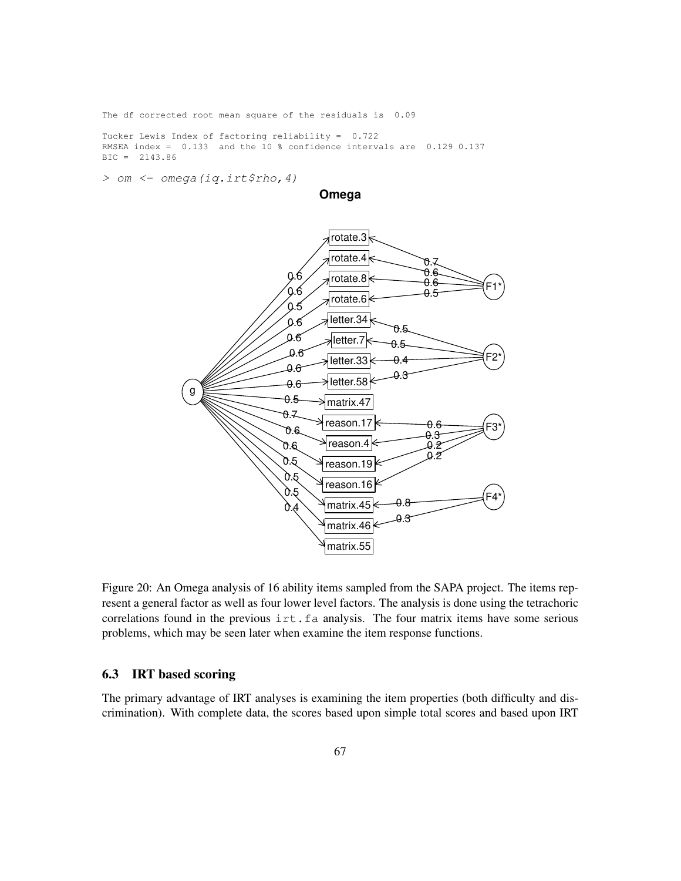The df corrected root mean square of the residuals is 0.09

Tucker Lewis Index of factoring reliability = 0.722 RMSEA index = 0.133 and the 10 % confidence intervals are 0.129 0.137 BIC = 2143.86

*> om <- omega(iq.irt\$rho,4)*

**Omega**



Figure 20: An Omega analysis of 16 ability items sampled from the SAPA project. The items represent a general factor as well as four lower level factors. The analysis is done using the tetrachoric correlations found in the previous irt.fa analysis. The four matrix items have some serious problems, which may be seen later when examine the item response functions.

## 6.3 IRT based scoring

The primary advantage of IRT analyses is examining the item properties (both difficulty and discrimination). With complete data, the scores based upon simple total scores and based upon IRT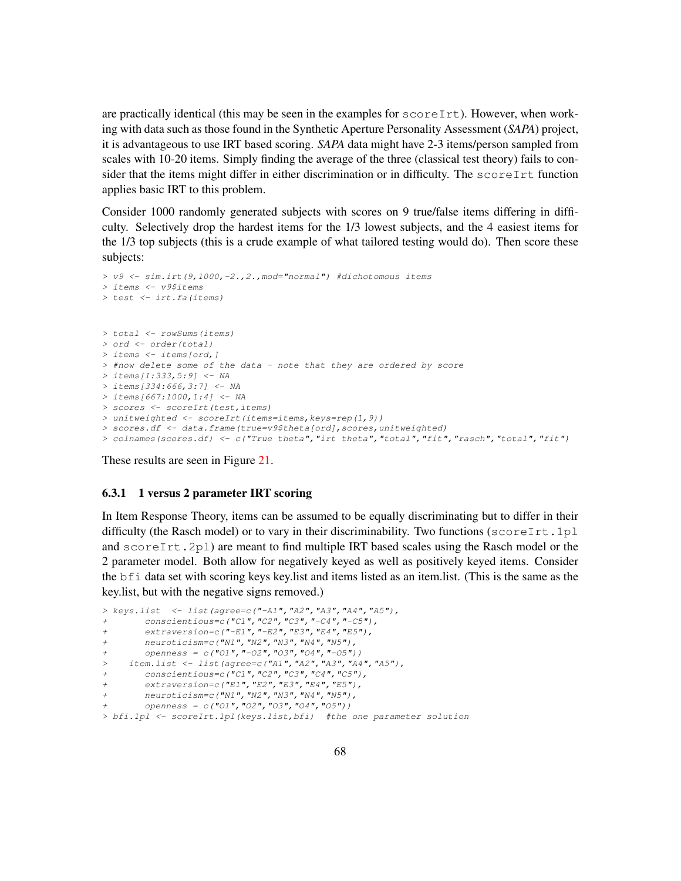are practically identical (this may be seen in the examples for  $\text{scoreInt}$ ). However, when working with data such as those found in the Synthetic Aperture Personality Assessment (*SAPA*) project, it is advantageous to use IRT based scoring. *SAPA* data might have 2-3 items/person sampled from scales with 10-20 items. Simply finding the average of the three (classical test theory) fails to consider that the items might differ in either discrimination or in difficulty. The  $scoreIrt$  function applies basic IRT to this problem.

Consider 1000 randomly generated subjects with scores on 9 true/false items differing in difficulty. Selectively drop the hardest items for the 1/3 lowest subjects, and the 4 easiest items for the 1/3 top subjects (this is a crude example of what tailored testing would do). Then score these subjects:

```
> v9 <- sim.irt(9,1000,-2.,2.,mod="normal") #dichotomous items
> items <- v9$items
> test <- irt.fa(items)
> total <- rowSums(items)
> ord <- order(total)
> items <- items[ord,]
> #now delete some of the data - note that they are ordered by score
> items[1:333,5:9] <- NA
> items[334:666,3:7] <- NA
> items[667:1000,1:4] <- NA
> scores <- scoreIrt(test,items)
> unitweighted <- scoreIrt(items=items,keys=rep(1,9))
> scores.df <- data.frame(true=v9$theta[ord],scores,unitweighted)
> colnames(scores.df) <- c("True theta","irt theta","total","fit","rasch","total","fit")
```
These results are seen in Figure 21.

#### 6.3.1 1 versus 2 parameter IRT scoring

In Item Response Theory, items can be assumed to be equally discriminating but to differ in their difficulty (the Rasch model) or to vary in their discriminability. Two functions (scoreIrt.1pl and  $score[It.2p1]$  are meant to find multiple IRT based scales using the Rasch model or the 2 parameter model. Both allow for negatively keyed as well as positively keyed items. Consider the bfi data set with scoring keys key.list and items listed as an item.list. (This is the same as the key.list, but with the negative signs removed.)

```
> keys.list <- list(agree=c("-A1","A2","A3","A4","A5"),
       + conscientious=c("C1","C2","C3","-C4","-C5"),
       + extraversion=c("-E1","-E2","E3","E4","E5"),
       + neuroticism=c("N1","N2","N3","N4","N5"),
       + openness = c("O1","-O2","O3","O4","-O5"))
    > item.list <- list(agree=c("A1","A2","A3","A4","A5"),
       + conscientious=c("C1","C2","C3","C4","C5"),
       + extraversion=c("E1","E2","E3","E4","E5"),
       + neuroticism=c("N1","N2","N3","N4","N5"),
       + openness = c("O1","O2","O3","O4","O5"))
> bfi.1pl <- scoreIrt.1pl(keys.list,bfi) #the one parameter solution
```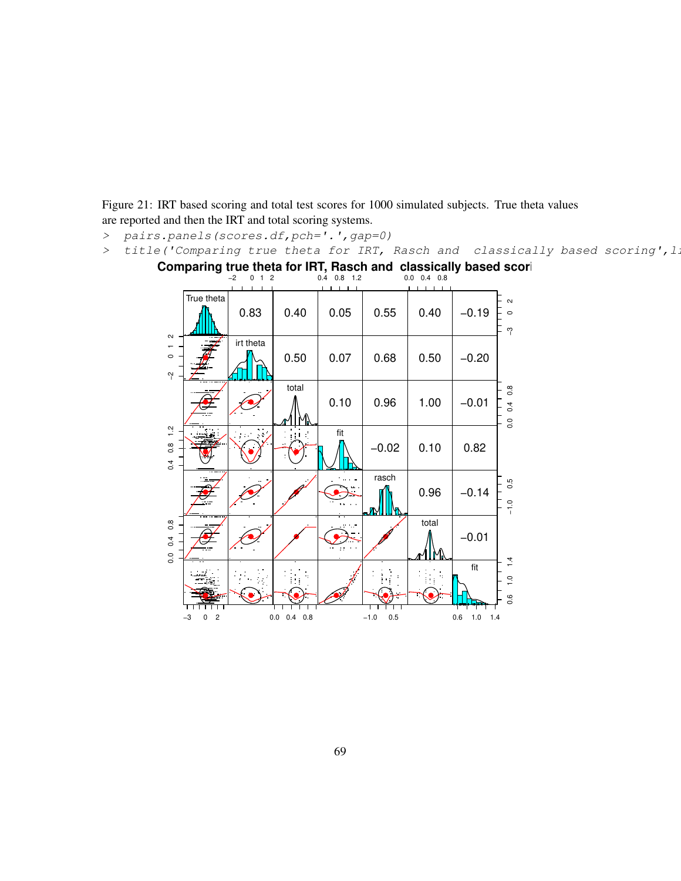Figure 21: IRT based scoring and total test scores for 1000 simulated subjects. True theta values are reported and then the IRT and total scoring systems.

- *> pairs.panels(scores.df,pch='.',gap=0)*
- *>* title('Comparing true theta for IRT, Rasch and classically based scoring', 1.

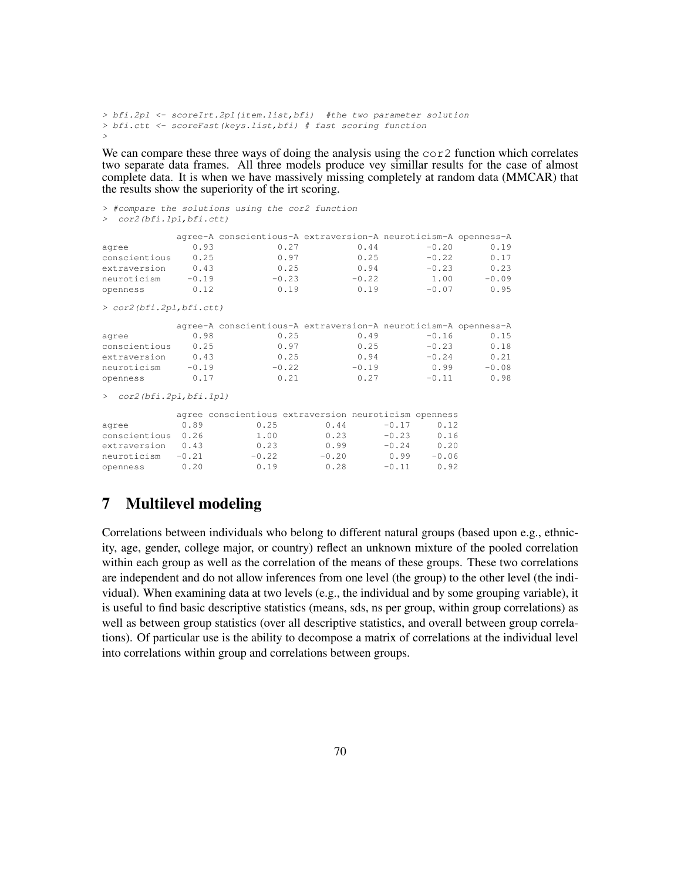```
> bfi.2pl <- scoreIrt.2pl(item.list,bfi) #the two parameter solution
> bfi.ctt <- scoreFast(keys.list,bfi) # fast scoring function
>
```
We can compare these three ways of doing the analysis using the cor2 function which correlates two separate data frames. All three models produce vey simillar results for the case of almost complete data. It is when we have massively missing completely at random data (MMCAR) that the results show the superiority of the irt scoring.

```
> #compare the solutions using the cor2 function
> cor2(bfi.1pl,bfi.ctt)
           agree-A conscientious-A extraversion-A neuroticism-A openness-A
agree 0.93 0.27 0.44 -0.20 0.19
conscientious 0.25 0.97 0.25 -0.22 0.17<br>extraversion 0.43 0.25 0.94 -0.23 0.23
extraversion
neuroticism -0.19 -0.23 -0.22 1.00 -0.09
openness 0.12 0.19 0.19 -0.07 0.95
> cor2(bfi.2pl,bfi.ctt)
           agree-A conscientious-A extraversion-A neuroticism-A openness-A
agree 0.98 0.25 0.49 -0.16 0.15
conscientious 0.25 0.97 0.25 −0.23 0.18<br>extraversion 0.43 0.25 0.94 −0.24 0.21
extraversion 0.43 0.25 0.94 -0.24
neuroticism -0.19 -0.22 -0.19 0.99 -0.08openness 0.17 0.21 0.27 -0.11 0.98
> cor2(bfi.2pl,bfi.1pl)
           agree conscientious extraversion neuroticism openness
agree 0.89 0.25 0.44 -0.17 0.12<br>
conscientious 0.26 1.00 0.23 -0.23 0.16<br>
extraversion 0.43 0.23 0.99 -0.24 0.20
conscientious 0.26 1.00 0.23 -0.23 0.16
extraversion 0.43 0.23 0.99 -0.24 0.20<br>neuroticism -0.21 -0.22 -0.20 0.99 -0.06
neuroticism -0.21openness 0.20 0.19 0.28 -0.21 0.20<br>
0.20 0.28 -0.11 0.92<br>
0.20 0.28 -0.11 0.92
```
# 7 Multilevel modeling

Correlations between individuals who belong to different natural groups (based upon e.g., ethnicity, age, gender, college major, or country) reflect an unknown mixture of the pooled correlation within each group as well as the correlation of the means of these groups. These two correlations are independent and do not allow inferences from one level (the group) to the other level (the individual). When examining data at two levels (e.g., the individual and by some grouping variable), it is useful to find basic descriptive statistics (means, sds, ns per group, within group correlations) as well as between group statistics (over all descriptive statistics, and overall between group correlations). Of particular use is the ability to decompose a matrix of correlations at the individual level into correlations within group and correlations between groups.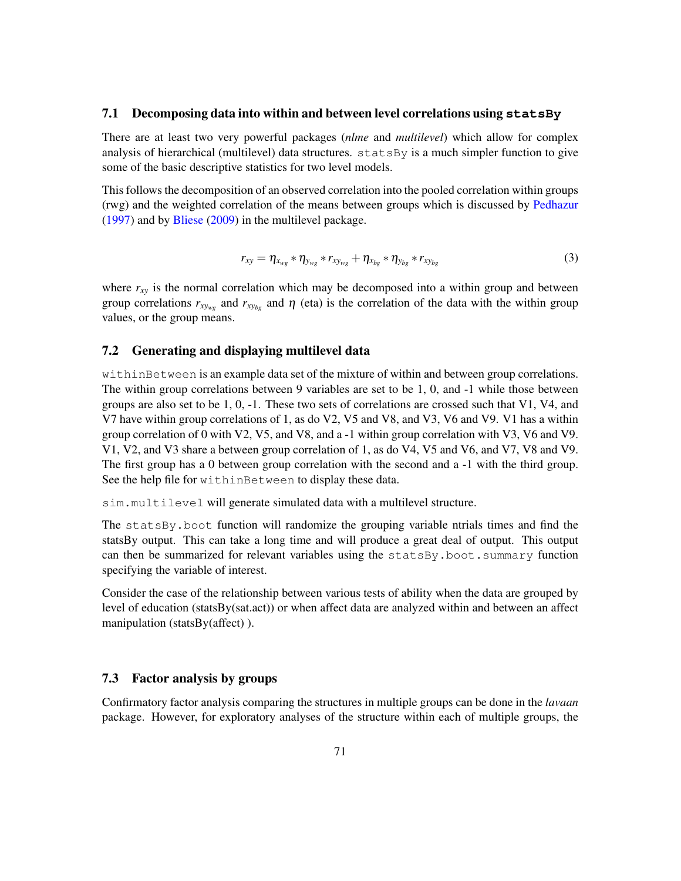## 7.1 Decomposing data into within and between level correlations using **statsBy**

There are at least two very powerful packages (*nlme* and *multilevel*) which allow for complex analysis of hierarchical (multilevel) data structures.  $\text{statsBy}$  is a much simpler function to give some of the basic descriptive statistics for two level models.

This follows the decomposition of an observed correlation into the pooled correlation within groups (rwg) and the weighted correlation of the means between groups which is discussed by Pedhazur (1997) and by Bliese (2009) in the multilevel package.

$$
r_{xy} = \eta_{x_{wg}} * \eta_{y_{wg}} * r_{xy_{wg}} + \eta_{x_{bg}} * \eta_{y_{bg}} * r_{xy_{bg}}
$$
(3)

where  $r_{xy}$  is the normal correlation which may be decomposed into a within group and between group correlations  $r_{xy_{wg}}$  and  $r_{xy_{bg}}$  and  $\eta$  (eta) is the correlation of the data with the within group values, or the group means.

## 7.2 Generating and displaying multilevel data

withinBetween is an example data set of the mixture of within and between group correlations. The within group correlations between 9 variables are set to be 1, 0, and -1 while those between groups are also set to be 1, 0, -1. These two sets of correlations are crossed such that V1, V4, and V7 have within group correlations of 1, as do V2, V5 and V8, and V3, V6 and V9. V1 has a within group correlation of 0 with V2, V5, and V8, and a -1 within group correlation with V3, V6 and V9. V1, V2, and V3 share a between group correlation of 1, as do V4, V5 and V6, and V7, V8 and V9. The first group has a 0 between group correlation with the second and a -1 with the third group. See the help file for withinBetween to display these data.

sim.multilevel will generate simulated data with a multilevel structure.

The statsBy.boot function will randomize the grouping variable ntrials times and find the statsBy output. This can take a long time and will produce a great deal of output. This output can then be summarized for relevant variables using the statsBy.boot.summary function specifying the variable of interest.

Consider the case of the relationship between various tests of ability when the data are grouped by level of education (statsBy(sat.act)) or when affect data are analyzed within and between an affect manipulation (statsBy(affect) ).

### 7.3 Factor analysis by groups

Confirmatory factor analysis comparing the structures in multiple groups can be done in the *lavaan* package. However, for exploratory analyses of the structure within each of multiple groups, the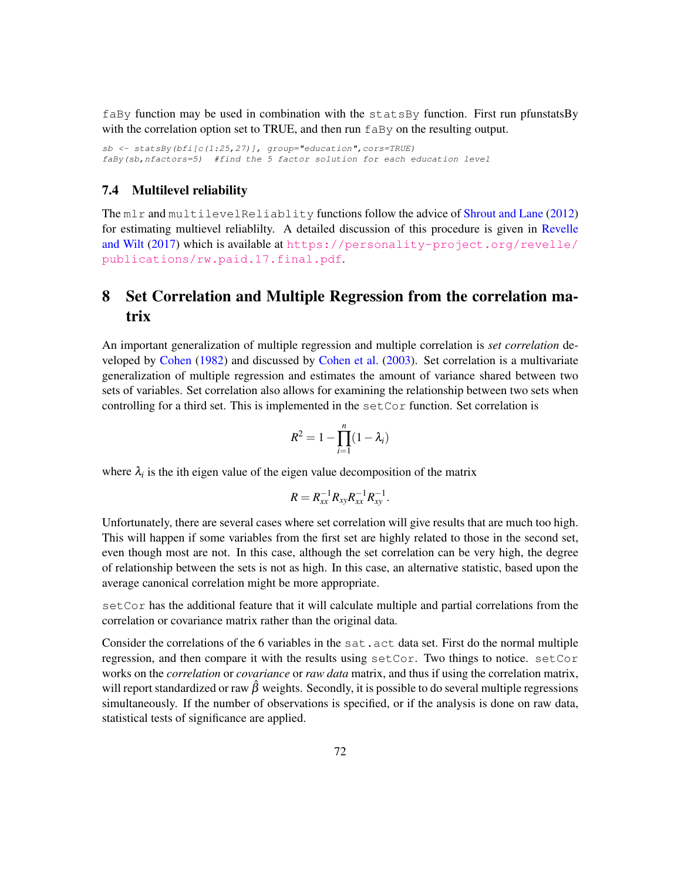faBy function may be used in combination with the statsBy function. First run pfunstatsBy with the correlation option set to TRUE, and then run  $f$ <sub>aBy</sub> on the resulting output.

*sb <- statsBy(bfi[c(1:25,27)], group="education",cors=TRUE) faBy(sb,nfactors=5) #find the 5 factor solution for each education level*

## 7.4 Multilevel reliability

The mlr and multilevelReliablity functions follow the advice of Shrout and Lane (2012) for estimating multievel reliablilty. A detailed discussion of this procedure is given in Revelle and Wilt (2017) which is available at [https://personality-project.org/revelle/](https://personality-project.org/revelle/publications/rw.paid.17.final.pdf) [publications/rw.paid.17.final.pdf](https://personality-project.org/revelle/publications/rw.paid.17.final.pdf).

# 8 Set Correlation and Multiple Regression from the correlation matrix

An important generalization of multiple regression and multiple correlation is *set correlation* developed by Cohen (1982) and discussed by Cohen et al. (2003). Set correlation is a multivariate generalization of multiple regression and estimates the amount of variance shared between two sets of variables. Set correlation also allows for examining the relationship between two sets when controlling for a third set. This is implemented in the setCor function. Set correlation is

$$
R^2 = 1 - \prod_{i=1}^n (1 - \lambda_i)
$$

where  $\lambda_i$  is the ith eigen value of the eigen value decomposition of the matrix

$$
R=R_{xx}^{-1}R_{xy}R_{xx}^{-1}R_{xy}^{-1}.
$$

Unfortunately, there are several cases where set correlation will give results that are much too high. This will happen if some variables from the first set are highly related to those in the second set, even though most are not. In this case, although the set correlation can be very high, the degree of relationship between the sets is not as high. In this case, an alternative statistic, based upon the average canonical correlation might be more appropriate.

setCor has the additional feature that it will calculate multiple and partial correlations from the correlation or covariance matrix rather than the original data.

Consider the correlations of the 6 variables in the sat.act data set. First do the normal multiple regression, and then compare it with the results using setCor. Two things to notice. setCor works on the *correlation* or *covariance* or *raw data* matrix, and thus if using the correlation matrix, will report standardized or raw  $\hat{\beta}$  weights. Secondly, it is possible to do several multiple regressions simultaneously. If the number of observations is specified, or if the analysis is done on raw data, statistical tests of significance are applied.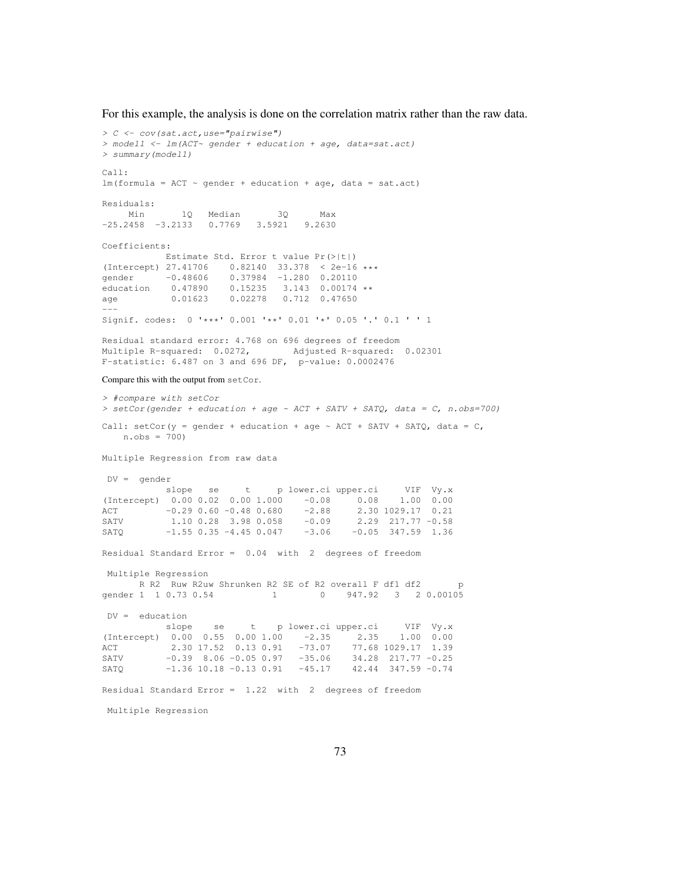For this example, the analysis is done on the correlation matrix rather than the raw data.

```
> C <- cov(sat.act,use="pairwise")
> model1 <- lm(ACT~ gender + education + age, data=sat.act)
> summary(model1)
Call:
lm(formula = ACT ~ quender + education + age, data = sat.act)Residuals:
   Min 1Q Median 3Q Max
-25.2458 -3.2133 0.7769 3.5921 9.2630
Coefficients:
          Estimate Std. Error t value Pr(>|t|)
(Intercept) 27.41706  0.82140  33.378  < 2e-16 *** gender   -0.48606  0.37984  -1.280  0.20110
gender -0.48606 0.37984 -1.280 0.20110
education  0.47890  0.15235  3.143  0.00174 **
age 0.01623 0.02278 0.712 0.47650
---
Signif. codes: 0 '***' 0.001 '**' 0.01 '*' 0.05 '.' 0.1 ' ' 1
Residual standard error: 4.768 on 696 degrees of freedom
Multiple R-squared: 0.0272, Adjusted R-squared: 0.02301
F-statistic: 6.487 on 3 and 696 DF, p-value: 0.0002476
Compare this with the output from setCor.
> #compare with setCor
> setCor(gender + education + age ~ ACT + SATV + SATQ, data = C, n.obs=700)
Call: setCor(y = gender + education + age \sim ACT + SATV + SATQ, data = C,
   n.obs = 700Multiple Regression from raw data
DV = gender
            slope se t p lower.ci upper.ci VIF Vy.x
(Intercept) 0.00 0.02 0.00 1.000 -0.08 0.08 1.00 0.00
ACT -0.29 0.60 -0.48 0.680 -2.88 2.30 1029.17 0.21
\begin{array}{cccccccc} \text{ACT} & -0.29 & 0.60 & -0.48 & 0.680 & & -2.88 & & 2.30 & 1029.17 & 0.21 \\ \text{SATV} & & & 1.10 & 0.28 & 3.98 & 0.058 & & -0.09 & & 2.29 & 217.77 & -0.58 \end{array}SATQ -1.55 0.35 -4.45 0.047 -3.06 -0.05 347.59 1.36
Residual Standard Error = 0.04 with 2 degrees of freedom
Multiple Regression
     R R2 Ruw R2uw Shrunken R2 SE of R2 overall F df1 df2 p
gender 1 1 0.73 0.54 1 0 947.92 3 2 0.00105
DV = education
          slope se t p lower.ci upper.ci VIF Vy.x
(Intercept) 0.00 0.55 0.00 1.00 -2.35 2.35 1.00 0.00
ACT 2.30 17.52 0.13 0.91 -73.07 77.68 1029.17 1.39
SATV -0.39 8.06 -0.05 0.97 -35.06 34.28 217.77 -0.25
SATQ -1.36 10.18 -0.13 0.91 -45.17 42.44 347.59 -0.74
Residual Standard Error = 1.22 with 2 degrees of freedom
Multiple Regression
```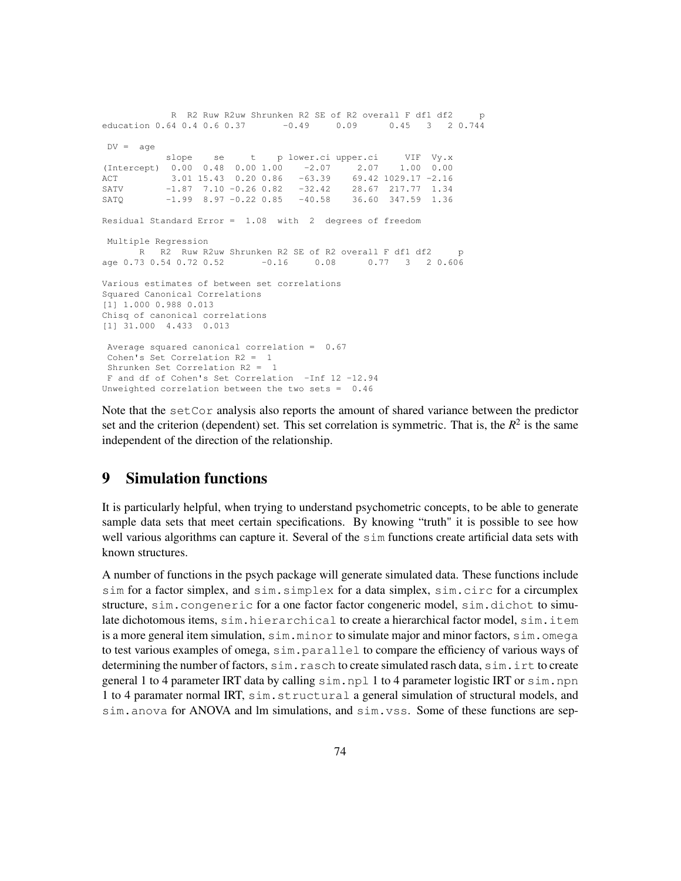```
R R2 Ruw R2uw Shrunken R2 SE of R2 overall F df1 df2 p
education 0.64 0.4 0.6 0.37 -0.49 0.09 0.45 3 2 0.744
DV = a\alpha eslope se t p lower.ci upper.ci VIF Vy.x
(Intercept) 0.00 0.48 0.00 1.00 -2.07 2.07 1.00 0.00
ACT 3.01 15.43 0.20 0.86 -63.39 69.42 1029.17 -2.16
SATV -1.87 7.10 -0.26 0.82 -32.42 28.67 217.77 1.34
SATQ -1.99 8.97 -0.22 0.85 -40.58 36.60 347.59 1.36
Residual Standard Error = 1.08 with 2 degrees of freedom
Multiple Regression
     R R2 Ruw R2uw Shrunken R2 SE of R2 overall F df1 df2 p
age 0.73 0.54 0.72 0.52 -0.16 0.08 0.77 3 2 0.606
Various estimates of between set correlations
Squared Canonical Correlations
[1] 1.000 0.988 0.013
Chisq of canonical correlations
[1] 31.000 4.433 0.013
Average squared canonical correlation = 0.67
Cohen's Set Correlation R2 = 1
Shrunken Set Correlation R2 = 1
F and df of Cohen's Set Correlation -Inf 12 -12.94
Unweighted correlation between the two sets = 0.46
```
Note that the set Cor analysis also reports the amount of shared variance between the predictor set and the criterion (dependent) set. This set correlation is symmetric. That is, the  $R^2$  is the same independent of the direction of the relationship.

#### 9 Simulation functions

It is particularly helpful, when trying to understand psychometric concepts, to be able to generate sample data sets that meet certain specifications. By knowing "truth" it is possible to see how well various algorithms can capture it. Several of the sim functions create artificial data sets with known structures.

A number of functions in the psych package will generate simulated data. These functions include sim for a factor simplex, and sim.simplex for a data simplex, sim.circ for a circumplex structure, sim.congeneric for a one factor factor congeneric model, sim.dichot to simulate dichotomous items, sim.hierarchical to create a hierarchical factor model, sim.item is a more general item simulation,  $sim.m.in.minor$  to simulate major and minor factors, sim.omega to test various examples of omega, sim.parallel to compare the efficiency of various ways of determining the number of factors, sim.rasch to create simulated rasch data, sim.irt to create general 1 to 4 parameter IRT data by calling  $\sin$ , npl 1 to 4 parameter logistic IRT or  $\sin$ , npn 1 to 4 paramater normal IRT, sim.structural a general simulation of structural models, and sim.anova for ANOVA and lm simulations, and sim.vss. Some of these functions are sep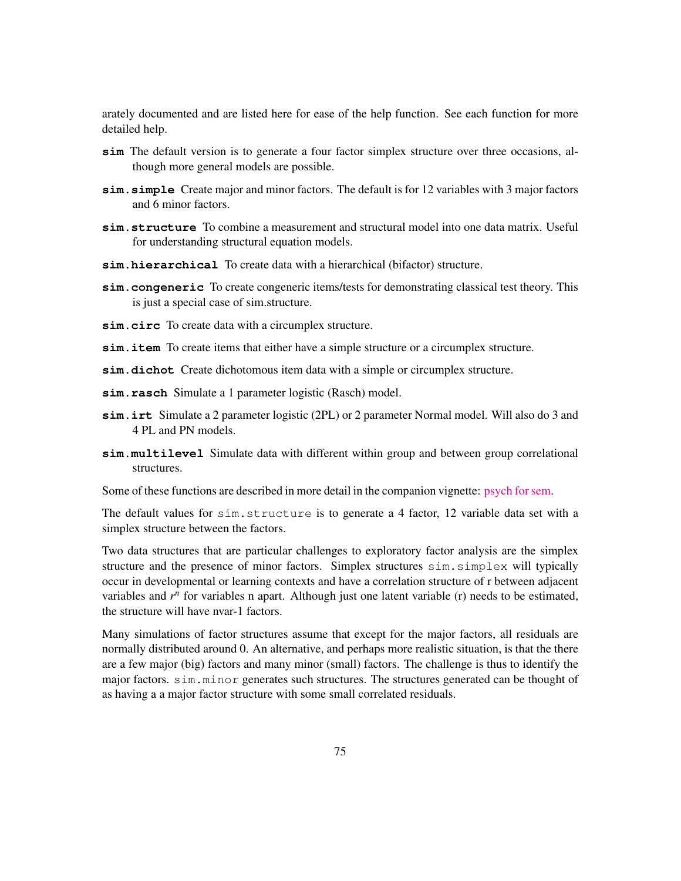arately documented and are listed here for ease of the help function. See each function for more detailed help.

- **sim** The default version is to generate a four factor simplex structure over three occasions, although more general models are possible.
- **sim.simple** Create major and minor factors. The default is for 12 variables with 3 major factors and 6 minor factors.
- **sim.structure** To combine a measurement and structural model into one data matrix. Useful for understanding structural equation models.
- **sim.hierarchical** To create data with a hierarchical (bifactor) structure.
- **sim.congeneric** To create congeneric items/tests for demonstrating classical test theory. This is just a special case of sim.structure.
- **sim.circ** To create data with a circumplex structure.
- sim.item To create items that either have a simple structure or a circumplex structure.
- **sim.dichot** Create dichotomous item data with a simple or circumplex structure.
- **sim.rasch** Simulate a 1 parameter logistic (Rasch) model.
- **sim.irt** Simulate a 2 parameter logistic (2PL) or 2 parameter Normal model. Will also do 3 and 4 PL and PN models.
- **sim.multilevel** Simulate data with different within group and between group correlational structures.

Some of these functions are described in more detail in the companion vignette: [psych for sem.]("psych_for_sem.pdf")

The default values for sim.structure is to generate a 4 factor, 12 variable data set with a simplex structure between the factors.

Two data structures that are particular challenges to exploratory factor analysis are the simplex structure and the presence of minor factors. Simplex structures sim.simplex will typically occur in developmental or learning contexts and have a correlation structure of r between adjacent variables and  $r<sup>n</sup>$  for variables n apart. Although just one latent variable (r) needs to be estimated, the structure will have nvar-1 factors.

Many simulations of factor structures assume that except for the major factors, all residuals are normally distributed around 0. An alternative, and perhaps more realistic situation, is that the there are a few major (big) factors and many minor (small) factors. The challenge is thus to identify the major factors. sim.minor generates such structures. The structures generated can be thought of as having a a major factor structure with some small correlated residuals.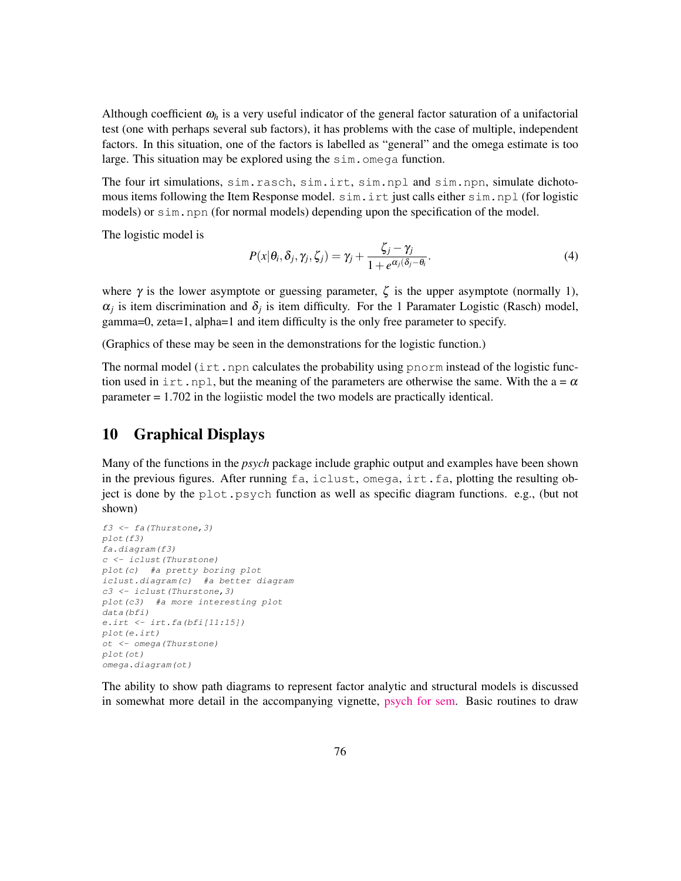Although coefficient  $\omega_h$  is a very useful indicator of the general factor saturation of a unifactorial test (one with perhaps several sub factors), it has problems with the case of multiple, independent factors. In this situation, one of the factors is labelled as "general" and the omega estimate is too large. This situation may be explored using the sim. omega function.

The four irt simulations, sim.rasch, sim.irt, sim.npl and sim.npn, simulate dichotomous items following the Item Response model. sim.irt just calls either sim.npl (for logistic models) or sim.npn (for normal models) depending upon the specification of the model.

The logistic model is

$$
P(x|\theta_i, \delta_j, \gamma_j, \zeta_j) = \gamma_j + \frac{\zeta_j - \gamma_j}{1 + e^{\alpha_j(\delta_j - \theta_i)}}.
$$
\n(4)

where  $\gamma$  is the lower asymptote or guessing parameter,  $\zeta$  is the upper asymptote (normally 1),  $\alpha_j$  is item discrimination and  $\delta_j$  is item difficulty. For the 1 Paramater Logistic (Rasch) model, gamma=0, zeta=1, alpha=1 and item difficulty is the only free parameter to specify.

(Graphics of these may be seen in the demonstrations for the logistic function.)

The normal model ( $\text{int}$ , npn calculates the probability using pnorm instead of the logistic function used in irt.npl, but the meaning of the parameters are otherwise the same. With the  $a = \alpha$ parameter = 1.702 in the logiistic model the two models are practically identical.

# 10 Graphical Displays

Many of the functions in the *psych* package include graphic output and examples have been shown in the previous figures. After running fa, iclust, omega, irt.fa, plotting the resulting object is done by the plot.psych function as well as specific diagram functions. e.g., (but not shown)

```
f3 <- fa(Thurstone,3)
plot(f3)
fa.diagram(f3)
c <- iclust(Thurstone)
plot(c) #a pretty boring plot
iclust.diagram(c) #a better diagram
c3 <- iclust(Thurstone,3)
plot(c3) #a more interesting plot
data(bfi)
e.irt <- irt.fa(bfi[11:15])
plot(e.irt)
ot <- omega(Thurstone)
plot(ot)
omega.diagram(ot)
```
The ability to show path diagrams to represent factor analytic and structural models is discussed in somewhat more detail in the accompanying vignette, [psych for sem.]("psych_for_sem.pdf") Basic routines to draw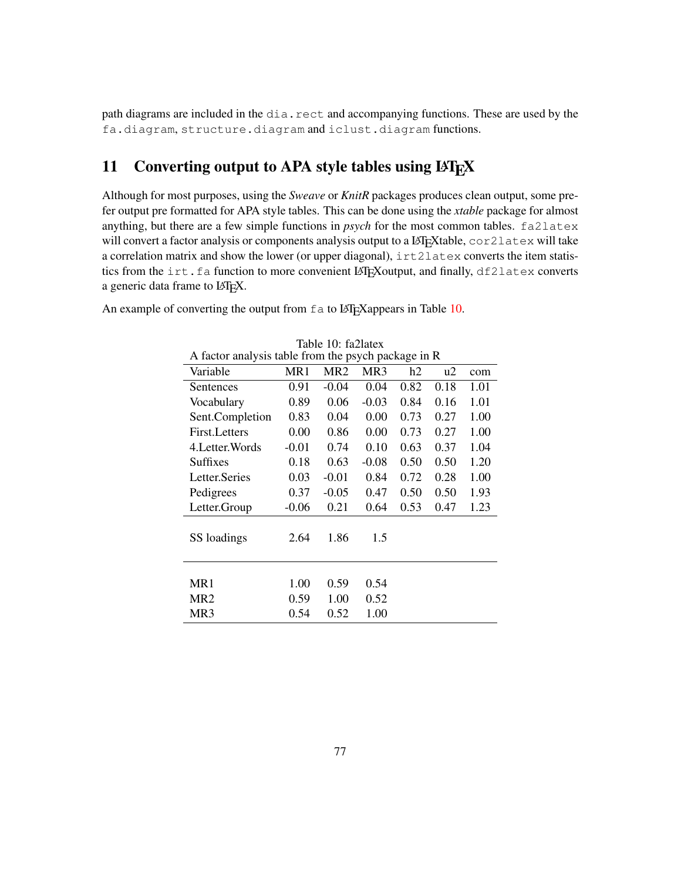path diagrams are included in the dia.rect and accompanying functions. These are used by the fa.diagram, structure.diagram and iclust.diagram functions.

# 11 Converting output to APA style tables using LAT<sub>EX</sub>

Although for most purposes, using the *Sweave* or *KnitR* packages produces clean output, some prefer output pre formatted for APA style tables. This can be done using the *xtable* package for almost anything, but there are a few simple functions in *psych* for the most common tables. fa2latex will convert a factor analysis or components analysis output to a LAT<sub>E</sub>Xtable, cor2latex will take a correlation matrix and show the lower (or upper diagonal), irt2latex converts the item statistics from the irt.fa function to more convenient LAT<sub>E</sub>Xoutput, and finally, df2latex converts a generic data frame to LAT<sub>E</sub>X.

Table 10: fa2latex

| A factor analysis table from the psych package in R |         |                 |                 |      |      |      |
|-----------------------------------------------------|---------|-----------------|-----------------|------|------|------|
| Variable                                            | MR1     | MR <sub>2</sub> | MR <sub>3</sub> | h2   | u2   | com  |
| Sentences                                           | 0.91    | $-0.04$         | 0.04            | 0.82 | 0.18 | 1.01 |
| Vocabulary                                          | 0.89    | 0.06            | $-0.03$         | 0.84 | 0.16 | 1.01 |
| Sent.Completion                                     | 0.83    | 0.04            | 0.00            | 0.73 | 0.27 | 1.00 |
| First. Letters                                      | 0.00    | 0.86            | 0.00            | 0.73 | 0.27 | 1.00 |
| 4. Letter. Words                                    | $-0.01$ | 0.74            | 0.10            | 0.63 | 0.37 | 1.04 |
| Suffixes                                            | 0.18    | 0.63            | $-0.08$         | 0.50 | 0.50 | 1.20 |
| Letter.Series                                       | 0.03    | $-0.01$         | 0.84            | 0.72 | 0.28 | 1.00 |
| Pedigrees                                           | 0.37    | $-0.05$         | 0.47            | 0.50 | 0.50 | 1.93 |
| Letter.Group                                        | $-0.06$ | 0.21            | 0.64            | 0.53 | 0.47 | 1.23 |
| SS loadings                                         | 2.64    | 1.86            | 1.5             |      |      |      |
| MR1                                                 | 1.00    | 0.59            | 0.54            |      |      |      |
| MR <sub>2</sub>                                     | 0.59    | 1.00            | 0.52            |      |      |      |
| MR3                                                 | 0.54    | 0.52            | 1.00            |      |      |      |

An example of converting the output from fa to LATEX appears in Table 10.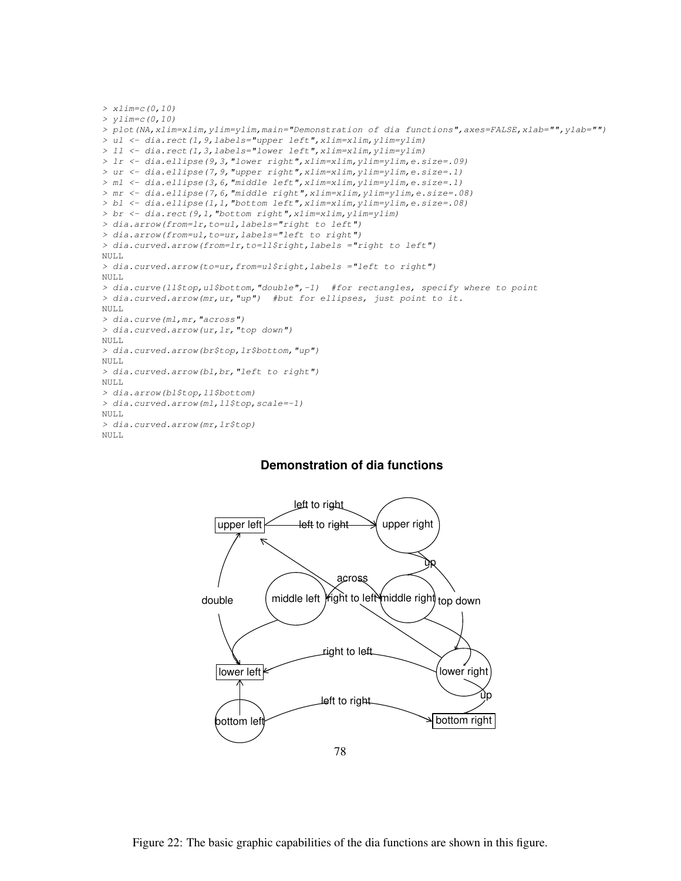```
> xlim=c(0,10)
> ylim=c(0,10)
> plot(NA,xlim=xlim,ylim=ylim,main="Demonstration of dia functions",axes=FALSE,xlab="",ylab="")
> ul <- dia.rect(1,9,labels="upper left",xlim=xlim,ylim=ylim)
> ll <- dia.rect(1,3,labels="lower left",xlim=xlim,ylim=ylim)
> lr <- dia.ellipse(9,3,"lower right",xlim=xlim,ylim=ylim,e.size=.09)
> ur <- dia.ellipse(7,9,"upper right",xlim=xlim,ylim=ylim,e.size=.1)
> ml <- dia.ellipse(3,6,"middle left",xlim=xlim,ylim=ylim,e.size=.1)
> mr <- dia.ellipse(7,6,"middle right",xlim=xlim,ylim=ylim,e.size=.08)
> bl <- dia.ellipse(1,1,"bottom left",xlim=xlim,ylim=ylim,e.size=.08)
> br <- dia.rect(9,1,"bottom right",xlim=xlim,ylim=ylim)
> dia.arrow(from=lr,to=ul,labels="right to left")
> dia.arrow(from=ul,to=ur,labels="left to right")
> dia.curved.arrow(from=lr,to=ll$right,labels ="right to left")
NULL
> dia.curved.arrow(to=ur,from=ul$right,labels ="left to right")
NULL.
> dia.curve(ll$top,ul$bottom,"double",-1) #for rectangles, specify where to point
> dia.curved.arrow(mr,ur,"up") #but for ellipses, just point to it.
NULL.
> dia.curve(ml,mr,"across")
> dia.curved.arrow(ur,lr,"top down")
NULL.
> dia.curved.arrow(br$top,lr$bottom,"up")
NULL.
> dia.curved.arrow(bl,br,"left to right")
NULL
> dia.arrow(bl$top,ll$bottom)
> dia.curved.arrow(ml,ll$top,scale=-1)
NULL
> dia.curved.arrow(mr,lr$top)
NULL
```
#### **Demonstration of dia functions**

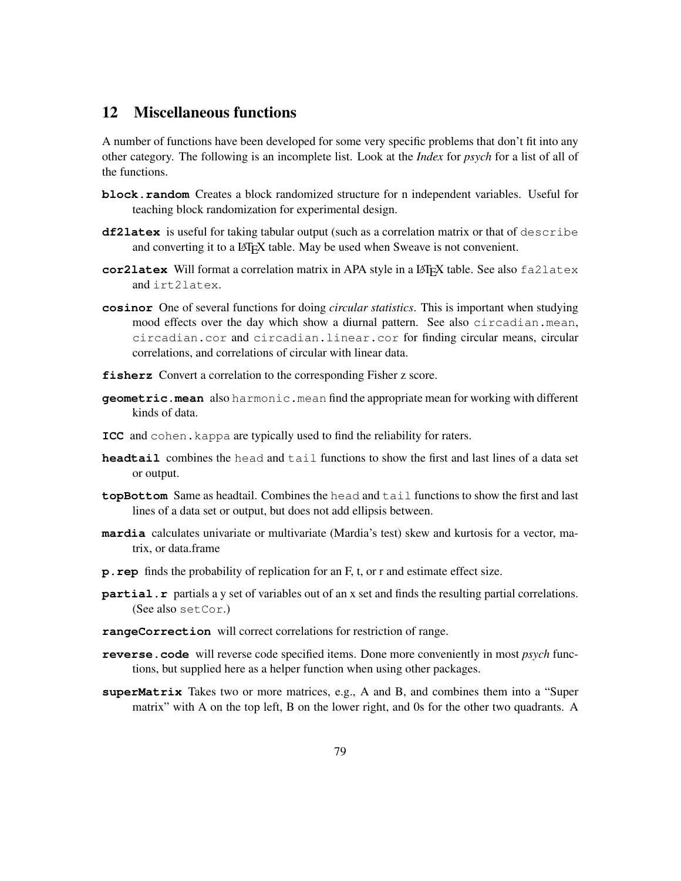### 12 Miscellaneous functions

A number of functions have been developed for some very specific problems that don't fit into any other category. The following is an incomplete list. Look at the *Index* for *psych* for a list of all of the functions.

- **block.random** Creates a block randomized structure for n independent variables. Useful for teaching block randomization for experimental design.
- **df2latex** is useful for taking tabular output (such as a correlation matrix or that of describe and converting it to a LAT<sub>EX</sub> table. May be used when Sweave is not convenient.
- **cor2latex** Will format a correlation matrix in APA style in a LATEX table. See also fa2latex and irt2latex.
- **cosinor** One of several functions for doing *circular statistics*. This is important when studying mood effects over the day which show a diurnal pattern. See also circadian.mean, circadian.cor and circadian.linear.cor for finding circular means, circular correlations, and correlations of circular with linear data.
- **fisherz** Convert a correlation to the corresponding Fisher z score.
- **geometric.mean** also harmonic.mean find the appropriate mean for working with different kinds of data.
- **ICC** and cohen.kappa are typically used to find the reliability for raters.
- **headtail** combines the head and tail functions to show the first and last lines of a data set or output.
- **topBottom** Same as headtail. Combines the head and tail functions to show the first and last lines of a data set or output, but does not add ellipsis between.
- **mardia** calculates univariate or multivariate (Mardia's test) skew and kurtosis for a vector, matrix, or data.frame
- **p.rep** finds the probability of replication for an F, t, or r and estimate effect size.
- **partial.r** partials a y set of variables out of an x set and finds the resulting partial correlations. (See also setCor.)
- **rangeCorrection** will correct correlations for restriction of range.
- **reverse.code** will reverse code specified items. Done more conveniently in most *psych* functions, but supplied here as a helper function when using other packages.
- **superMatrix** Takes two or more matrices, e.g., A and B, and combines them into a "Super matrix" with A on the top left, B on the lower right, and 0s for the other two quadrants. A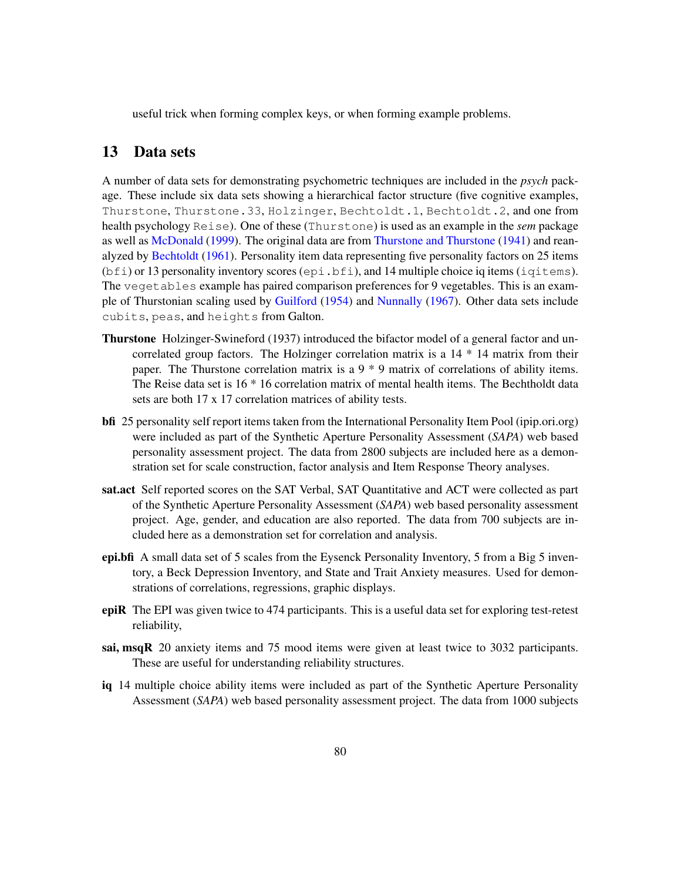useful trick when forming complex keys, or when forming example problems.

#### 13 Data sets

A number of data sets for demonstrating psychometric techniques are included in the *psych* package. These include six data sets showing a hierarchical factor structure (five cognitive examples, Thurstone, Thurstone.33, Holzinger, Bechtoldt.1, Bechtoldt.2, and one from health psychology Reise). One of these (Thurstone) is used as an example in the *sem* package as well as McDonald (1999). The original data are from Thurstone and Thurstone (1941) and reanalyzed by Bechtoldt (1961). Personality item data representing five personality factors on 25 items  $(bf_i)$  or 13 personality inventory scores (epi.bfi), and 14 multiple choice iq items (iqitems). The vegetables example has paired comparison preferences for 9 vegetables. This is an example of Thurstonian scaling used by Guilford (1954) and Nunnally (1967). Other data sets include cubits, peas, and heights from Galton.

- Thurstone Holzinger-Swineford (1937) introduced the bifactor model of a general factor and uncorrelated group factors. The Holzinger correlation matrix is a 14 \* 14 matrix from their paper. The Thurstone correlation matrix is a  $9 * 9$  matrix of correlations of ability items. The Reise data set is 16 \* 16 correlation matrix of mental health items. The Bechtholdt data sets are both 17 x 17 correlation matrices of ability tests.
- bfi 25 personality self report items taken from the International Personality Item Pool (ipip.ori.org) were included as part of the Synthetic Aperture Personality Assessment (*SAPA*) web based personality assessment project. The data from 2800 subjects are included here as a demonstration set for scale construction, factor analysis and Item Response Theory analyses.
- sat.act Self reported scores on the SAT Verbal, SAT Quantitative and ACT were collected as part of the Synthetic Aperture Personality Assessment (*SAPA*) web based personality assessment project. Age, gender, and education are also reported. The data from 700 subjects are included here as a demonstration set for correlation and analysis.
- epi.bfi A small data set of 5 scales from the Eysenck Personality Inventory, 5 from a Big 5 inventory, a Beck Depression Inventory, and State and Trait Anxiety measures. Used for demonstrations of correlations, regressions, graphic displays.
- epiR The EPI was given twice to 474 participants. This is a useful data set for exploring test-retest reliability,
- sai, msqR 20 anxiety items and 75 mood items were given at least twice to 3032 participants. These are useful for understanding reliability structures.
- iq 14 multiple choice ability items were included as part of the Synthetic Aperture Personality Assessment (*SAPA*) web based personality assessment project. The data from 1000 subjects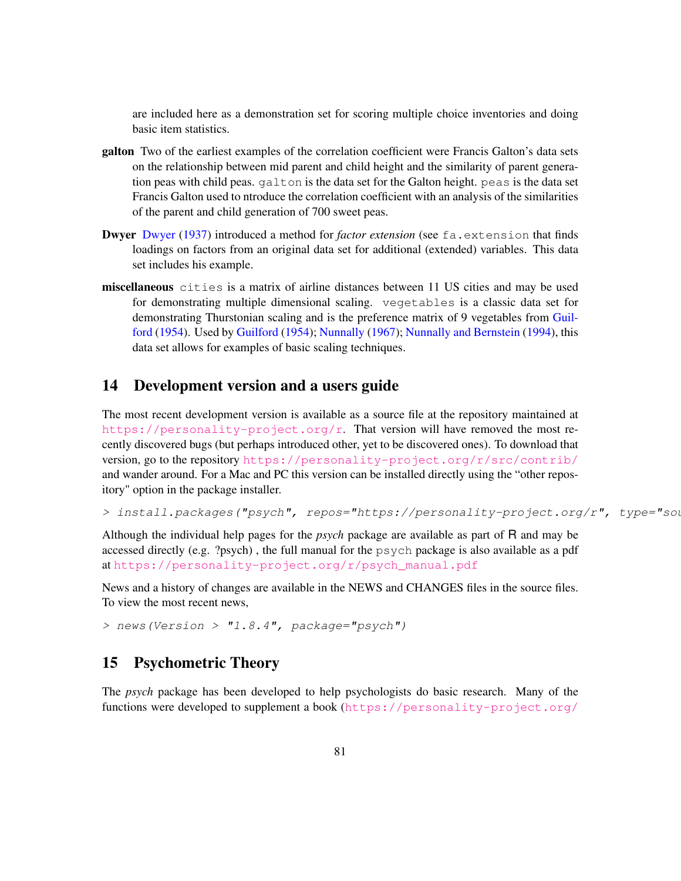are included here as a demonstration set for scoring multiple choice inventories and doing basic item statistics.

- galton Two of the earliest examples of the correlation coefficient were Francis Galton's data sets on the relationship between mid parent and child height and the similarity of parent generation peas with child peas. galton is the data set for the Galton height. peas is the data set Francis Galton used to ntroduce the correlation coefficient with an analysis of the similarities of the parent and child generation of 700 sweet peas.
- **Dwyer Dwyer (1937) introduced a method for** *factor extension* (see fa.extension that finds loadings on factors from an original data set for additional (extended) variables. This data set includes his example.
- miscellaneous cities is a matrix of airline distances between 11 US cities and may be used for demonstrating multiple dimensional scaling. vegetables is a classic data set for demonstrating Thurstonian scaling and is the preference matrix of 9 vegetables from Guilford (1954). Used by Guilford (1954); Nunnally (1967); Nunnally and Bernstein (1994), this data set allows for examples of basic scaling techniques.

### 14 Development version and a users guide

The most recent development version is available as a source file at the repository maintained at [https://personality-project.org/r]( href="https://personality-project.org/r"). That version will have removed the most recently discovered bugs (but perhaps introduced other, yet to be discovered ones). To download that version, go to the repository <https://personality-project.org/r/src/contrib/> and wander around. For a Mac and PC this version can be installed directly using the "other repository" option in the package installer.

```
> install.packages("psych", repos="https://personality-project.org/r", type="source")
```
Although the individual help pages for the *psych* package are available as part of R and may be accessed directly (e.g. ?psych) , the full manual for the psych package is also available as a pdf at [https://personality-project.org/r/psych\\_manual.pdf](https://personality-project.org/r/psych_manual.pdf)

News and a history of changes are available in the NEWS and CHANGES files in the source files. To view the most recent news,

*> news(Version > "1.8.4", package="psych")*

#### 15 Psychometric Theory

The *psych* package has been developed to help psychologists do basic research. Many of the functions were developed to supplement a book ([https://personality-project.org/](https://personality-project.org/r/book)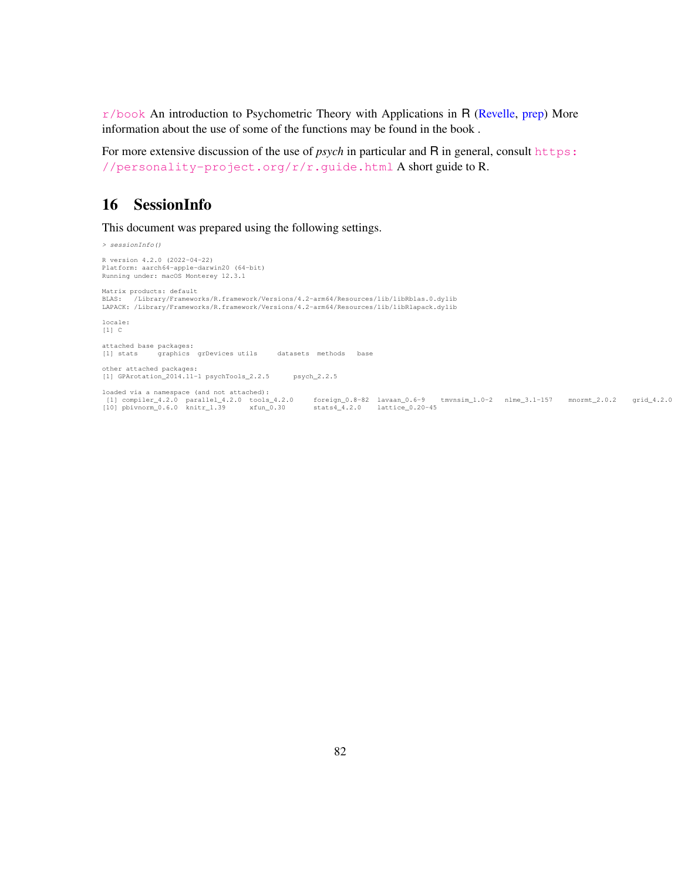$r/b$ ook An introduction to Psychometric Theory with Applications in R (Revelle, prep) More information about the use of some of the functions may be found in the book .

For more extensive discussion of the use of *psych* in particular and R in general, consult [https:](https://personality-project.org/r/r.guide.html) [//personality-project.org/r/r.guide.html](https://personality-project.org/r/r.guide.html) A short guide to R.

### 16 SessionInfo

This document was prepared using the following settings.

*> sessionInfo()* R version 4.2.0 (2022-04-22) Platform: aarch64-apple-darwin20 (64-bit) Running under: macOS Monterey 12.3.1 Matrix products: default BLAS: /Library/Frameworks/R.framework/Versions/4.2-arm64/Resources/lib/libRblas.0.dylib LAPACK: /Library/Frameworks/R.framework/Versions/4.2-arm64/Resources/lib/libRlapack.dylib locale:  $[1]$  C attached base packages: [1] stats graphics grDevices utils datasets methods base other attached packages: [1] GPArotation\_2014.11-1 psychTools\_2.2.5 psych\_2.2.5 loaded via a namespace (and not attached):<br>[1] compiler\_4.2.0 parallel\_4.2.0 tools\_4.2.0 foreign\_0.8-82 lavaan\_0.6-9 tmvnsim\_1.0-2 nlme\_3.1-157 mnormt\_2.0.2 grid\_4.2.0<br>[10] pbivnorm\_0.6.0 knitr\_1.39 xfun\_0.30 stats4\_4.2.0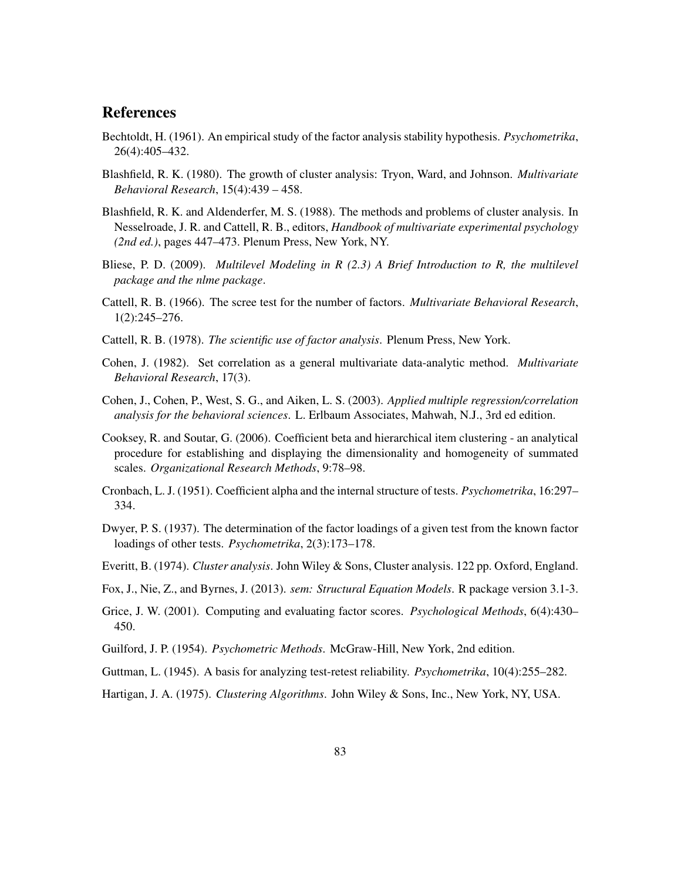#### **References**

- Bechtoldt, H. (1961). An empirical study of the factor analysis stability hypothesis. *Psychometrika*, 26(4):405–432.
- Blashfield, R. K. (1980). The growth of cluster analysis: Tryon, Ward, and Johnson. *Multivariate Behavioral Research*, 15(4):439 – 458.
- Blashfield, R. K. and Aldenderfer, M. S. (1988). The methods and problems of cluster analysis. In Nesselroade, J. R. and Cattell, R. B., editors, *Handbook of multivariate experimental psychology (2nd ed.)*, pages 447–473. Plenum Press, New York, NY.
- Bliese, P. D. (2009). *Multilevel Modeling in R (2.3) A Brief Introduction to R, the multilevel package and the nlme package*.
- Cattell, R. B. (1966). The scree test for the number of factors. *Multivariate Behavioral Research*, 1(2):245–276.
- Cattell, R. B. (1978). *The scientific use of factor analysis*. Plenum Press, New York.
- Cohen, J. (1982). Set correlation as a general multivariate data-analytic method. *Multivariate Behavioral Research*, 17(3).
- Cohen, J., Cohen, P., West, S. G., and Aiken, L. S. (2003). *Applied multiple regression/correlation analysis for the behavioral sciences*. L. Erlbaum Associates, Mahwah, N.J., 3rd ed edition.
- Cooksey, R. and Soutar, G. (2006). Coefficient beta and hierarchical item clustering an analytical procedure for establishing and displaying the dimensionality and homogeneity of summated scales. *Organizational Research Methods*, 9:78–98.
- Cronbach, L. J. (1951). Coefficient alpha and the internal structure of tests. *Psychometrika*, 16:297– 334.
- Dwyer, P. S. (1937). The determination of the factor loadings of a given test from the known factor loadings of other tests. *Psychometrika*, 2(3):173–178.
- Everitt, B. (1974). *Cluster analysis*. John Wiley & Sons, Cluster analysis. 122 pp. Oxford, England.
- Fox, J., Nie, Z., and Byrnes, J. (2013). *sem: Structural Equation Models*. R package version 3.1-3.
- Grice, J. W. (2001). Computing and evaluating factor scores. *Psychological Methods*, 6(4):430– 450.
- Guilford, J. P. (1954). *Psychometric Methods*. McGraw-Hill, New York, 2nd edition.
- Guttman, L. (1945). A basis for analyzing test-retest reliability. *Psychometrika*, 10(4):255–282.
- Hartigan, J. A. (1975). *Clustering Algorithms*. John Wiley & Sons, Inc., New York, NY, USA.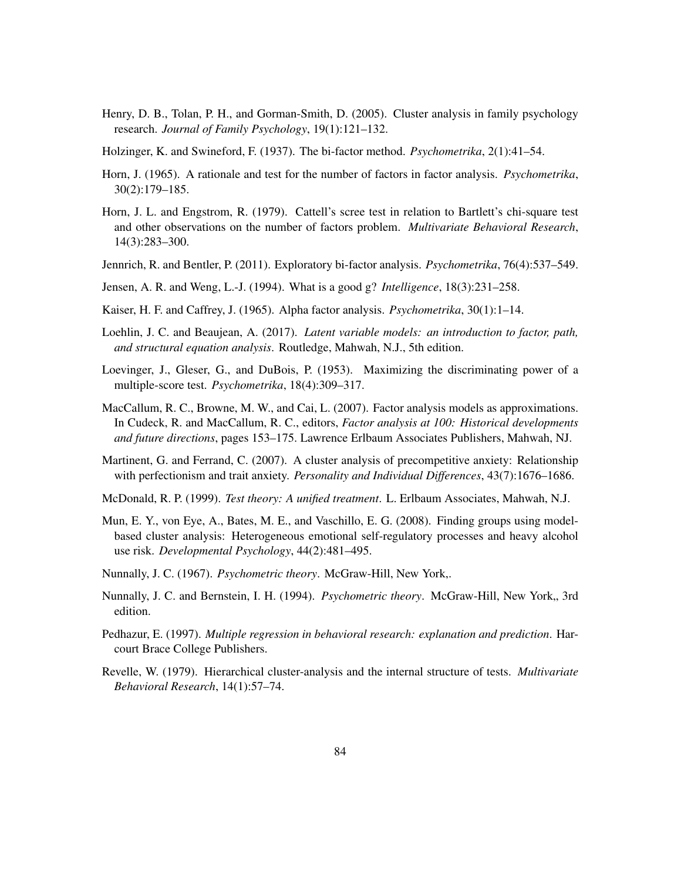- Henry, D. B., Tolan, P. H., and Gorman-Smith, D. (2005). Cluster analysis in family psychology research. *Journal of Family Psychology*, 19(1):121–132.
- Holzinger, K. and Swineford, F. (1937). The bi-factor method. *Psychometrika*, 2(1):41–54.
- Horn, J. (1965). A rationale and test for the number of factors in factor analysis. *Psychometrika*, 30(2):179–185.
- Horn, J. L. and Engstrom, R. (1979). Cattell's scree test in relation to Bartlett's chi-square test and other observations on the number of factors problem. *Multivariate Behavioral Research*, 14(3):283–300.
- Jennrich, R. and Bentler, P. (2011). Exploratory bi-factor analysis. *Psychometrika*, 76(4):537–549.
- Jensen, A. R. and Weng, L.-J. (1994). What is a good g? *Intelligence*, 18(3):231–258.
- Kaiser, H. F. and Caffrey, J. (1965). Alpha factor analysis. *Psychometrika*, 30(1):1–14.
- Loehlin, J. C. and Beaujean, A. (2017). *Latent variable models: an introduction to factor, path, and structural equation analysis*. Routledge, Mahwah, N.J., 5th edition.
- Loevinger, J., Gleser, G., and DuBois, P. (1953). Maximizing the discriminating power of a multiple-score test. *Psychometrika*, 18(4):309–317.
- MacCallum, R. C., Browne, M. W., and Cai, L. (2007). Factor analysis models as approximations. In Cudeck, R. and MacCallum, R. C., editors, *Factor analysis at 100: Historical developments and future directions*, pages 153–175. Lawrence Erlbaum Associates Publishers, Mahwah, NJ.
- Martinent, G. and Ferrand, C. (2007). A cluster analysis of precompetitive anxiety: Relationship with perfectionism and trait anxiety. *Personality and Individual Differences*, 43(7):1676–1686.
- McDonald, R. P. (1999). *Test theory: A unified treatment*. L. Erlbaum Associates, Mahwah, N.J.
- Mun, E. Y., von Eye, A., Bates, M. E., and Vaschillo, E. G. (2008). Finding groups using modelbased cluster analysis: Heterogeneous emotional self-regulatory processes and heavy alcohol use risk. *Developmental Psychology*, 44(2):481–495.
- Nunnally, J. C. (1967). *Psychometric theory*. McGraw-Hill, New York,.
- Nunnally, J. C. and Bernstein, I. H. (1994). *Psychometric theory*. McGraw-Hill, New York, 3rd edition.
- Pedhazur, E. (1997). *Multiple regression in behavioral research: explanation and prediction*. Harcourt Brace College Publishers.
- Revelle, W. (1979). Hierarchical cluster-analysis and the internal structure of tests. *Multivariate Behavioral Research*, 14(1):57–74.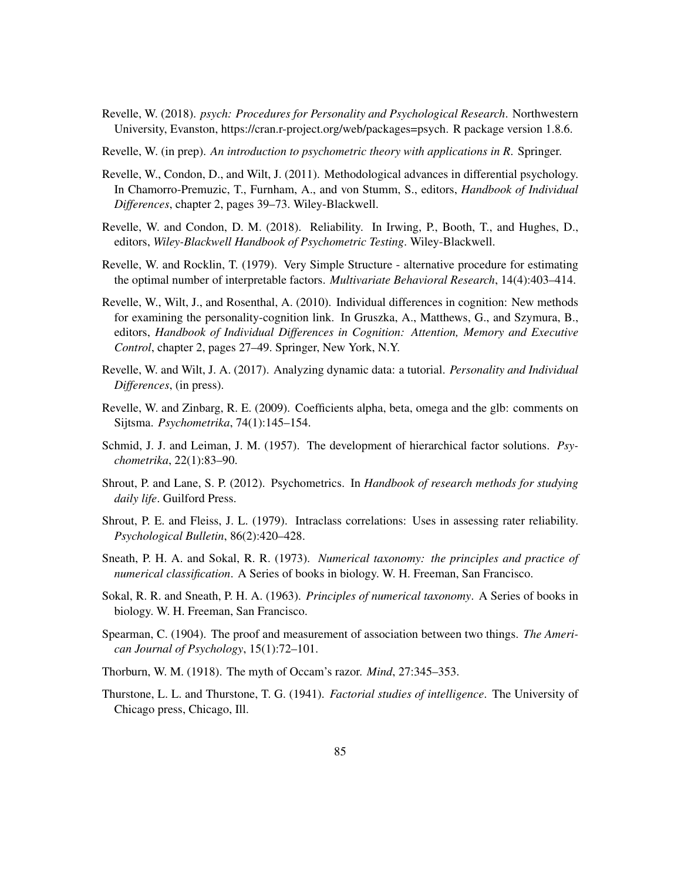- Revelle, W. (2018). *psych: Procedures for Personality and Psychological Research*. Northwestern University, Evanston, https://cran.r-project.org/web/packages=psych. R package version 1.8.6.
- Revelle, W. (in prep). *An introduction to psychometric theory with applications in R*. Springer.
- Revelle, W., Condon, D., and Wilt, J. (2011). Methodological advances in differential psychology. In Chamorro-Premuzic, T., Furnham, A., and von Stumm, S., editors, *Handbook of Individual Differences*, chapter 2, pages 39–73. Wiley-Blackwell.
- Revelle, W. and Condon, D. M. (2018). Reliability. In Irwing, P., Booth, T., and Hughes, D., editors, *Wiley-Blackwell Handbook of Psychometric Testing*. Wiley-Blackwell.
- Revelle, W. and Rocklin, T. (1979). Very Simple Structure alternative procedure for estimating the optimal number of interpretable factors. *Multivariate Behavioral Research*, 14(4):403–414.
- Revelle, W., Wilt, J., and Rosenthal, A. (2010). Individual differences in cognition: New methods for examining the personality-cognition link. In Gruszka, A., Matthews, G., and Szymura, B., editors, *Handbook of Individual Differences in Cognition: Attention, Memory and Executive Control*, chapter 2, pages 27–49. Springer, New York, N.Y.
- Revelle, W. and Wilt, J. A. (2017). Analyzing dynamic data: a tutorial. *Personality and Individual Differences*, (in press).
- Revelle, W. and Zinbarg, R. E. (2009). Coefficients alpha, beta, omega and the glb: comments on Sijtsma. *Psychometrika*, 74(1):145–154.
- Schmid, J. J. and Leiman, J. M. (1957). The development of hierarchical factor solutions. *Psychometrika*, 22(1):83–90.
- Shrout, P. and Lane, S. P. (2012). Psychometrics. In *Handbook of research methods for studying daily life*. Guilford Press.
- Shrout, P. E. and Fleiss, J. L. (1979). Intraclass correlations: Uses in assessing rater reliability. *Psychological Bulletin*, 86(2):420–428.
- Sneath, P. H. A. and Sokal, R. R. (1973). *Numerical taxonomy: the principles and practice of numerical classification*. A Series of books in biology. W. H. Freeman, San Francisco.
- Sokal, R. R. and Sneath, P. H. A. (1963). *Principles of numerical taxonomy*. A Series of books in biology. W. H. Freeman, San Francisco.
- Spearman, C. (1904). The proof and measurement of association between two things. *The American Journal of Psychology*, 15(1):72–101.
- Thorburn, W. M. (1918). The myth of Occam's razor. *Mind*, 27:345–353.
- Thurstone, L. L. and Thurstone, T. G. (1941). *Factorial studies of intelligence*. The University of Chicago press, Chicago, Ill.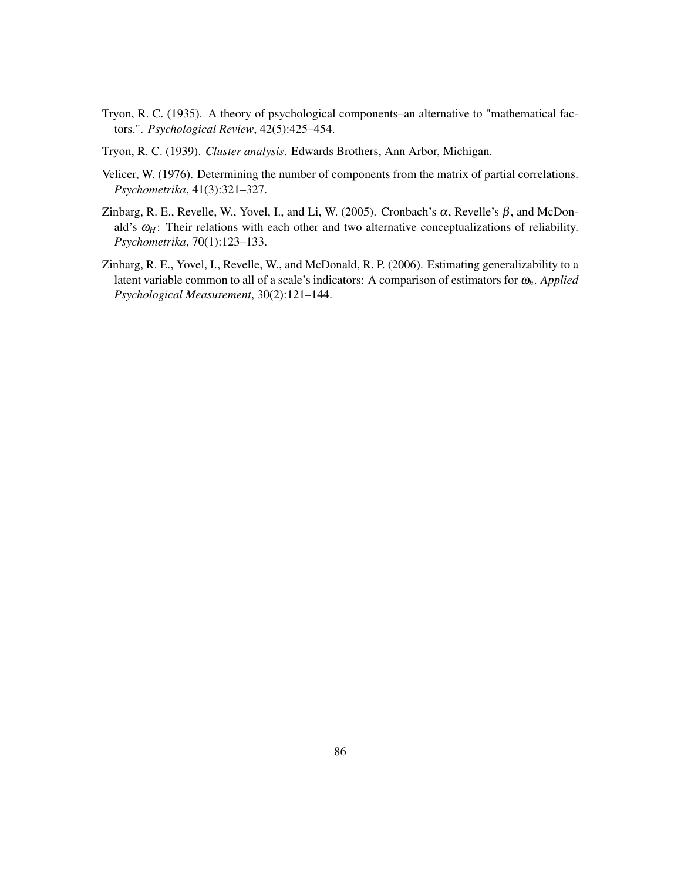- Tryon, R. C. (1935). A theory of psychological components–an alternative to "mathematical factors.". *Psychological Review*, 42(5):425–454.
- Tryon, R. C. (1939). *Cluster analysis*. Edwards Brothers, Ann Arbor, Michigan.
- Velicer, W. (1976). Determining the number of components from the matrix of partial correlations. *Psychometrika*, 41(3):321–327.
- Zinbarg, R. E., Revelle, W., Yovel, I., and Li, W. (2005). Cronbach's  $\alpha$ , Revelle's  $\beta$ , and McDonald's  $\omega_H$ : Their relations with each other and two alternative conceptualizations of reliability. *Psychometrika*, 70(1):123–133.
- Zinbarg, R. E., Yovel, I., Revelle, W., and McDonald, R. P. (2006). Estimating generalizability to a latent variable common to all of a scale's indicators: A comparison of estimators for <sup>ω</sup>*h*. *Applied Psychological Measurement*, 30(2):121–144.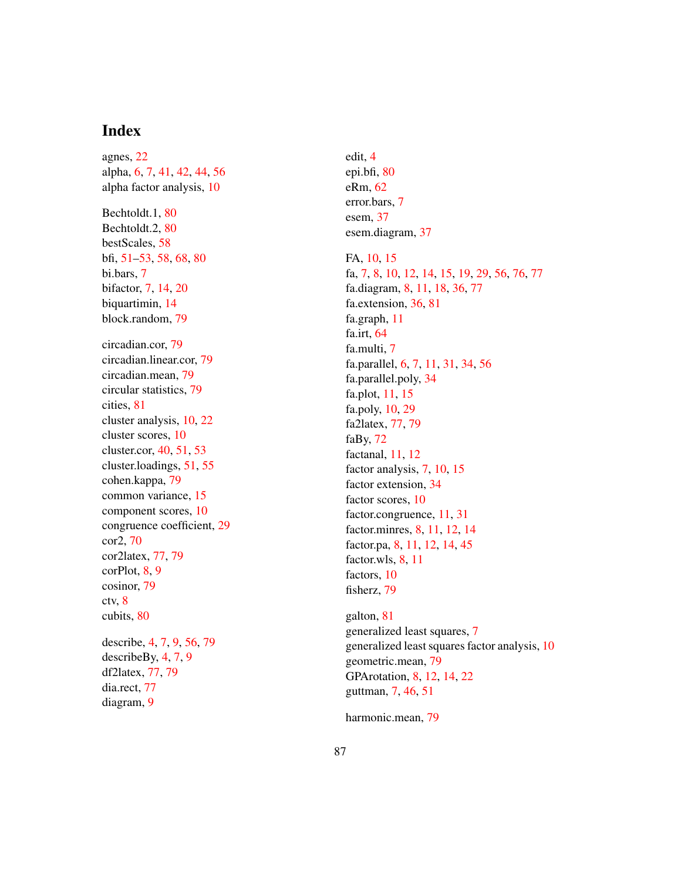# Index

agnes, 22 alpha, 6, 7, 41, 42, 44, 56 alpha factor analysis, 10 Bechtoldt.1, 80 Bechtoldt.2, 80 bestScales, 58 bfi, 51–53, 58, 68, 80 bi.bars, 7 bifactor, 7 , 14 , 20 biquartimin, 14 block.random, 79 circadian.cor, 79 circadian.linear.cor, 79 circadian.mean, 79 circular statistics, 79 cities, 81 cluster analysis, 10 , 22 cluster scores, 10 cluster.cor, 40 , 51 , 53 cluster.loadings, 51 , 55 cohen.kappa, 79 common variance, 15 component scores, 10 congruence coefficient, 29 cor2, 70 cor2latex, 77 , 79 corPlot, 8, 9 cosinor, 79 ctv, 8 cubits, 80 describe, 4, 7, 9, 56, 79 describeBy, 4, 7, 9 df2latex, 77 , 79 dia.rect, 77 diagram, 9

edit, 4 epi.bfi, 80 eRm, 62 error.bars, 7 esem, 37 esem.diagram, 37

#### FA, 10, 15

fa, 7, 8, 10, 12, 14, 15, 19, 29, 56, 76, 77 fa.diagram, 8, 11, 18, 36, 77 fa.extension, 36, 81 fa.graph, 11 fa.irt, 64 fa.multi, 7 fa.parallel, 6, 7, 11, 31, 34, 56 fa.parallel.poly, 34 fa.plot, 11 , 15 fa.poly, 10 , 29 fa2latex, 77 , 79 faBy, 72 factanal, 11 , 12 factor analysis, 7, 10, 15 factor extension, 34 factor scores, 10 factor.congruence, 11, 31 factor.minres, 8, 11, 12, 14 factor.pa, 8, 11, 12, 14, 45 factor.wls, 8, 11 factors, 10 fisherz, 79

galton, 81 generalized least squares, 7 generalized least squares factor analysis, 10 geometric.mean, 79 GPArotation, 8, 12, 14, 22 guttman, 7, 46, 51

harmonic.mean, 79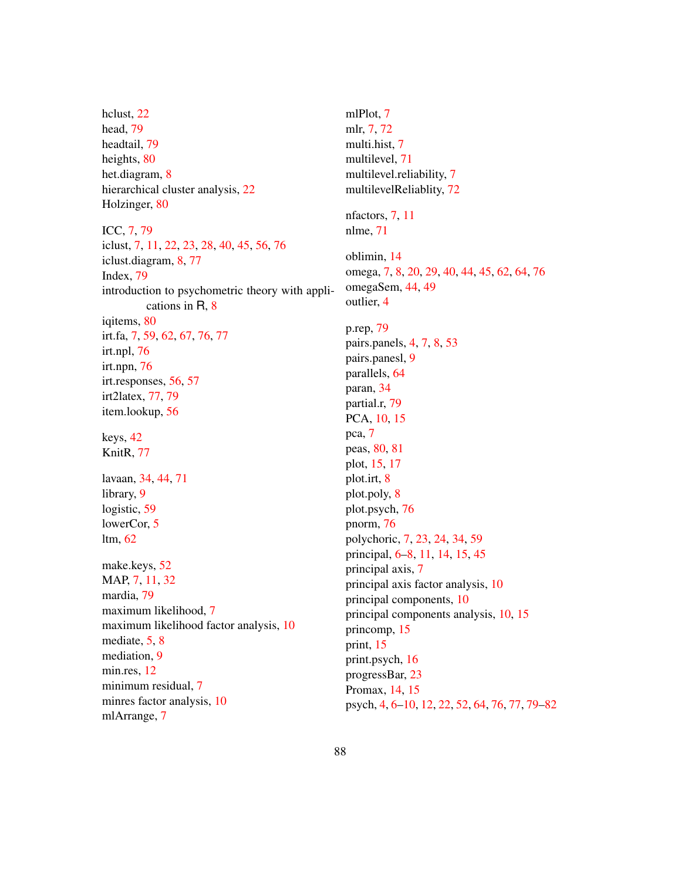hclust, 22 head, 79 headtail, 79 heights, 80 het.diagram, 8 hierarchical cluster analysis, 22 Holzinger, 80

ICC, 7, 79 iclust, 7, 11, 22, 23, 28, 40, 45, 56, 76 iclust.diagram, 8, 77 Index, 79 introduction to psychometric theory with applications in R, 8 iqitems, 80 irt.fa, 7, 59, 62, 67, 76, 77 irt.npl, 76 irt.npn, 76 irt.responses, 56, 57 irt2latex, 77, 79 item.lookup, 56 keys, 42 KnitR, 77 lavaan, 34, 44, 71 library, 9 logistic, 59 lowerCor, 5 ltm, 62 make.keys, 52 MAP, 7, 11, 32 mardia, 79 maximum likelihood, 7 maximum likelihood factor analysis, 10 mediate, 5, 8 mediation, 9 min.res, 12 minimum residual, 7

minres factor analysis, 10

mlArrange, 7

mlPlot, 7 mlr, 7, 72 multi.hist, 7 multilevel, 71 multilevel.reliability, 7 multilevelReliablity, 72 nfactors, 7, 11 nlme, 71 oblimin, 14 omega, 7, 8, 20, 29, 40, 44, 45, 62, 64, 76 omegaSem, 44, 49 outlier, 4 p.rep, 79 pairs.panels, 4, 7, 8, 53 pairs.panesl, 9 parallels, 64 paran, 34 partial.r, 79 PCA, 10, 15 pca, 7 peas, 80, 81 plot, 15, 17 plot.irt, 8 plot.poly, 8 plot.psych, 76 pnorm, 76 polychoric, 7, 23, 24, 34, 59 principal, 6–8, 11, 14, 15, 45 principal axis, 7 principal axis factor analysis, 10 principal components, 10 principal components analysis, 10, 15 princomp, 15 print, 15 print.psych, 16 progressBar, 23 Promax, 14, 15 psych, 4, 6–10, 12, 22, 52, 64, 76, 77, 79–82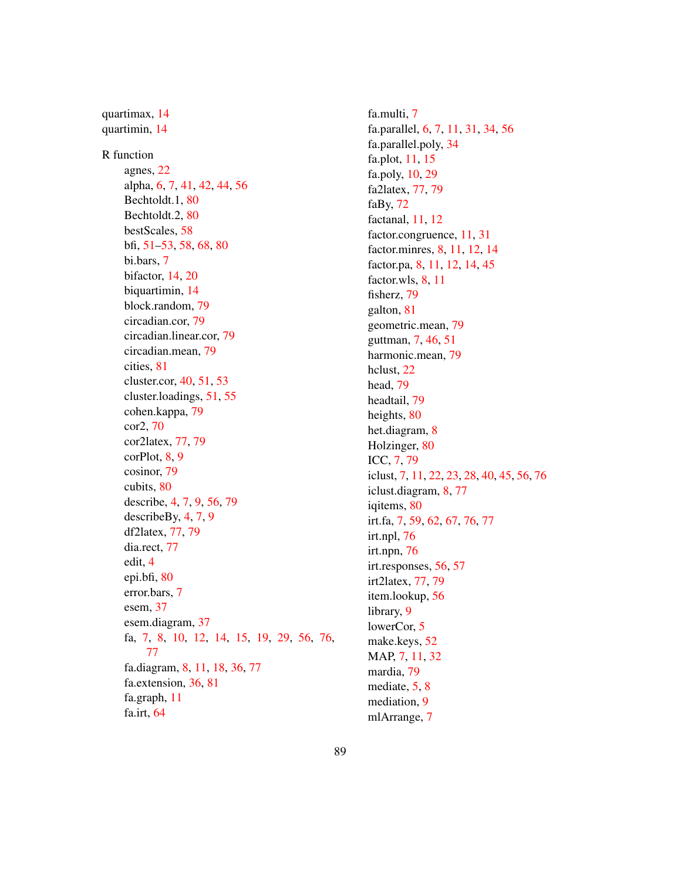quartimax, 14 quartimin, 14 R function agnes, 22 alpha, 6, 7, 41, 42, 44, 56 Bechtoldt.1, 80 Bechtoldt.2, 80 bestScales, 58 bfi, 51–53, 58, 68, 80 bi.bars, 7 bifactor, 14, 20 biquartimin, 14 block.random, 79 circadian.cor, 79 circadian.linear.cor, 79 circadian.mean, 79 cities, 81 cluster.cor, 40, 51, 53 cluster.loadings, 51, 55 cohen.kappa, 79 cor2, 70 cor2latex, 77, 79 corPlot, 8, 9 cosinor, 79 cubits, 80 describe, 4, 7, 9, 56, 79 describeBy, 4, 7, 9 df2latex, 77, 79 dia.rect, 77 edit, 4 epi.bfi, 80 error.bars, 7 esem, 37 esem.diagram, 37 fa, 7, 8, 10, 12, 14, 15, 19, 29, 56, 76, 77 fa.diagram, 8, 11, 18, 36, 77 fa.extension, 36, 81 fa.graph, 11 fa.irt, 64

fa.multi, 7 fa.parallel, 6, 7, 11, 31, 34, 56 fa.parallel.poly, 34 fa.plot, 11, 15 fa.poly, 10, 29 fa2latex, 77, 79 faBy,  $72$ factanal, 11, 12 factor.congruence, 11, 31 factor.minres, 8, 11, 12, 14 factor.pa, 8, 11, 12, 14, 45 factor.wls, 8, 11 fisherz, 79 galton, 81 geometric.mean, 79 guttman, 7, 46, 51 harmonic.mean, 79 hclust, 22 head, 79 headtail, 79 heights, 80 het.diagram, 8 Holzinger, 80 ICC, 7, 79 iclust, 7, 11, 22, 23, 28, 40, 45, 56, 76 iclust.diagram, 8, 77 iqitems, 80 irt.fa, 7, 59, 62, 67, 76, 77 irt.npl, 76 irt.npn, 76 irt.responses, 56, 57 irt2latex, 77, 79 item.lookup, 56 library, 9 lowerCor, 5 make.keys, 52 MAP, 7, 11, 32 mardia, 79 mediate, 5, 8 mediation, 9 mlArrange, 7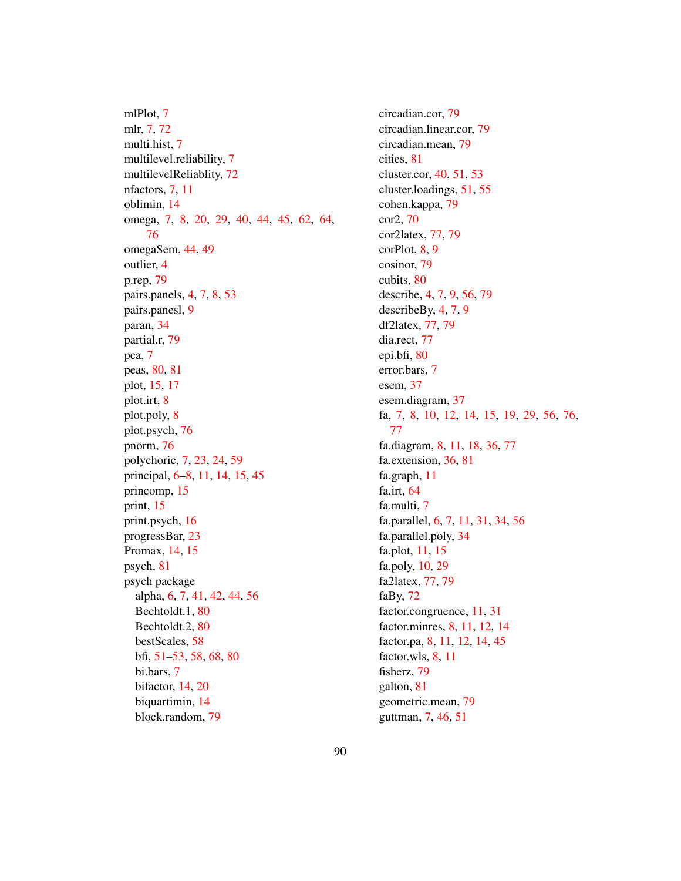mlPlot, 7 mlr, 7, 72 multi.hist, 7 multilevel.reliability, 7 multilevelReliablity, 72 nfactors, 7, 11 oblimin, 14 omega, 7, 8, 20, 29, 40, 44, 45, 62, 64, 76 omegaSem, 44, 49 outlier, 4 p.rep, 79 pairs.panels, 4, 7, 8, 53 pairs.panesl, 9 paran, 34 partial.r, 79 pca, 7 peas, 80, 81 plot, 15, 17 plot.irt, 8 plot.poly, 8 plot.psych, 76 pnorm, 76 polychoric, 7, 23, 24, 59 principal, 6–8, 11, 14, 15, 45 princomp, 15 print, 15 print.psych, 16 progressBar, 23 Promax, 14, 15 psych, 81 psych package alpha, 6, 7, 41, 42, 44, 56 Bechtoldt.1, 80 Bechtoldt.2, 80 bestScales, 58 bfi, 51–53, 58, 68, 80 bi.bars, 7 bifactor, 14, 20 biquartimin, 14 block.random, 79

circadian.cor, 79 circadian.linear.cor, 79 circadian.mean, 79 cities, 81 cluster.cor, 40, 51, 53 cluster.loadings, 51, 55 cohen.kappa, 79 cor2, 70 cor2latex, 77, 79 corPlot, 8, 9 cosinor, 79 cubits, 80 describe, 4, 7, 9, 56, 79 describeBy, 4, 7, 9 df2latex, 77, 79 dia.rect, 77 epi.bfi, 80 error.bars, 7 esem, 37 esem.diagram, 37 fa, 7, 8, 10, 12, 14, 15, 19, 29, 56, 76, 77 fa.diagram, 8, 11, 18, 36, 77 fa.extension, 36, 81 fa.graph, 11 fa.irt, 64 fa.multi, 7 fa.parallel, 6, 7, 11, 31, 34, 56 fa.parallel.poly, 34 fa.plot, 11, 15 fa.poly, 10, 29 fa2latex, 77, 79 faBy, 72 factor.congruence, 11, 31 factor.minres, 8, 11, 12, 14 factor.pa, 8, 11, 12, 14, 45 factor.wls, 8, 11 fisherz, 79 galton, 81 geometric.mean, 79 guttman, 7, 46, 51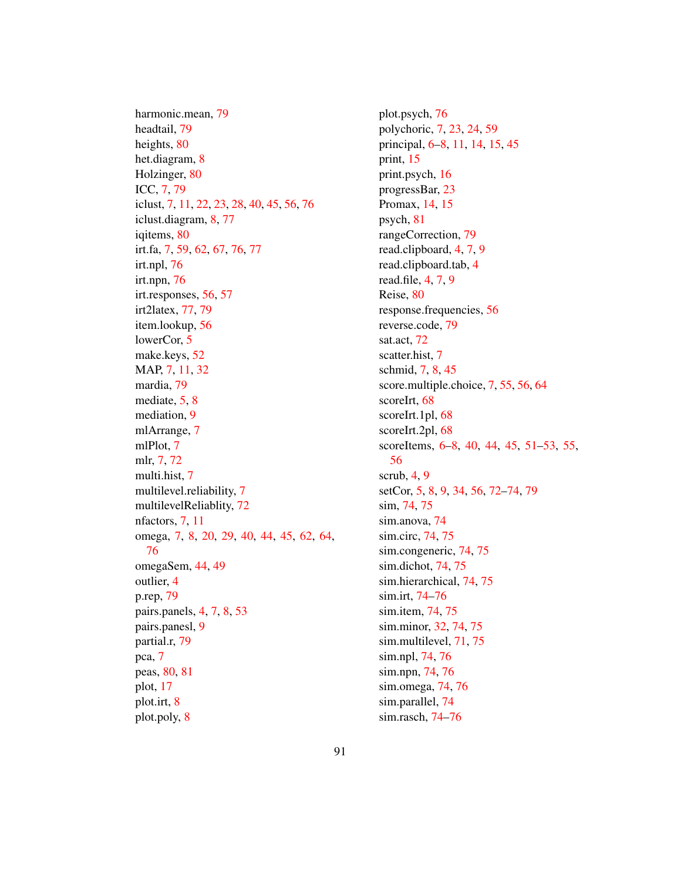harmonic.mean, 79 headtail, 79 heights, 80 het.diagram, 8 Holzinger, 80 ICC, 7, 79 iclust, 7, 11, 22, 23, 28, 40, 45, 56, 76 iclust.diagram, 8, 77 iqitems, 80 irt.fa, 7, 59, 62, 67, 76, 77 irt.npl, 76 irt.npn, 76 irt.responses, 56, 57 irt2latex, 77, 79 item.lookup, 56 lowerCor, 5 make.keys, 52 MAP, 7, 11, 32 mardia, 79 mediate, 5, 8 mediation, 9 mlArrange, 7 mlPlot, 7 mlr, 7, 72 multi.hist, 7 multilevel.reliability, 7 multilevelReliablity, 72 nfactors, 7, 11 omega, 7, 8, 20, 29, 40, 44, 45, 62, 64, 76 omegaSem, 44, 49 outlier, 4 p.rep, 79 pairs.panels, 4, 7, 8, 53 pairs.panesl, 9 partial.r, 79 pca, 7 peas, 80, 81 plot, 17 plot.irt, 8 plot.poly, 8

plot.psych, 76 polychoric, 7, 23, 24, 59 principal, 6–8, 11, 14, 15, 45 print, 15 print.psych, 16 progressBar, 23 Promax, 14, 15 psych, 81 rangeCorrection, 79 read.clipboard, 4, 7, 9 read.clipboard.tab, 4 read.file, 4, 7, 9 Reise, 80 response.frequencies, 56 reverse.code, 79 sat.act, 72 scatter.hist, 7 schmid, 7, 8, 45 score.multiple.choice, 7, 55, 56, 64 scoreIrt, 68 scoreIrt.1pl, 68 scoreIrt.2pl, 68 scoreItems, 6–8, 40, 44, 45, 51–53, 55, 56 scrub, 4, 9 setCor, 5, 8, 9, 34, 56, 72–74, 79 sim, 74, 75 sim.anova, 74 sim.circ, 74, 75 sim.congeneric, 74, 75 sim.dichot, 74, 75 sim.hierarchical, 74, 75 sim.irt, 74–76 sim.item, 74, 75 sim.minor, 32, 74, 75 sim.multilevel, 71, 75 sim.npl, 74, 76 sim.npn, 74, 76 sim.omega, 74, 76 sim.parallel, 74 sim.rasch, 74–76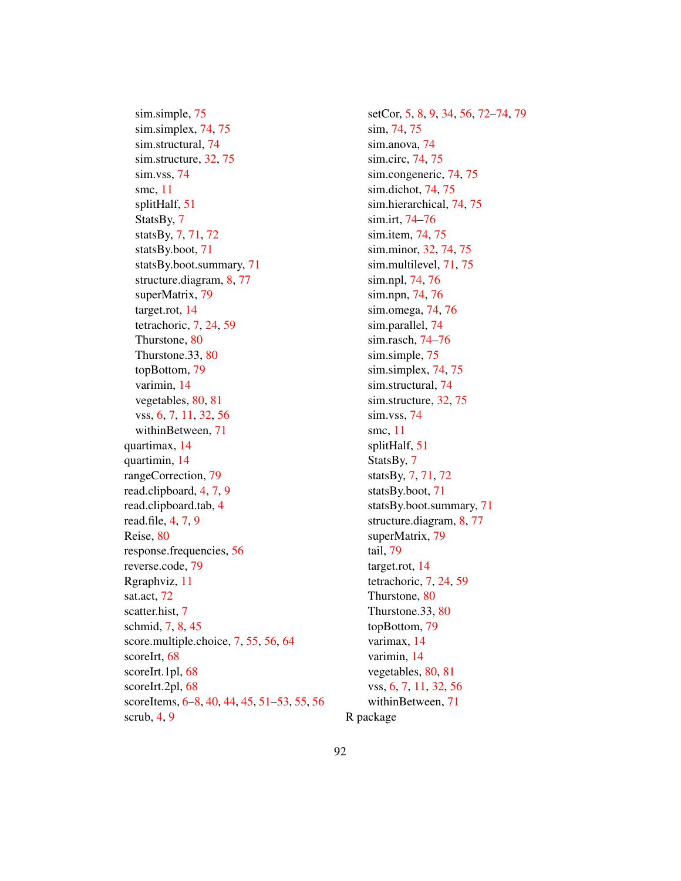sim.simple, 75 sim.simplex, 74, 75 sim.structural, 74 sim.structure, 32, 75 sim.vss, 74 smc, 11 splitHalf, 51 StatsBy, 7 statsBy, 7, 71, 72 statsBy.boot, 71 statsBy.boot.summary, 71 structure.diagram, 8, 77 superMatrix, 79 target.rot, 14 tetrachoric, 7, 24, 59 Thurstone, 80 Thurstone.33, 80 topBottom, 79 varimin, 14 vegetables, 80, 81 vss, 6, 7, 11, 32, 56 withinBetween, 71 quartimax, 14 quartimin, 14 rangeCorrection, 79 read.clipboard, 4, 7, 9 read.clipboard.tab, 4 read.file, 4, 7, 9 Reise, 80 response.frequencies, 56 reverse.code, 79 Rgraphviz, 11 sat.act, 72 scatter.hist, 7 schmid, 7, 8, 45 score.multiple.choice, 7, 55, 56, 64 scoreIrt, 68 scoreIrt.1pl, 68 scoreIrt.2pl, 68 scoreItems, 6–8, 40, 44, 45, 51–53, 55, 56 scrub, 4, 9

setCor, 5, 8, 9, 34, 56, 72–74, 79 sim, 74, 75 sim.anova, 74 sim.circ, 74, 75 sim.congeneric, 74, 75 sim.dichot, 74, 75 sim.hierarchical, 74, 75 sim.irt, 74–76 sim.item, 74, 75 sim.minor, 32, 74, 75 sim.multilevel, 71, 75 sim.npl, 74, 76 sim.npn, 74, 76 sim.omega, 74, 76 sim.parallel, 74 sim.rasch, 74–76 sim.simple, 75 sim.simplex, 74, 75 sim.structural, 74 sim.structure, 32, 75 sim.vss, 74 smc, 11 splitHalf, 51 StatsBy, 7 statsBy, 7, 71, 72 statsBy.boot, 71 statsBy.boot.summary, 71 structure.diagram, 8, 77 superMatrix, 79 tail, 79 target.rot, 14 tetrachoric, 7, 24, 59 Thurstone, 80 Thurstone.33, 80 topBottom, 79 varimax, 14 varimin, 14 vegetables, 80, 81 vss, 6, 7, 11, 32, 56 withinBetween, 71 R package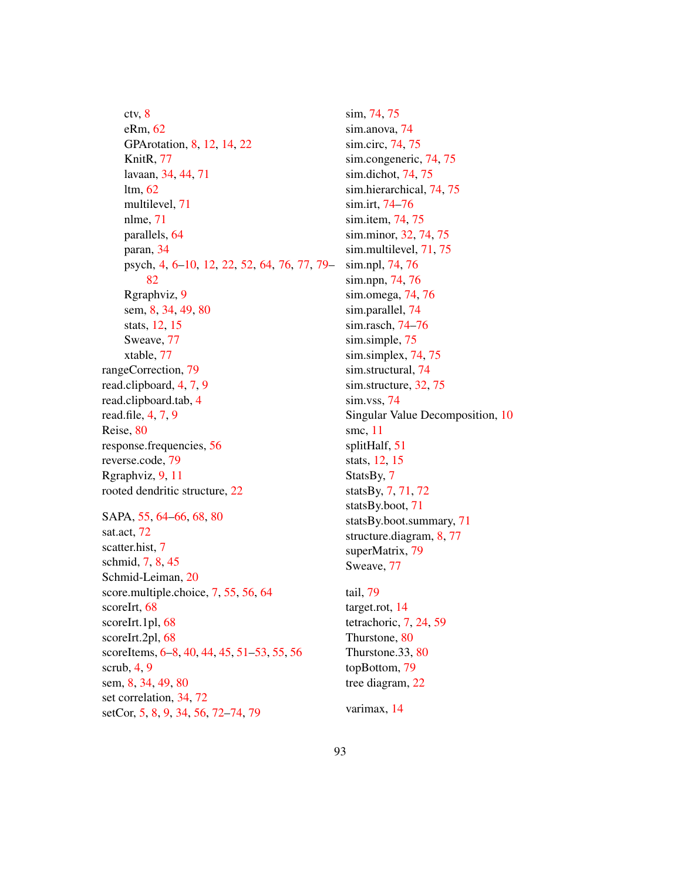ctv, 8 eRm, 62 GPArotation, 8, 12, 14, 22 KnitR, 77 lavaan, 34, 44, 71 ltm, 62 multilevel, 71 nlme, 71 parallels, 64 paran, 34 psych, 4, 6–10, 12, 22, 52, 64, 76, 77, 79– 82 Rgraphviz, 9 sem, 8, 34, 49, 80 stats, 12, 15 Sweave, 77 xtable, 77 rangeCorrection, 79 read.clipboard, 4, 7, 9 read.clipboard.tab, 4 read.file, 4, 7, 9 Reise, 80 response.frequencies, 56 reverse.code, 79 Rgraphviz, 9, 11 rooted dendritic structure, 22 SAPA, 55, 64–66, 68, 80 sat.act, 72 scatter.hist, 7 schmid, 7, 8, 45 Schmid-Leiman, 20 score.multiple.choice, 7, 55, 56, 64 scoreIrt, 68 scoreIrt.1pl, 68 scoreIrt.2pl, 68 scoreItems, 6–8, 40, 44, 45, 51–53, 55, 56 scrub,  $4, 9$ sem, 8, 34, 49, 80 set correlation, 34, 72 setCor, 5, 8, 9, 34, 56, 72–74, 79

sim, 74, 75 sim.anova, 74 sim.circ, 74, 75 sim.congeneric, 74, 75 sim.dichot, 74, 75 sim.hierarchical, 74, 75 sim.irt, 74–76 sim.item, 74, 75 sim.minor, 32, 74, 75 sim.multilevel, 71, 75 sim.npl, 74, 76 sim.npn, 74, 76 sim.omega, 74, 76 sim.parallel, 74 sim.rasch, 74–76 sim.simple, 75 sim.simplex, 74, 75 sim.structural, 74 sim.structure, 32, 75 sim.vss, 74 Singular Value Decomposition, 10 smc, 11 splitHalf, 51 stats, 12, 15 StatsBy, 7 statsBy, 7, 71, 72 statsBy.boot, 71 statsBy.boot.summary, 71 structure.diagram, 8, 77 superMatrix, 79 Sweave, 77

tail, 79 target.rot, 14 tetrachoric, 7, 24, 59 Thurstone, 80 Thurstone.33, 80 topBottom, 79 tree diagram, 22

varimax, 14